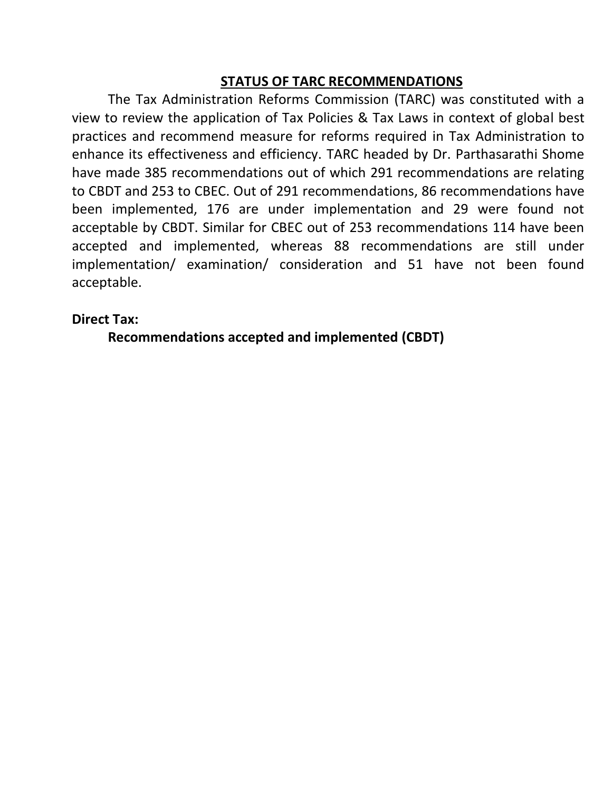## **STATUS OF TARC RECOMMENDATIONS**

 The Tax Administration Reforms Commission (TARC) was constituted with a view to review the application of Tax Policies & Tax Laws in context of global best practices and recommend measure for reforms required in Tax Administration to enhance its effectiveness and efficiency. TARC headed by Dr. Parthasarathi Shome have made 385 recommendations out of which 291 recommendations are relating to CBDT and 253 to CBEC. Out of 291 recommendations, 86 recommendations have been implemented, 176 are under implementation and 29 were found not acceptable by CBDT. Similar for CBEC out of 253 recommendations 114 have been accepted and implemented, whereas 88 recommendations are still under implementation/ examination/ consideration and 51 have not been found acceptable.

## **Direct Tax:**

 **Recommendations accepted and implemented (CBDT)**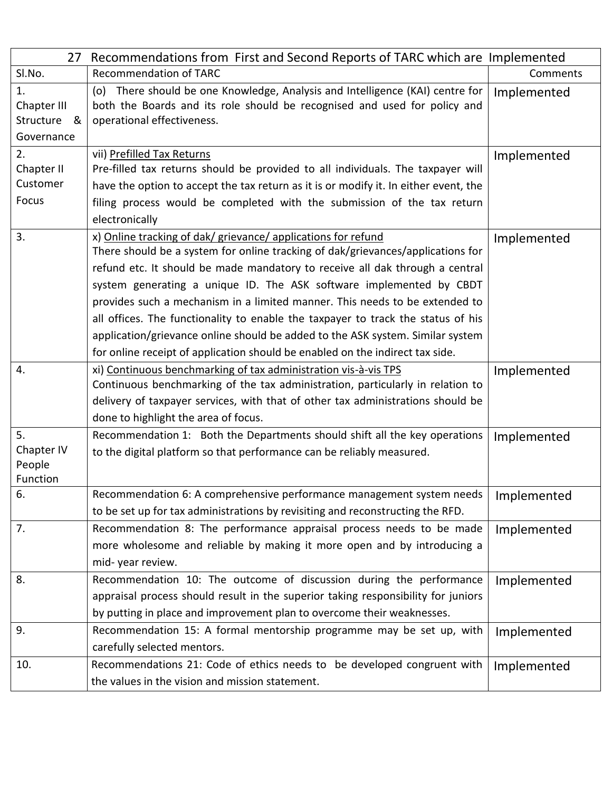| 27                                                 | Recommendations from First and Second Reports of TARC which are Implemented                                                                                                                                                                                                                                                                                                                                                                                                                                                                                                                                                                   |             |
|----------------------------------------------------|-----------------------------------------------------------------------------------------------------------------------------------------------------------------------------------------------------------------------------------------------------------------------------------------------------------------------------------------------------------------------------------------------------------------------------------------------------------------------------------------------------------------------------------------------------------------------------------------------------------------------------------------------|-------------|
| SI.No.                                             | <b>Recommendation of TARC</b>                                                                                                                                                                                                                                                                                                                                                                                                                                                                                                                                                                                                                 | Comments    |
| 1.<br>Chapter III<br>Structure<br>୍ୟ<br>Governance | There should be one Knowledge, Analysis and Intelligence (KAI) centre for<br>(o)<br>both the Boards and its role should be recognised and used for policy and<br>operational effectiveness.                                                                                                                                                                                                                                                                                                                                                                                                                                                   | Implemented |
| 2.<br>Chapter II<br>Customer                       | vii) Prefilled Tax Returns<br>Pre-filled tax returns should be provided to all individuals. The taxpayer will<br>have the option to accept the tax return as it is or modify it. In either event, the                                                                                                                                                                                                                                                                                                                                                                                                                                         | Implemented |
| Focus                                              | filing process would be completed with the submission of the tax return<br>electronically                                                                                                                                                                                                                                                                                                                                                                                                                                                                                                                                                     |             |
| 3.                                                 | x) Online tracking of dak/ grievance/ applications for refund<br>There should be a system for online tracking of dak/grievances/applications for<br>refund etc. It should be made mandatory to receive all dak through a central<br>system generating a unique ID. The ASK software implemented by CBDT<br>provides such a mechanism in a limited manner. This needs to be extended to<br>all offices. The functionality to enable the taxpayer to track the status of his<br>application/grievance online should be added to the ASK system. Similar system<br>for online receipt of application should be enabled on the indirect tax side. | Implemented |
| 4.                                                 | xi) Continuous benchmarking of tax administration vis-à-vis TPS<br>Continuous benchmarking of the tax administration, particularly in relation to<br>delivery of taxpayer services, with that of other tax administrations should be<br>done to highlight the area of focus.                                                                                                                                                                                                                                                                                                                                                                  | Implemented |
| 5.<br>Chapter IV<br>People<br>Function             | Recommendation 1: Both the Departments should shift all the key operations<br>to the digital platform so that performance can be reliably measured.                                                                                                                                                                                                                                                                                                                                                                                                                                                                                           | Implemented |
| 6.                                                 | Recommendation 6: A comprehensive performance management system needs   Implemented<br>to be set up for tax administrations by revisiting and reconstructing the RFD.                                                                                                                                                                                                                                                                                                                                                                                                                                                                         |             |
| 7.                                                 | Recommendation 8: The performance appraisal process needs to be made<br>more wholesome and reliable by making it more open and by introducing a<br>mid-year review.                                                                                                                                                                                                                                                                                                                                                                                                                                                                           | Implemented |
| 8.                                                 | Recommendation 10: The outcome of discussion during the performance<br>appraisal process should result in the superior taking responsibility for juniors<br>by putting in place and improvement plan to overcome their weaknesses.                                                                                                                                                                                                                                                                                                                                                                                                            | Implemented |
| 9.                                                 | Recommendation 15: A formal mentorship programme may be set up, with<br>carefully selected mentors.                                                                                                                                                                                                                                                                                                                                                                                                                                                                                                                                           | Implemented |
| 10.                                                | Recommendations 21: Code of ethics needs to be developed congruent with<br>the values in the vision and mission statement.                                                                                                                                                                                                                                                                                                                                                                                                                                                                                                                    | Implemented |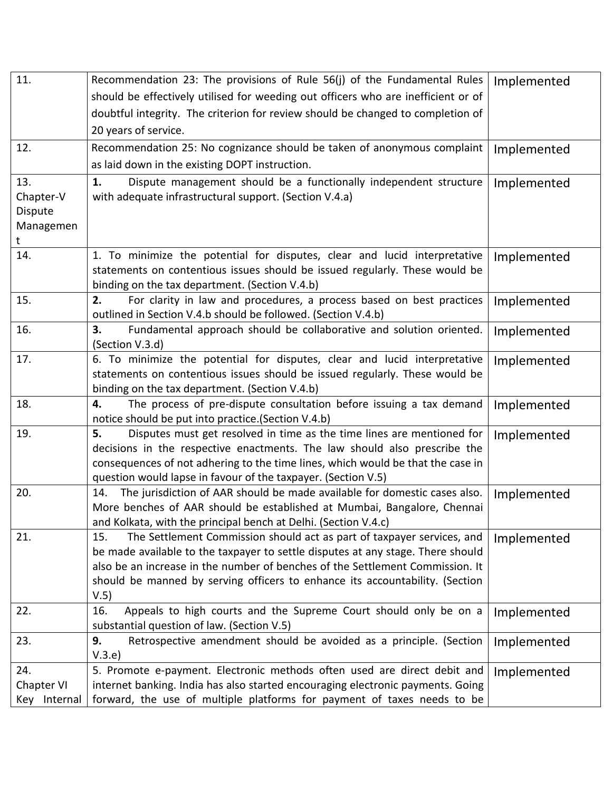| 11.          | Recommendation 23: The provisions of Rule 56(j) of the Fundamental Rules                                                         | Implemented |
|--------------|----------------------------------------------------------------------------------------------------------------------------------|-------------|
|              | should be effectively utilised for weeding out officers who are inefficient or of                                                |             |
|              | doubtful integrity. The criterion for review should be changed to completion of                                                  |             |
|              | 20 years of service.                                                                                                             |             |
| 12.          | Recommendation 25: No cognizance should be taken of anonymous complaint                                                          | Implemented |
|              | as laid down in the existing DOPT instruction.                                                                                   |             |
| 13.          | Dispute management should be a functionally independent structure<br>1.                                                          | Implemented |
| Chapter-V    | with adequate infrastructural support. (Section V.4.a)                                                                           |             |
| Dispute      |                                                                                                                                  |             |
| Managemen    |                                                                                                                                  |             |
| t            |                                                                                                                                  |             |
| 14.          | 1. To minimize the potential for disputes, clear and lucid interpretative                                                        | Implemented |
|              | statements on contentious issues should be issued regularly. These would be<br>binding on the tax department. (Section V.4.b)    |             |
| 15.          | For clarity in law and procedures, a process based on best practices<br>2.                                                       | Implemented |
|              | outlined in Section V.4.b should be followed. (Section V.4.b)                                                                    |             |
| 16.          | Fundamental approach should be collaborative and solution oriented.<br>3.                                                        | Implemented |
|              | (Section V.3.d)                                                                                                                  |             |
| 17.          | 6. To minimize the potential for disputes, clear and lucid interpretative                                                        | Implemented |
|              | statements on contentious issues should be issued regularly. These would be                                                      |             |
|              | binding on the tax department. (Section V.4.b)                                                                                   |             |
| 18.          | The process of pre-dispute consultation before issuing a tax demand<br>4.<br>notice should be put into practice. (Section V.4.b) | Implemented |
| 19.          | Disputes must get resolved in time as the time lines are mentioned for<br>5.                                                     | Implemented |
|              | decisions in the respective enactments. The law should also prescribe the                                                        |             |
|              | consequences of not adhering to the time lines, which would be that the case in                                                  |             |
|              | question would lapse in favour of the taxpayer. (Section V.5)                                                                    |             |
| 20.          | 14. The jurisdiction of AAR should be made available for domestic cases also.                                                    | Implemented |
|              | More benches of AAR should be established at Mumbai, Bangalore, Chennai                                                          |             |
|              | and Kolkata, with the principal bench at Delhi. (Section V.4.c)                                                                  |             |
| 21.          | 15.<br>The Settlement Commission should act as part of taxpayer services, and                                                    | Implemented |
|              | be made available to the taxpayer to settle disputes at any stage. There should                                                  |             |
|              | also be an increase in the number of benches of the Settlement Commission. It                                                    |             |
|              | should be manned by serving officers to enhance its accountability. (Section                                                     |             |
|              | V.5)                                                                                                                             |             |
| 22.          | Appeals to high courts and the Supreme Court should only be on a<br>16.                                                          | Implemented |
|              | substantial question of law. (Section V.5)                                                                                       |             |
| 23.          | 9.<br>Retrospective amendment should be avoided as a principle. (Section<br>V.3.e)                                               | Implemented |
| 24.          | 5. Promote e-payment. Electronic methods often used are direct debit and                                                         | Implemented |
| Chapter VI   | internet banking. India has also started encouraging electronic payments. Going                                                  |             |
| Key Internal | forward, the use of multiple platforms for payment of taxes needs to be                                                          |             |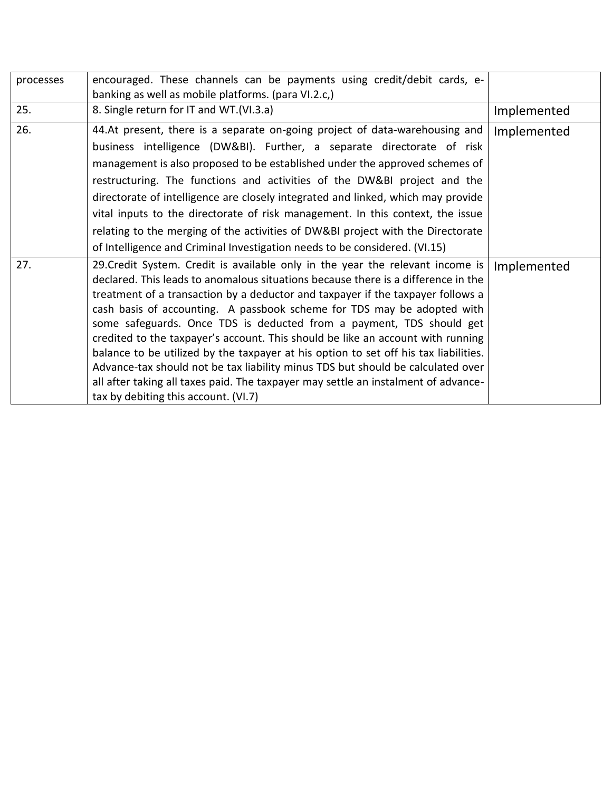| processes | encouraged. These channels can be payments using credit/debit cards, e-<br>banking as well as mobile platforms. (para VI.2.c,)                                                                                                                                                                                                                                                                                                                                                                                                                                                                                                                                                                                                                                                                        |             |
|-----------|-------------------------------------------------------------------------------------------------------------------------------------------------------------------------------------------------------------------------------------------------------------------------------------------------------------------------------------------------------------------------------------------------------------------------------------------------------------------------------------------------------------------------------------------------------------------------------------------------------------------------------------------------------------------------------------------------------------------------------------------------------------------------------------------------------|-------------|
| 25.       | 8. Single return for IT and WT.(VI.3.a)                                                                                                                                                                                                                                                                                                                                                                                                                                                                                                                                                                                                                                                                                                                                                               | Implemented |
| 26.       | 44.At present, there is a separate on-going project of data-warehousing and<br>business intelligence (DW&BI). Further, a separate directorate of risk<br>management is also proposed to be established under the approved schemes of<br>restructuring. The functions and activities of the DW&BI project and the<br>directorate of intelligence are closely integrated and linked, which may provide<br>vital inputs to the directorate of risk management. In this context, the issue<br>relating to the merging of the activities of DW&BI project with the Directorate<br>of Intelligence and Criminal Investigation needs to be considered. (VI.15)                                                                                                                                               | Implemented |
| 27.       | 29. Credit System. Credit is available only in the year the relevant income is<br>declared. This leads to anomalous situations because there is a difference in the<br>treatment of a transaction by a deductor and taxpayer if the taxpayer follows a<br>cash basis of accounting. A passbook scheme for TDS may be adopted with<br>some safeguards. Once TDS is deducted from a payment, TDS should get<br>credited to the taxpayer's account. This should be like an account with running<br>balance to be utilized by the taxpayer at his option to set off his tax liabilities.<br>Advance-tax should not be tax liability minus TDS but should be calculated over<br>all after taking all taxes paid. The taxpayer may settle an instalment of advance-<br>tax by debiting this account. (VI.7) | Implemented |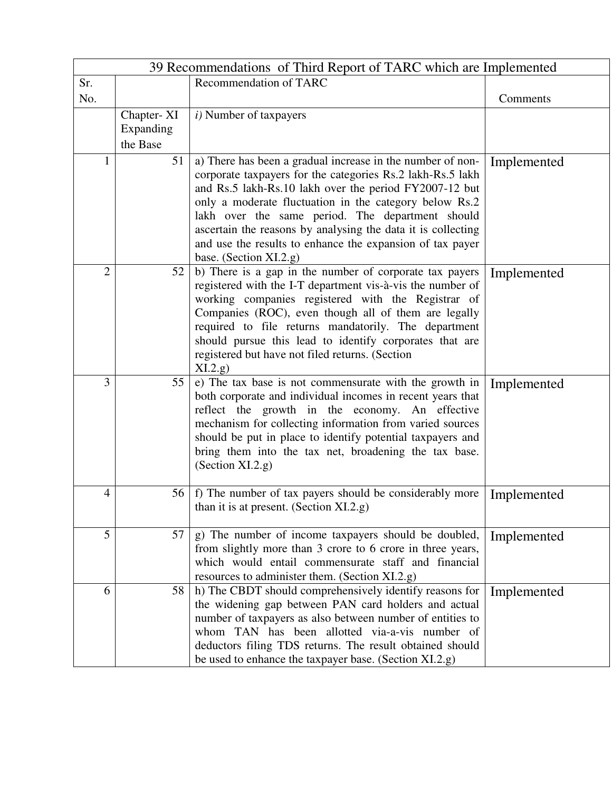|                | 39 Recommendations of Third Report of TARC which are Implemented |                                                                                                                                                                                                                                                                                                                                                                                                                                                         |             |  |
|----------------|------------------------------------------------------------------|---------------------------------------------------------------------------------------------------------------------------------------------------------------------------------------------------------------------------------------------------------------------------------------------------------------------------------------------------------------------------------------------------------------------------------------------------------|-------------|--|
| Sr.            |                                                                  | Recommendation of TARC                                                                                                                                                                                                                                                                                                                                                                                                                                  |             |  |
| No.            |                                                                  |                                                                                                                                                                                                                                                                                                                                                                                                                                                         | Comments    |  |
|                | Chapter-XI<br>Expanding<br>the Base                              | $i)$ Number of taxpayers                                                                                                                                                                                                                                                                                                                                                                                                                                |             |  |
| 1              | 51                                                               | a) There has been a gradual increase in the number of non-<br>corporate taxpayers for the categories Rs.2 lakh-Rs.5 lakh<br>and Rs.5 lakh-Rs.10 lakh over the period FY2007-12 but<br>only a moderate fluctuation in the category below Rs.2<br>lakh over the same period. The department should<br>ascertain the reasons by analysing the data it is collecting<br>and use the results to enhance the expansion of tax payer<br>base. (Section XI.2.g) | Implemented |  |
| $\overline{2}$ | 52                                                               | b) There is a gap in the number of corporate tax payers<br>registered with the I-T department vis-à-vis the number of<br>working companies registered with the Registrar of<br>Companies (ROC), even though all of them are legally<br>required to file returns mandatorily. The department<br>should pursue this lead to identify corporates that are<br>registered but have not filed returns. (Section<br>XI.2.g.)                                   | Implemented |  |
| 3              | 55                                                               | e) The tax base is not commensurate with the growth in<br>both corporate and individual incomes in recent years that<br>reflect the growth in the economy. An effective<br>mechanism for collecting information from varied sources<br>should be put in place to identify potential taxpayers and<br>bring them into the tax net, broadening the tax base.<br>(Section XI.2.g)                                                                          | Implemented |  |
| 4              | 56                                                               | f) The number of tax payers should be considerably more<br>than it is at present. (Section $XI.2.g.$ )                                                                                                                                                                                                                                                                                                                                                  | Implemented |  |
| 5              | 57                                                               | g) The number of income taxpayers should be doubled,<br>from slightly more than 3 crore to 6 crore in three years,<br>which would entail commensurate staff and financial<br>resources to administer them. (Section XI.2.g)                                                                                                                                                                                                                             | Implemented |  |
| 6              | 58                                                               | h) The CBDT should comprehensively identify reasons for<br>the widening gap between PAN card holders and actual<br>number of taxpayers as also between number of entities to<br>whom TAN has been allotted via-a-vis number of<br>deductors filing TDS returns. The result obtained should<br>be used to enhance the taxpayer base. (Section XI.2.g)                                                                                                    | Implemented |  |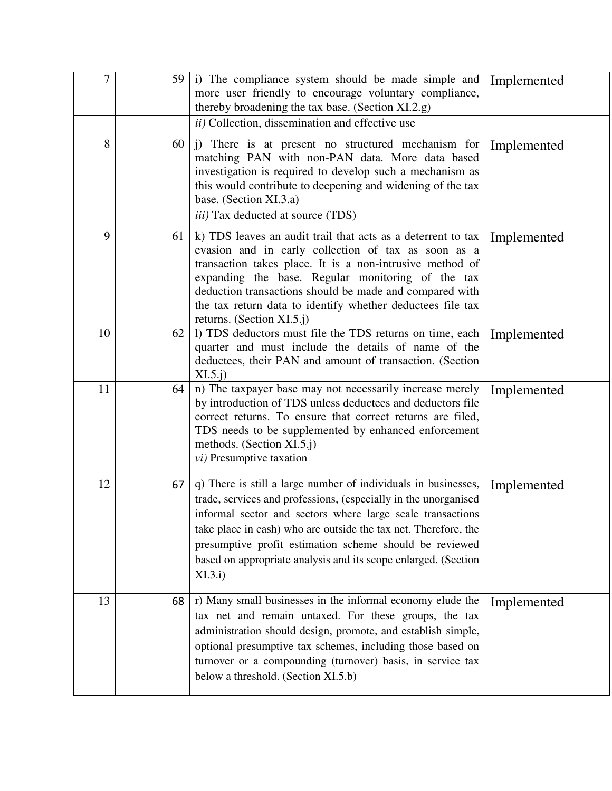| 7  | 59 | i) The compliance system should be made simple and<br>more user friendly to encourage voluntary compliance,<br>thereby broadening the tax base. (Section XI.2.g)                                                                                                                                                                                                                                           | Implemented |
|----|----|------------------------------------------------------------------------------------------------------------------------------------------------------------------------------------------------------------------------------------------------------------------------------------------------------------------------------------------------------------------------------------------------------------|-------------|
|    |    | ii) Collection, dissemination and effective use                                                                                                                                                                                                                                                                                                                                                            |             |
| 8  | 60 | j) There is at present no structured mechanism for<br>matching PAN with non-PAN data. More data based<br>investigation is required to develop such a mechanism as<br>this would contribute to deepening and widening of the tax<br>base. (Section XI.3.a)                                                                                                                                                  | Implemented |
|    |    | <i>iii</i> ) Tax deducted at source (TDS)                                                                                                                                                                                                                                                                                                                                                                  |             |
| 9  | 61 | k) TDS leaves an audit trail that acts as a deterrent to tax<br>evasion and in early collection of tax as soon as a<br>transaction takes place. It is a non-intrusive method of<br>expanding the base. Regular monitoring of the tax<br>deduction transactions should be made and compared with<br>the tax return data to identify whether deductees file tax<br>returns. (Section XI.5.j)                 | Implemented |
| 10 | 62 | 1) TDS deductors must file the TDS returns on time, each<br>quarter and must include the details of name of the<br>deductees, their PAN and amount of transaction. (Section<br>$XI.5.$ j $)$                                                                                                                                                                                                               | Implemented |
| 11 | 64 | n) The taxpayer base may not necessarily increase merely<br>by introduction of TDS unless deductees and deductors file<br>correct returns. To ensure that correct returns are filed,<br>TDS needs to be supplemented by enhanced enforcement<br>methods. (Section XI.5.j)                                                                                                                                  | Implemented |
|    |    | <i>vi</i> ) Presumptive taxation                                                                                                                                                                                                                                                                                                                                                                           |             |
| 12 | 67 | q) There is still a large number of individuals in businesses,<br>trade, services and professions, (especially in the unorganised<br>informal sector and sectors where large scale transactions<br>take place in cash) who are outside the tax net. Therefore, the<br>presumptive profit estimation scheme should be reviewed<br>based on appropriate analysis and its scope enlarged. (Section<br>XI.3.i) | Implemented |
| 13 | 68 | r) Many small businesses in the informal economy elude the<br>tax net and remain untaxed. For these groups, the tax<br>administration should design, promote, and establish simple,<br>optional presumptive tax schemes, including those based on<br>turnover or a compounding (turnover) basis, in service tax<br>below a threshold. (Section XI.5.b)                                                     | Implemented |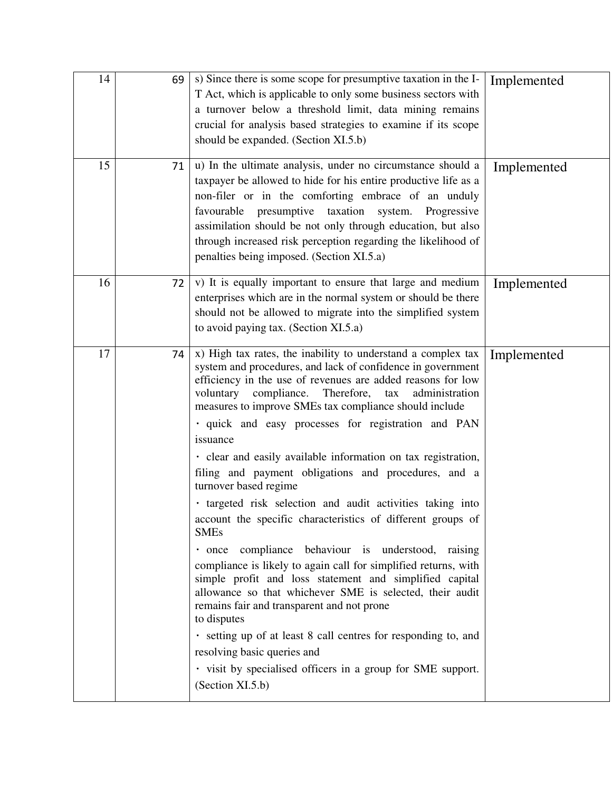| 14 | 69 | s) Since there is some scope for presumptive taxation in the I-<br>T Act, which is applicable to only some business sectors with<br>a turnover below a threshold limit, data mining remains<br>crucial for analysis based strategies to examine if its scope<br>should be expanded. (Section XI.5.b)                                                                                                                                                                                                                                                                                                                                                                                                                                                                                                                                                                                                                                                                                                                                                                                                                                                                                      | Implemented |
|----|----|-------------------------------------------------------------------------------------------------------------------------------------------------------------------------------------------------------------------------------------------------------------------------------------------------------------------------------------------------------------------------------------------------------------------------------------------------------------------------------------------------------------------------------------------------------------------------------------------------------------------------------------------------------------------------------------------------------------------------------------------------------------------------------------------------------------------------------------------------------------------------------------------------------------------------------------------------------------------------------------------------------------------------------------------------------------------------------------------------------------------------------------------------------------------------------------------|-------------|
| 15 | 71 | u) In the ultimate analysis, under no circumstance should a<br>taxpayer be allowed to hide for his entire productive life as a<br>non-filer or in the comforting embrace of an unduly<br>presumptive taxation system.<br>favourable<br>Progressive<br>assimilation should be not only through education, but also<br>through increased risk perception regarding the likelihood of<br>penalties being imposed. (Section XI.5.a)                                                                                                                                                                                                                                                                                                                                                                                                                                                                                                                                                                                                                                                                                                                                                           | Implemented |
| 16 | 72 | v) It is equally important to ensure that large and medium<br>enterprises which are in the normal system or should be there<br>should not be allowed to migrate into the simplified system<br>to avoid paying tax. (Section XI.5.a)                                                                                                                                                                                                                                                                                                                                                                                                                                                                                                                                                                                                                                                                                                                                                                                                                                                                                                                                                       | Implemented |
| 17 | 74 | x) High tax rates, the inability to understand a complex tax<br>system and procedures, and lack of confidence in government<br>efficiency in the use of revenues are added reasons for low<br>compliance.<br>Therefore,<br>tax<br>administration<br>voluntary<br>measures to improve SMEs tax compliance should include<br>· quick and easy processes for registration and PAN<br>issuance<br>· clear and easily available information on tax registration,<br>filing and payment obligations and procedures, and a<br>turnover based regime<br>· targeted risk selection and audit activities taking into<br>account the specific characteristics of different groups of<br><b>SMEs</b><br>· once compliance behaviour is understood, raising<br>compliance is likely to again call for simplified returns, with<br>simple profit and loss statement and simplified capital<br>allowance so that whichever SME is selected, their audit<br>remains fair and transparent and not prone<br>to disputes<br>· setting up of at least 8 call centres for responding to, and<br>resolving basic queries and<br>· visit by specialised officers in a group for SME support.<br>(Section XI.5.b) | Implemented |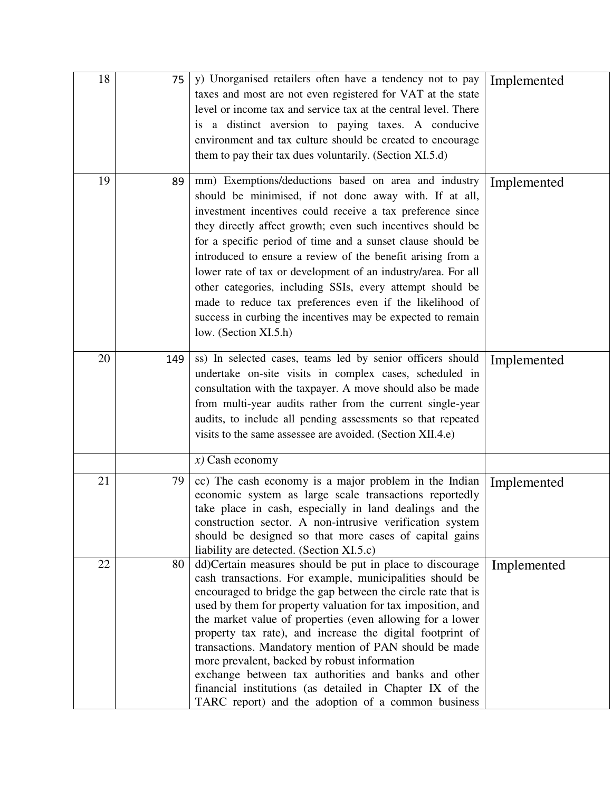| 18 | 75  | y) Unorganised retailers often have a tendency not to pay<br>taxes and most are not even registered for VAT at the state<br>level or income tax and service tax at the central level. There<br>is a distinct aversion to paying taxes. A conducive<br>environment and tax culture should be created to encourage<br>them to pay their tax dues voluntarily. (Section XI.5.d)                                                                                                                                                                                                                                                                                     | Implemented |
|----|-----|------------------------------------------------------------------------------------------------------------------------------------------------------------------------------------------------------------------------------------------------------------------------------------------------------------------------------------------------------------------------------------------------------------------------------------------------------------------------------------------------------------------------------------------------------------------------------------------------------------------------------------------------------------------|-------------|
| 19 | 89  | mm) Exemptions/deductions based on area and industry<br>should be minimised, if not done away with. If at all,<br>investment incentives could receive a tax preference since<br>they directly affect growth; even such incentives should be<br>for a specific period of time and a sunset clause should be<br>introduced to ensure a review of the benefit arising from a<br>lower rate of tax or development of an industry/area. For all<br>other categories, including SSIs, every attempt should be<br>made to reduce tax preferences even if the likelihood of<br>success in curbing the incentives may be expected to remain<br>low. (Section XI.5.h)      | Implemented |
| 20 | 149 | ss) In selected cases, teams led by senior officers should<br>undertake on-site visits in complex cases, scheduled in<br>consultation with the taxpayer. A move should also be made<br>from multi-year audits rather from the current single-year<br>audits, to include all pending assessments so that repeated<br>visits to the same assessee are avoided. (Section XII.4.e)                                                                                                                                                                                                                                                                                   | Implemented |
|    |     | $x)$ Cash economy                                                                                                                                                                                                                                                                                                                                                                                                                                                                                                                                                                                                                                                |             |
| 21 | 79  | cc) The cash economy is a major problem in the Indian<br>economic system as large scale transactions reportedly<br>take place in cash, especially in land dealings and the<br>construction sector. A non-intrusive verification system<br>should be designed so that more cases of capital gains<br>liability are detected. (Section XI.5.c)                                                                                                                                                                                                                                                                                                                     | Implemented |
| 22 | 80  | dd)Certain measures should be put in place to discourage<br>cash transactions. For example, municipalities should be<br>encouraged to bridge the gap between the circle rate that is<br>used by them for property valuation for tax imposition, and<br>the market value of properties (even allowing for a lower<br>property tax rate), and increase the digital footprint of<br>transactions. Mandatory mention of PAN should be made<br>more prevalent, backed by robust information<br>exchange between tax authorities and banks and other<br>financial institutions (as detailed in Chapter IX of the<br>TARC report) and the adoption of a common business | Implemented |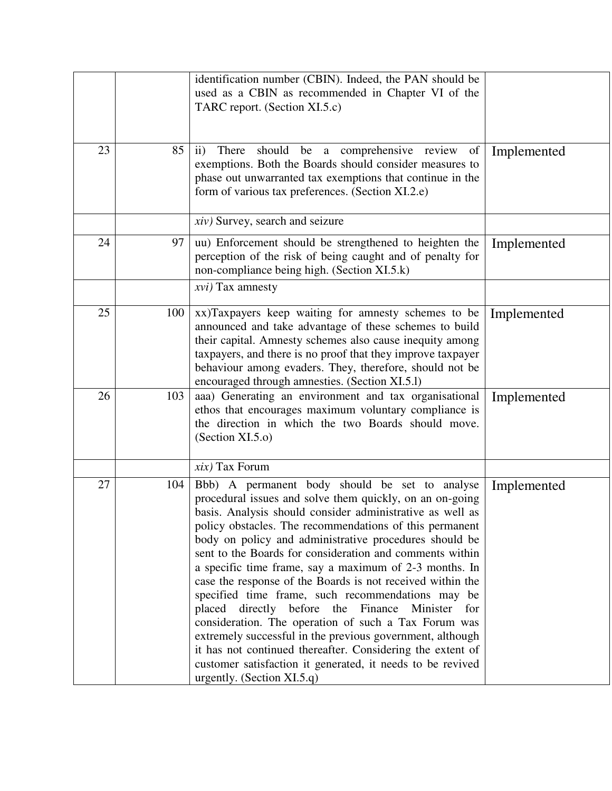|    |     | identification number (CBIN). Indeed, the PAN should be<br>used as a CBIN as recommended in Chapter VI of the<br>TARC report. (Section XI.5.c)                                                                                                                                                                                                                                                                                                                                                                                                                                                                                                                                                                                                                                                                                                                                |             |
|----|-----|-------------------------------------------------------------------------------------------------------------------------------------------------------------------------------------------------------------------------------------------------------------------------------------------------------------------------------------------------------------------------------------------------------------------------------------------------------------------------------------------------------------------------------------------------------------------------------------------------------------------------------------------------------------------------------------------------------------------------------------------------------------------------------------------------------------------------------------------------------------------------------|-------------|
| 23 | 85  | $\mathbf{ii}$<br>should<br>be a comprehensive review<br>There<br>of<br>exemptions. Both the Boards should consider measures to<br>phase out unwarranted tax exemptions that continue in the<br>form of various tax preferences. (Section XI.2.e)                                                                                                                                                                                                                                                                                                                                                                                                                                                                                                                                                                                                                              | Implemented |
|    |     | <i>xiv</i> ) Survey, search and seizure                                                                                                                                                                                                                                                                                                                                                                                                                                                                                                                                                                                                                                                                                                                                                                                                                                       |             |
| 24 | 97  | uu) Enforcement should be strengthened to heighten the<br>perception of the risk of being caught and of penalty for<br>non-compliance being high. (Section XI.5.k)                                                                                                                                                                                                                                                                                                                                                                                                                                                                                                                                                                                                                                                                                                            | Implemented |
|    |     | $xvi)$ Tax amnesty                                                                                                                                                                                                                                                                                                                                                                                                                                                                                                                                                                                                                                                                                                                                                                                                                                                            |             |
| 25 | 100 | xx)Taxpayers keep waiting for amnesty schemes to be<br>announced and take advantage of these schemes to build<br>their capital. Amnesty schemes also cause inequity among<br>taxpayers, and there is no proof that they improve taxpayer<br>behaviour among evaders. They, therefore, should not be<br>encouraged through amnesties. (Section XI.5.1)                                                                                                                                                                                                                                                                                                                                                                                                                                                                                                                         | Implemented |
| 26 | 103 | aaa) Generating an environment and tax organisational<br>ethos that encourages maximum voluntary compliance is<br>the direction in which the two Boards should move.<br>(Section XI.5.0)                                                                                                                                                                                                                                                                                                                                                                                                                                                                                                                                                                                                                                                                                      | Implemented |
|    |     | $xix$ ) Tax Forum                                                                                                                                                                                                                                                                                                                                                                                                                                                                                                                                                                                                                                                                                                                                                                                                                                                             |             |
| 27 | 104 | Bbb) A permanent body should be set to analyse<br>procedural issues and solve them quickly, on an on-going<br>basis. Analysis should consider administrative as well as<br>policy obstacles. The recommendations of this permanent<br>body on policy and administrative procedures should be<br>sent to the Boards for consideration and comments within<br>a specific time frame, say a maximum of 2-3 months. In<br>case the response of the Boards is not received within the<br>specified time frame, such recommendations may be<br>directly before the Finance Minister<br>placed<br>for<br>consideration. The operation of such a Tax Forum was<br>extremely successful in the previous government, although<br>it has not continued thereafter. Considering the extent of<br>customer satisfaction it generated, it needs to be revived<br>urgently. (Section XI.5.q) | Implemented |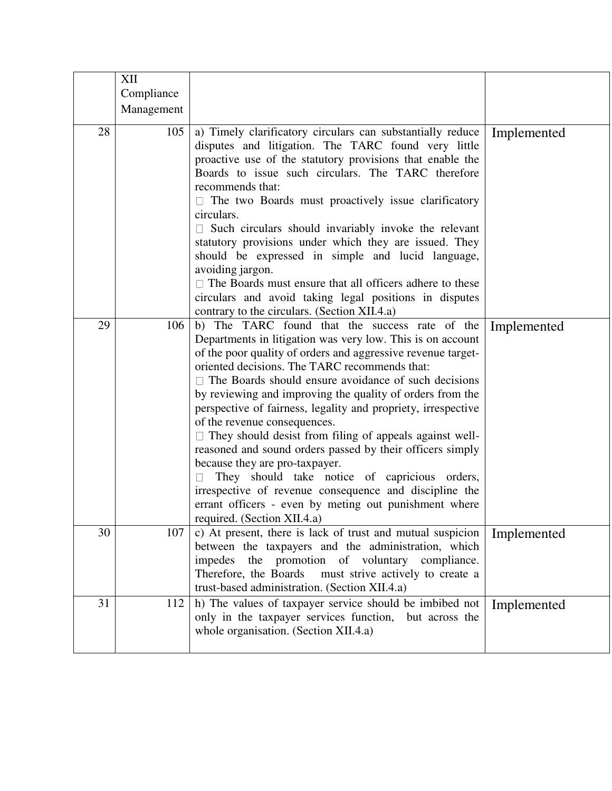|    | XII        |                                                                                                                                                                                                                                                                                                                                                                                                                                                                                                                                                                                                                                                                                                                                                                                                                         |             |
|----|------------|-------------------------------------------------------------------------------------------------------------------------------------------------------------------------------------------------------------------------------------------------------------------------------------------------------------------------------------------------------------------------------------------------------------------------------------------------------------------------------------------------------------------------------------------------------------------------------------------------------------------------------------------------------------------------------------------------------------------------------------------------------------------------------------------------------------------------|-------------|
|    | Compliance |                                                                                                                                                                                                                                                                                                                                                                                                                                                                                                                                                                                                                                                                                                                                                                                                                         |             |
|    | Management |                                                                                                                                                                                                                                                                                                                                                                                                                                                                                                                                                                                                                                                                                                                                                                                                                         |             |
| 28 | 105        | a) Timely clarificatory circulars can substantially reduce<br>disputes and litigation. The TARC found very little<br>proactive use of the statutory provisions that enable the<br>Boards to issue such circulars. The TARC therefore<br>recommends that:<br>$\Box$ The two Boards must proactively issue clarificatory<br>circulars.<br>$\Box$ Such circulars should invariably invoke the relevant<br>statutory provisions under which they are issued. They<br>should be expressed in simple and lucid language,<br>avoiding jargon.<br>$\Box$ The Boards must ensure that all officers adhere to these<br>circulars and avoid taking legal positions in disputes<br>contrary to the circulars. (Section XII.4.a)                                                                                                     | Implemented |
| 29 | 106        | b) The TARC found that the success rate of the<br>Departments in litigation was very low. This is on account<br>of the poor quality of orders and aggressive revenue target-<br>oriented decisions. The TARC recommends that:<br>The Boards should ensure avoidance of such decisions<br>by reviewing and improving the quality of orders from the<br>perspective of fairness, legality and propriety, irrespective<br>of the revenue consequences.<br>$\Box$ They should desist from filing of appeals against well-<br>reasoned and sound orders passed by their officers simply<br>because they are pro-taxpayer.<br>They should take notice of capricious orders,<br>irrespective of revenue consequence and discipline the<br>errant officers - even by meting out punishment where<br>required. (Section XII.4.a) | Implemented |
| 30 | 107        | c) At present, there is lack of trust and mutual suspicion<br>between the taxpayers and the administration, which<br>the promotion of voluntary compliance.<br>impedes<br>Therefore, the Boards<br>must strive actively to create a<br>trust-based administration. (Section XII.4.a)                                                                                                                                                                                                                                                                                                                                                                                                                                                                                                                                    | Implemented |
| 31 | 112        | h) The values of taxpayer service should be imbibed not<br>only in the taxpayer services function, but across the<br>whole organisation. (Section XII.4.a)                                                                                                                                                                                                                                                                                                                                                                                                                                                                                                                                                                                                                                                              | Implemented |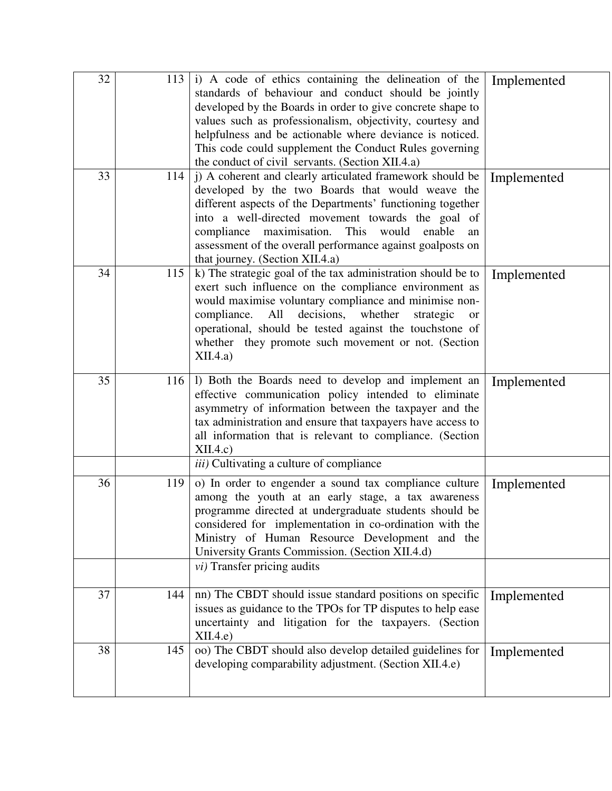| 32 | 113 | i) A code of ethics containing the delineation of the<br>standards of behaviour and conduct should be jointly<br>developed by the Boards in order to give concrete shape to<br>values such as professionalism, objectivity, courtesy and<br>helpfulness and be actionable where deviance is noticed.<br>This code could supplement the Conduct Rules governing<br>the conduct of civil servants. (Section XII.4.a) | Implemented |
|----|-----|--------------------------------------------------------------------------------------------------------------------------------------------------------------------------------------------------------------------------------------------------------------------------------------------------------------------------------------------------------------------------------------------------------------------|-------------|
| 33 | 114 | j) A coherent and clearly articulated framework should be<br>developed by the two Boards that would weave the<br>different aspects of the Departments' functioning together<br>into a well-directed movement towards the goal of<br>compliance maximisation. This would enable<br>an<br>assessment of the overall performance against goalposts on<br>that journey. (Section XII.4.a)                              | Implemented |
| 34 | 115 | k) The strategic goal of the tax administration should be to<br>exert such influence on the compliance environment as<br>would maximise voluntary compliance and minimise non-<br>compliance. All<br>decisions, whether<br>strategic<br><b>or</b><br>operational, should be tested against the touchstone of<br>whether they promote such movement or not. (Section<br>XII.4.a)                                    | Implemented |
| 35 | 116 | 1) Both the Boards need to develop and implement an<br>effective communication policy intended to eliminate<br>asymmetry of information between the taxpayer and the<br>tax administration and ensure that taxpayers have access to<br>all information that is relevant to compliance. (Section<br>XII.4.c)                                                                                                        | Implemented |
|    |     | iii) Cultivating a culture of compliance                                                                                                                                                                                                                                                                                                                                                                           |             |
| 36 | 119 | o) In order to engender a sound tax compliance culture<br>among the youth at an early stage, a tax awareness<br>programme directed at undergraduate students should be<br>considered for implementation in co-ordination with the<br>Ministry of Human Resource Development and the<br>University Grants Commission. (Section XII.4.d)                                                                             | Implemented |
|    |     | $vi)$ Transfer pricing audits                                                                                                                                                                                                                                                                                                                                                                                      |             |
| 37 | 144 | nn) The CBDT should issue standard positions on specific<br>issues as guidance to the TPOs for TP disputes to help ease<br>uncertainty and litigation for the taxpayers. (Section<br>XII.4.e                                                                                                                                                                                                                       | Implemented |
| 38 | 145 | oo) The CBDT should also develop detailed guidelines for<br>developing comparability adjustment. (Section XII.4.e)                                                                                                                                                                                                                                                                                                 | Implemented |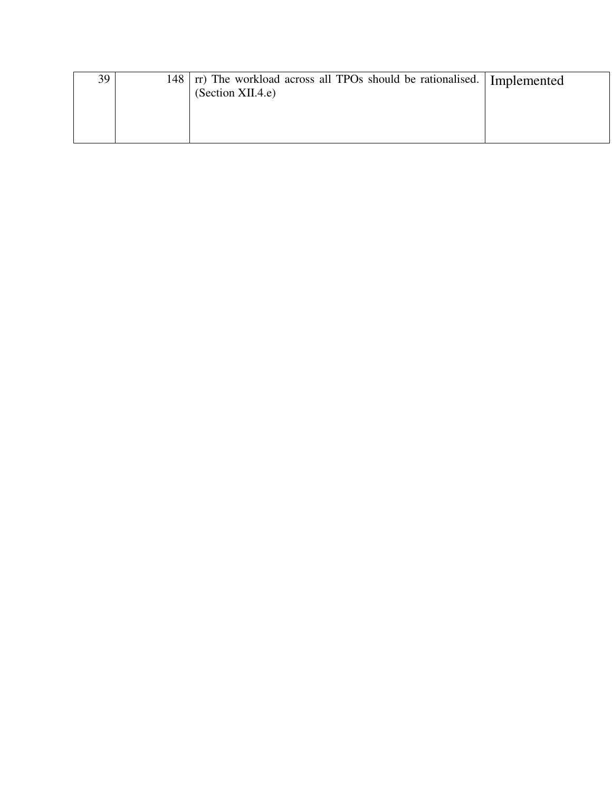| 39 | 148   rr) The workload across all TPOs should be rationalised.   Implemented |  |
|----|------------------------------------------------------------------------------|--|
|    | (Section XII.4.e)                                                            |  |
|    |                                                                              |  |
|    |                                                                              |  |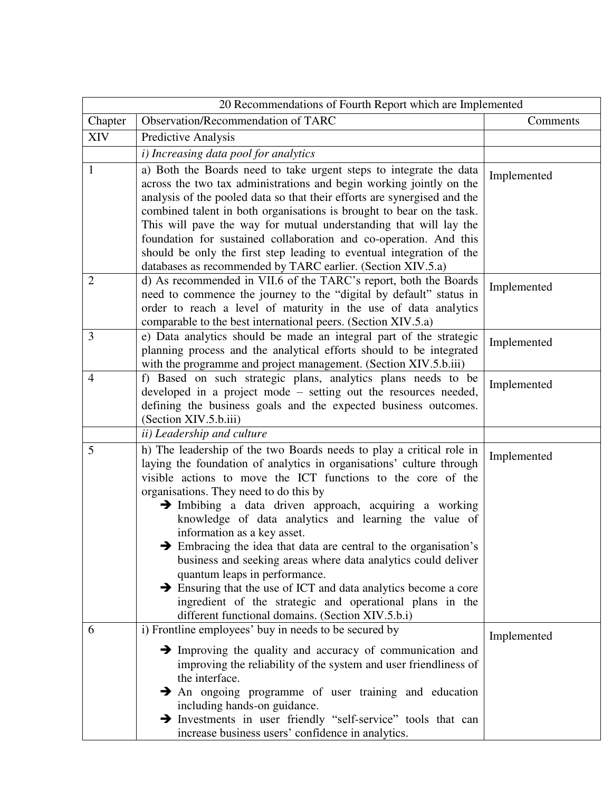|                | 20 Recommendations of Fourth Report which are Implemented                                                                                                                                                                                                                                                                                                                                                                                                                                                                                                                                                                                                                                                                                                                  |             |  |  |
|----------------|----------------------------------------------------------------------------------------------------------------------------------------------------------------------------------------------------------------------------------------------------------------------------------------------------------------------------------------------------------------------------------------------------------------------------------------------------------------------------------------------------------------------------------------------------------------------------------------------------------------------------------------------------------------------------------------------------------------------------------------------------------------------------|-------------|--|--|
| Chapter        | Observation/Recommendation of TARC                                                                                                                                                                                                                                                                                                                                                                                                                                                                                                                                                                                                                                                                                                                                         | Comments    |  |  |
| <b>XIV</b>     | Predictive Analysis                                                                                                                                                                                                                                                                                                                                                                                                                                                                                                                                                                                                                                                                                                                                                        |             |  |  |
|                | i) Increasing data pool for analytics                                                                                                                                                                                                                                                                                                                                                                                                                                                                                                                                                                                                                                                                                                                                      |             |  |  |
| 1              | a) Both the Boards need to take urgent steps to integrate the data<br>across the two tax administrations and begin working jointly on the<br>analysis of the pooled data so that their efforts are synergised and the                                                                                                                                                                                                                                                                                                                                                                                                                                                                                                                                                      | Implemented |  |  |
|                | combined talent in both organisations is brought to bear on the task.<br>This will pave the way for mutual understanding that will lay the<br>foundation for sustained collaboration and co-operation. And this<br>should be only the first step leading to eventual integration of the<br>databases as recommended by TARC earlier. (Section XIV.5.a)                                                                                                                                                                                                                                                                                                                                                                                                                     |             |  |  |
| $\overline{2}$ | d) As recommended in VII.6 of the TARC's report, both the Boards<br>need to commence the journey to the "digital by default" status in<br>order to reach a level of maturity in the use of data analytics<br>comparable to the best international peers. (Section XIV.5.a)                                                                                                                                                                                                                                                                                                                                                                                                                                                                                                 | Implemented |  |  |
| 3              | e) Data analytics should be made an integral part of the strategic<br>planning process and the analytical efforts should to be integrated<br>with the programme and project management. (Section XIV.5.b.iii)                                                                                                                                                                                                                                                                                                                                                                                                                                                                                                                                                              | Implemented |  |  |
| 4              | f) Based on such strategic plans, analytics plans needs to be<br>developed in a project mode – setting out the resources needed,<br>defining the business goals and the expected business outcomes.<br>(Section XIV.5.b.iii)                                                                                                                                                                                                                                                                                                                                                                                                                                                                                                                                               | Implemented |  |  |
|                | <i>ii</i> ) Leadership and culture                                                                                                                                                                                                                                                                                                                                                                                                                                                                                                                                                                                                                                                                                                                                         |             |  |  |
| 5              | h) The leadership of the two Boards needs to play a critical role in<br>laying the foundation of analytics in organisations' culture through<br>visible actions to move the ICT functions to the core of the<br>organisations. They need to do this by<br>$\rightarrow$ Imbibing a data driven approach, acquiring a working<br>knowledge of data analytics and learning the value of<br>information as a key asset.<br>Embracing the idea that data are central to the organisation's<br>business and seeking areas where data analytics could deliver<br>quantum leaps in performance.<br>Ensuring that the use of ICT and data analytics become a core<br>ingredient of the strategic and operational plans in the<br>different functional domains. (Section XIV.5.b.i) | Implemented |  |  |
| 6              | i) Frontline employees' buy in needs to be secured by<br>$\rightarrow$ Improving the quality and accuracy of communication and<br>improving the reliability of the system and user friendliness of<br>the interface.<br>An ongoing programme of user training and education<br>including hands-on guidance.<br>> Investments in user friendly "self-service" tools that can<br>increase business users' confidence in analytics.                                                                                                                                                                                                                                                                                                                                           | Implemented |  |  |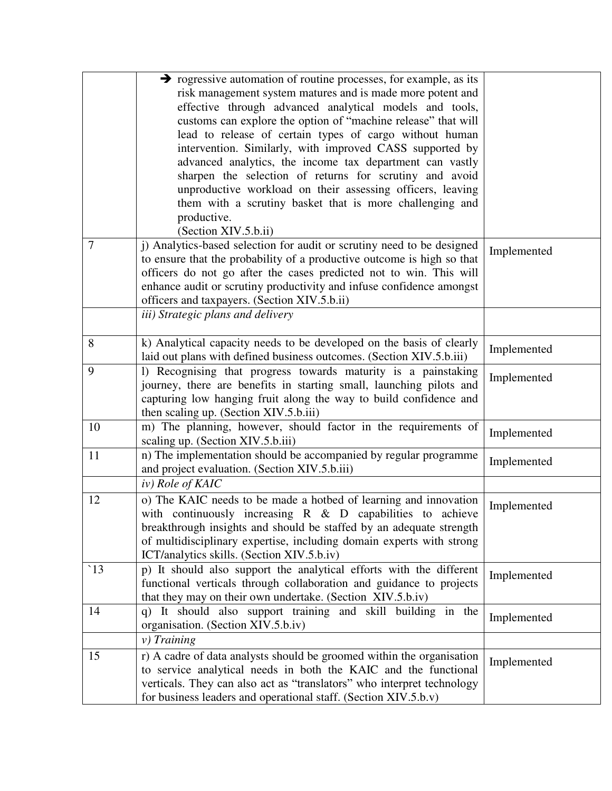|                    | $\rightarrow$ rogressive automation of routine processes, for example, as its                                        |             |
|--------------------|----------------------------------------------------------------------------------------------------------------------|-------------|
|                    | risk management system matures and is made more potent and                                                           |             |
|                    | effective through advanced analytical models and tools,                                                              |             |
|                    | customs can explore the option of "machine release" that will                                                        |             |
|                    | lead to release of certain types of cargo without human                                                              |             |
|                    | intervention. Similarly, with improved CASS supported by                                                             |             |
|                    | advanced analytics, the income tax department can vastly                                                             |             |
|                    | sharpen the selection of returns for scrutiny and avoid                                                              |             |
|                    | unproductive workload on their assessing officers, leaving                                                           |             |
|                    | them with a scrutiny basket that is more challenging and                                                             |             |
|                    | productive.                                                                                                          |             |
|                    | (Section XIV.5.b.ii)                                                                                                 |             |
| 7                  | j) Analytics-based selection for audit or scrutiny need to be designed                                               | Implemented |
|                    | to ensure that the probability of a productive outcome is high so that                                               |             |
|                    | officers do not go after the cases predicted not to win. This will                                                   |             |
|                    | enhance audit or scrutiny productivity and infuse confidence amongst<br>officers and taxpayers. (Section XIV.5.b.ii) |             |
|                    | iii) Strategic plans and delivery                                                                                    |             |
|                    |                                                                                                                      |             |
| 8                  | k) Analytical capacity needs to be developed on the basis of clearly                                                 | Implemented |
|                    | laid out plans with defined business outcomes. (Section XIV.5.b.iii)                                                 |             |
| 9                  | 1) Recognising that progress towards maturity is a painstaking                                                       | Implemented |
|                    | journey, there are benefits in starting small, launching pilots and                                                  |             |
|                    | capturing low hanging fruit along the way to build confidence and                                                    |             |
|                    | then scaling up. (Section XIV.5.b.iii)                                                                               |             |
| 10                 | m) The planning, however, should factor in the requirements of                                                       | Implemented |
|                    | scaling up. (Section XIV.5.b.iii)                                                                                    |             |
| 11                 | n) The implementation should be accompanied by regular programme                                                     | Implemented |
|                    | and project evaluation. (Section XIV.5.b.iii)                                                                        |             |
|                    | iv) Role of KAIC                                                                                                     |             |
| 12                 | o) The KAIC needs to be made a hotbed of learning and innovation                                                     | Implemented |
|                    | with continuously increasing $R \& D$ capabilities to achieve                                                        |             |
|                    | breakthrough insights and should be staffed by an adequate strength                                                  |             |
|                    | of multidisciplinary expertise, including domain experts with strong                                                 |             |
|                    | ICT/analytics skills. (Section XIV.5.b.iv)                                                                           |             |
| $\lceil 13 \rceil$ | p) It should also support the analytical efforts with the different                                                  | Implemented |
|                    | functional verticals through collaboration and guidance to projects                                                  |             |
|                    | that they may on their own undertake. (Section XIV.5.b.iv)                                                           |             |
| 14                 | q) It should also support training and skill building in the                                                         | Implemented |
|                    | organisation. (Section XIV.5.b.iv)                                                                                   |             |
|                    | $v)$ Training                                                                                                        |             |
| 15                 | r) A cadre of data analysts should be groomed within the organisation                                                | Implemented |
|                    | to service analytical needs in both the KAIC and the functional                                                      |             |
|                    | verticals. They can also act as "translators" who interpret technology                                               |             |
|                    | for business leaders and operational staff. (Section XIV.5.b.v)                                                      |             |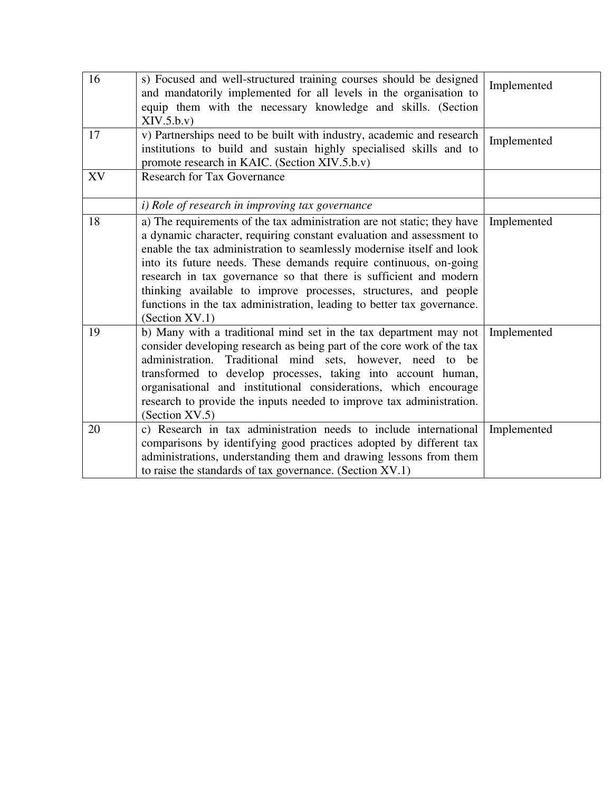| 16 | s) Focused and well-structured training courses should be designed<br>and mandatorily implemented for all levels in the organisation to<br>equip them with the necessary knowledge and skills. (Section<br>XIV.5.b.v)                                                                                                                                                                                                                                                                                                             | Implemented |
|----|-----------------------------------------------------------------------------------------------------------------------------------------------------------------------------------------------------------------------------------------------------------------------------------------------------------------------------------------------------------------------------------------------------------------------------------------------------------------------------------------------------------------------------------|-------------|
| 17 | v) Partnerships need to be built with industry, academic and research<br>institutions to build and sustain highly specialised skills and to<br>promote research in KAIC. (Section XIV.5.b.v)                                                                                                                                                                                                                                                                                                                                      | Implemented |
| XV | <b>Research for Tax Governance</b>                                                                                                                                                                                                                                                                                                                                                                                                                                                                                                |             |
|    | i) Role of research in improving tax governance                                                                                                                                                                                                                                                                                                                                                                                                                                                                                   |             |
| 18 | a) The requirements of the tax administration are not static; they have<br>a dynamic character, requiring constant evaluation and assessment to<br>enable the tax administration to seamlessly modernise itself and look<br>into its future needs. These demands require continuous, on-going<br>research in tax governance so that there is sufficient and modern<br>thinking available to improve processes, structures, and people<br>functions in the tax administration, leading to better tax governance.<br>(Section XV.1) | Implemented |
| 19 | b) Many with a traditional mind set in the tax department may not<br>consider developing research as being part of the core work of the tax<br>administration. Traditional mind sets, however, need to be<br>transformed to develop processes, taking into account human,<br>organisational and institutional considerations, which encourage<br>research to provide the inputs needed to improve tax administration.<br>(Section XV.5)                                                                                           | Implemented |
| 20 | c) Research in tax administration needs to include international<br>comparisons by identifying good practices adopted by different tax<br>administrations, understanding them and drawing lessons from them<br>to raise the standards of tax governance. (Section XV.1)                                                                                                                                                                                                                                                           | Implemented |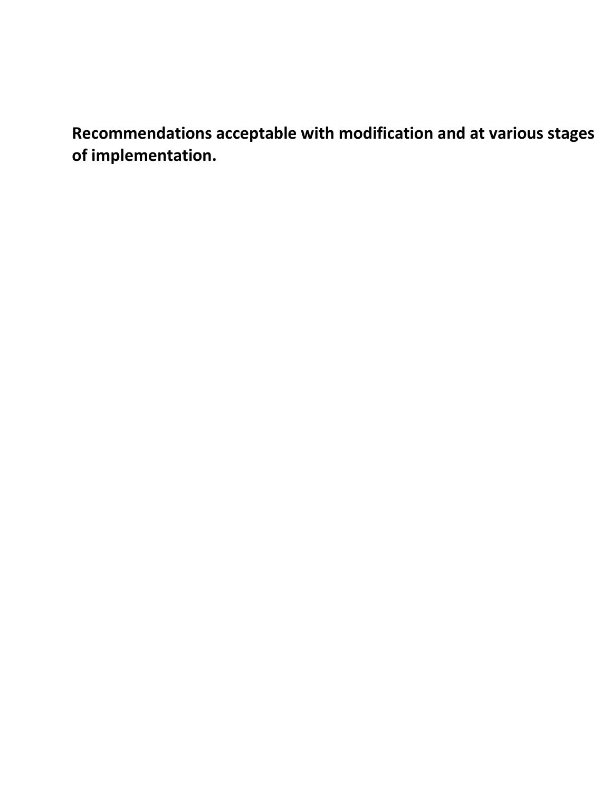**Recommendations acceptable with modification and at various stages of implementation.**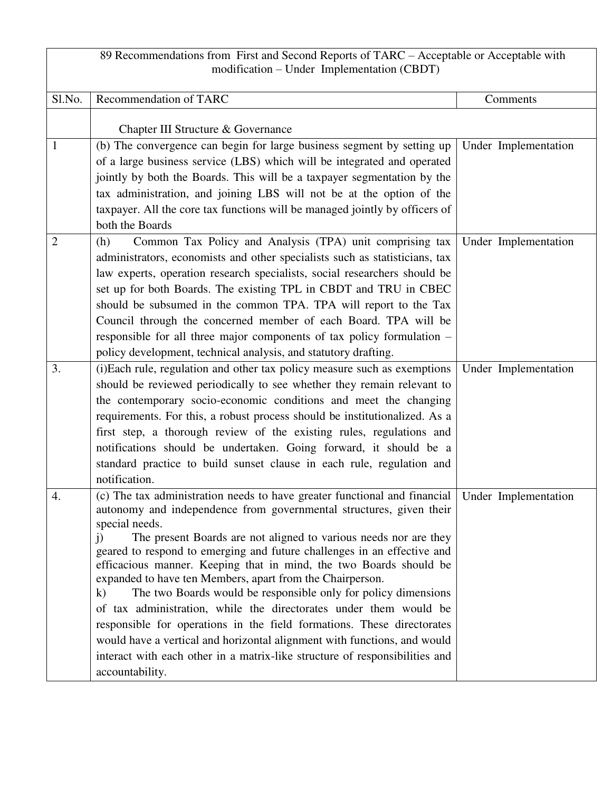| 89 Recommendations from First and Second Reports of TARC - Acceptable or Acceptable with<br>modification – Under Implementation (CBDT) |                                                                                                                                                                                                                                                                                                                                                                                                                                                                                                                                                                                                                                                                                                                                                                                                                                                                               |                      |  |
|----------------------------------------------------------------------------------------------------------------------------------------|-------------------------------------------------------------------------------------------------------------------------------------------------------------------------------------------------------------------------------------------------------------------------------------------------------------------------------------------------------------------------------------------------------------------------------------------------------------------------------------------------------------------------------------------------------------------------------------------------------------------------------------------------------------------------------------------------------------------------------------------------------------------------------------------------------------------------------------------------------------------------------|----------------------|--|
| Sl.No.                                                                                                                                 | Recommendation of TARC                                                                                                                                                                                                                                                                                                                                                                                                                                                                                                                                                                                                                                                                                                                                                                                                                                                        | Comments             |  |
|                                                                                                                                        | Chapter III Structure & Governance                                                                                                                                                                                                                                                                                                                                                                                                                                                                                                                                                                                                                                                                                                                                                                                                                                            |                      |  |
| $\mathbf{1}$                                                                                                                           | (b) The convergence can begin for large business segment by setting up<br>of a large business service (LBS) which will be integrated and operated<br>jointly by both the Boards. This will be a taxpayer segmentation by the<br>tax administration, and joining LBS will not be at the option of the                                                                                                                                                                                                                                                                                                                                                                                                                                                                                                                                                                          | Under Implementation |  |
|                                                                                                                                        | taxpayer. All the core tax functions will be managed jointly by officers of<br>both the Boards                                                                                                                                                                                                                                                                                                                                                                                                                                                                                                                                                                                                                                                                                                                                                                                |                      |  |
| $\overline{2}$                                                                                                                         | Common Tax Policy and Analysis (TPA) unit comprising tax<br>(h)<br>administrators, economists and other specialists such as statisticians, tax<br>law experts, operation research specialists, social researchers should be<br>set up for both Boards. The existing TPL in CBDT and TRU in CBEC<br>should be subsumed in the common TPA. TPA will report to the Tax<br>Council through the concerned member of each Board. TPA will be<br>responsible for all three major components of tax policy formulation –<br>policy development, technical analysis, and statutory drafting.                                                                                                                                                                                                                                                                                           | Under Implementation |  |
| 3.                                                                                                                                     | (i)Each rule, regulation and other tax policy measure such as exemptions<br>should be reviewed periodically to see whether they remain relevant to<br>the contemporary socio-economic conditions and meet the changing<br>requirements. For this, a robust process should be institutionalized. As a<br>first step, a thorough review of the existing rules, regulations and<br>notifications should be undertaken. Going forward, it should be a<br>standard practice to build sunset clause in each rule, regulation and<br>notification.                                                                                                                                                                                                                                                                                                                                   | Under Implementation |  |
| 4.                                                                                                                                     | (c) The tax administration needs to have greater functional and financial<br>autonomy and independence from governmental structures, given their<br>special needs.<br>The present Boards are not aligned to various needs nor are they<br>$\ddot{1}$<br>geared to respond to emerging and future challenges in an effective and<br>efficacious manner. Keeping that in mind, the two Boards should be<br>expanded to have ten Members, apart from the Chairperson.<br>The two Boards would be responsible only for policy dimensions<br>$\bf k)$<br>of tax administration, while the directorates under them would be<br>responsible for operations in the field formations. These directorates<br>would have a vertical and horizontal alignment with functions, and would<br>interact with each other in a matrix-like structure of responsibilities and<br>accountability. | Under Implementation |  |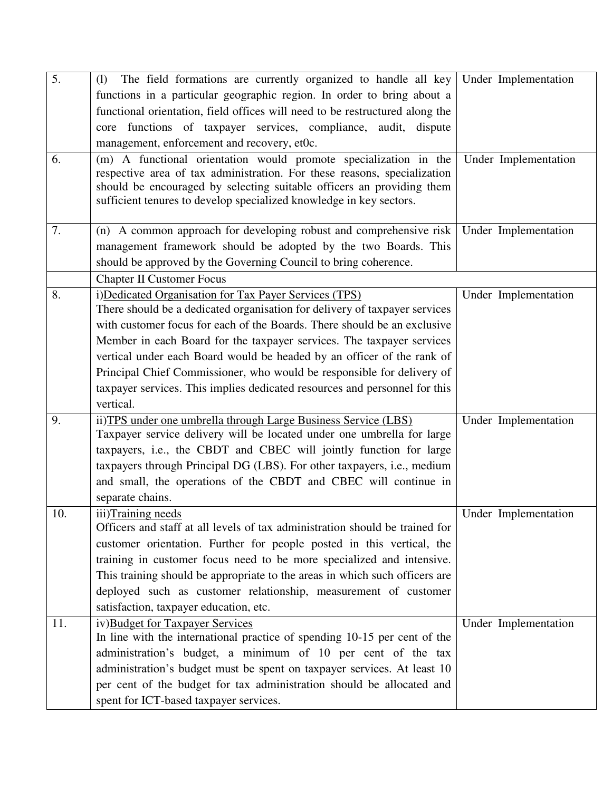| 5.  | The field formations are currently organized to handle all key<br>(1)                                        | Under Implementation |
|-----|--------------------------------------------------------------------------------------------------------------|----------------------|
|     | functions in a particular geographic region. In order to bring about a                                       |                      |
|     | functional orientation, field offices will need to be restructured along the                                 |                      |
|     | core functions of taxpayer services, compliance, audit, dispute                                              |                      |
|     | management, enforcement and recovery, et0c.                                                                  |                      |
| 6.  | (m) A functional orientation would promote specialization in the                                             | Under Implementation |
|     | respective area of tax administration. For these reasons, specialization                                     |                      |
|     | should be encouraged by selecting suitable officers an providing them                                        |                      |
|     | sufficient tenures to develop specialized knowledge in key sectors.                                          |                      |
| 7.  | (n) A common approach for developing robust and comprehensive risk                                           | Under Implementation |
|     | management framework should be adopted by the two Boards. This                                               |                      |
|     | should be approved by the Governing Council to bring coherence.                                              |                      |
|     | <b>Chapter II Customer Focus</b>                                                                             |                      |
| 8.  | i) Dedicated Organisation for Tax Payer Services (TPS)                                                       | Under Implementation |
|     | There should be a dedicated organisation for delivery of taxpayer services                                   |                      |
|     | with customer focus for each of the Boards. There should be an exclusive                                     |                      |
|     | Member in each Board for the taxpayer services. The taxpayer services                                        |                      |
|     | vertical under each Board would be headed by an officer of the rank of                                       |                      |
|     | Principal Chief Commissioner, who would be responsible for delivery of                                       |                      |
|     | taxpayer services. This implies dedicated resources and personnel for this                                   |                      |
|     | vertical.                                                                                                    |                      |
| 9.  | ii) TPS under one umbrella through Large Business Service (LBS)                                              | Under Implementation |
|     | Taxpayer service delivery will be located under one umbrella for large                                       |                      |
|     | taxpayers, i.e., the CBDT and CBEC will jointly function for large                                           |                      |
|     | taxpayers through Principal DG (LBS). For other taxpayers, i.e., medium                                      |                      |
|     | and small, the operations of the CBDT and CBEC will continue in                                              |                      |
|     | separate chains.                                                                                             |                      |
| 10. | iii)Training needs                                                                                           | Under Implementation |
|     | Officers and staff at all levels of tax administration should be trained for                                 |                      |
|     | customer orientation. Further for people posted in this vertical, the                                        |                      |
|     | training in customer focus need to be more specialized and intensive.                                        |                      |
|     | This training should be appropriate to the areas in which such officers are                                  |                      |
|     | deployed such as customer relationship, measurement of customer                                              |                      |
|     | satisfaction, taxpayer education, etc.                                                                       |                      |
| 11. | iv)Budget for Taxpayer Services<br>In line with the international practice of spending 10-15 per cent of the | Under Implementation |
|     | administration's budget, a minimum of 10 per cent of the tax                                                 |                      |
|     | administration's budget must be spent on taxpayer services. At least 10                                      |                      |
|     | per cent of the budget for tax administration should be allocated and                                        |                      |
|     | spent for ICT-based taxpayer services.                                                                       |                      |
|     |                                                                                                              |                      |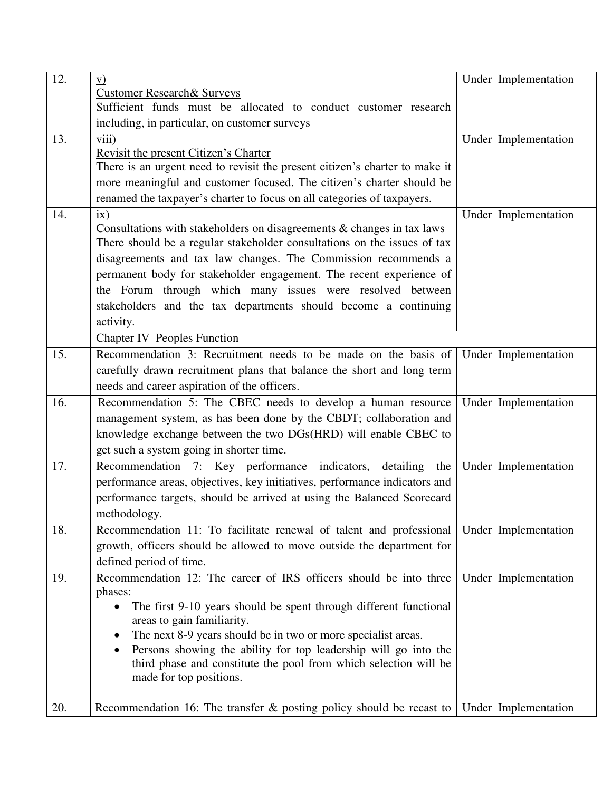| 12. | $\mathbf{V}$                                                                   | Under Implementation |
|-----|--------------------------------------------------------------------------------|----------------------|
|     | <b>Customer Research &amp; Surveys</b>                                         |                      |
|     | Sufficient funds must be allocated to conduct customer research                |                      |
|     | including, in particular, on customer surveys                                  |                      |
| 13. | viii)                                                                          | Under Implementation |
|     | Revisit the present Citizen's Charter                                          |                      |
|     | There is an urgent need to revisit the present citizen's charter to make it    |                      |
|     | more meaningful and customer focused. The citizen's charter should be          |                      |
|     | renamed the taxpayer's charter to focus on all categories of taxpayers.        |                      |
| 14. | ix)                                                                            | Under Implementation |
|     | Consultations with stakeholders on disagreements $\&$ changes in tax laws      |                      |
|     | There should be a regular stakeholder consultations on the issues of tax       |                      |
|     | disagreements and tax law changes. The Commission recommends a                 |                      |
|     | permanent body for stakeholder engagement. The recent experience of            |                      |
|     | the Forum through which many issues were resolved between                      |                      |
|     | stakeholders and the tax departments should become a continuing                |                      |
|     | activity.                                                                      |                      |
|     | <b>Chapter IV</b> Peoples Function                                             |                      |
| 15. | Recommendation 3: Recruitment needs to be made on the basis of                 | Under Implementation |
|     | carefully drawn recruitment plans that balance the short and long term         |                      |
|     | needs and career aspiration of the officers.                                   |                      |
| 16. | Recommendation 5: The CBEC needs to develop a human resource                   | Under Implementation |
|     | management system, as has been done by the CBDT; collaboration and             |                      |
|     |                                                                                |                      |
|     | knowledge exchange between the two DGs(HRD) will enable CBEC to                |                      |
|     | get such a system going in shorter time.                                       |                      |
| 17. | Recommendation 7: Key performance indicators,<br>detailing the                 | Under Implementation |
|     | performance areas, objectives, key initiatives, performance indicators and     |                      |
|     | performance targets, should be arrived at using the Balanced Scorecard         |                      |
|     | methodology.                                                                   |                      |
| 18. | Recommendation 11: To facilitate renewal of talent and professional            | Under Implementation |
|     | growth, officers should be allowed to move outside the department for          |                      |
|     | defined period of time.                                                        |                      |
| 19. | Recommendation 12: The career of IRS officers should be into three             | Under Implementation |
|     | phases:                                                                        |                      |
|     | The first 9-10 years should be spent through different functional<br>$\bullet$ |                      |
|     | areas to gain familiarity.                                                     |                      |
|     | The next 8-9 years should be in two or more specialist areas.<br>٠             |                      |
|     | Persons showing the ability for top leadership will go into the<br>$\bullet$   |                      |
|     | third phase and constitute the pool from which selection will be               |                      |
|     | made for top positions.                                                        |                      |
|     |                                                                                |                      |
| 20. | Recommendation 16: The transfer $\&$ posting policy should be recast to        | Under Implementation |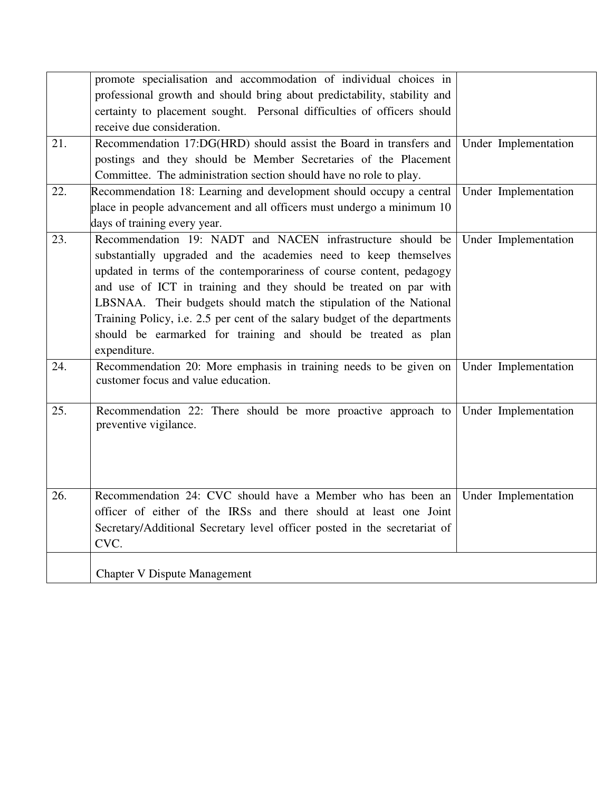|     | promote specialisation and accommodation of individual choices in                                        |                      |
|-----|----------------------------------------------------------------------------------------------------------|----------------------|
|     | professional growth and should bring about predictability, stability and                                 |                      |
|     | certainty to placement sought. Personal difficulties of officers should                                  |                      |
|     | receive due consideration.                                                                               |                      |
| 21. | Recommendation 17:DG(HRD) should assist the Board in transfers and                                       | Under Implementation |
|     | postings and they should be Member Secretaries of the Placement                                          |                      |
|     | Committee. The administration section should have no role to play.                                       |                      |
| 22. | Recommendation 18: Learning and development should occupy a central                                      | Under Implementation |
|     | place in people advancement and all officers must undergo a minimum 10                                   |                      |
|     | days of training every year.                                                                             |                      |
| 23. | Recommendation 19: NADT and NACEN infrastructure should be                                               | Under Implementation |
|     | substantially upgraded and the academies need to keep themselves                                         |                      |
|     | updated in terms of the contemporariness of course content, pedagogy                                     |                      |
|     | and use of ICT in training and they should be treated on par with                                        |                      |
|     | LBSNAA. Their budgets should match the stipulation of the National                                       |                      |
|     | Training Policy, i.e. 2.5 per cent of the salary budget of the departments                               |                      |
|     | should be earmarked for training and should be treated as plan                                           |                      |
|     | expenditure.                                                                                             |                      |
| 24. | Recommendation 20: More emphasis in training needs to be given on<br>customer focus and value education. | Under Implementation |
|     |                                                                                                          |                      |
| 25. | Recommendation 22: There should be more proactive approach to                                            | Under Implementation |
|     | preventive vigilance.                                                                                    |                      |
|     |                                                                                                          |                      |
|     |                                                                                                          |                      |
|     |                                                                                                          |                      |
| 26. | Recommendation 24: CVC should have a Member who has been an                                              | Under Implementation |
|     | officer of either of the IRSs and there should at least one Joint                                        |                      |
|     | Secretary/Additional Secretary level officer posted in the secretariat of                                |                      |
|     | CVC.                                                                                                     |                      |
|     |                                                                                                          |                      |
|     | <b>Chapter V Dispute Management</b>                                                                      |                      |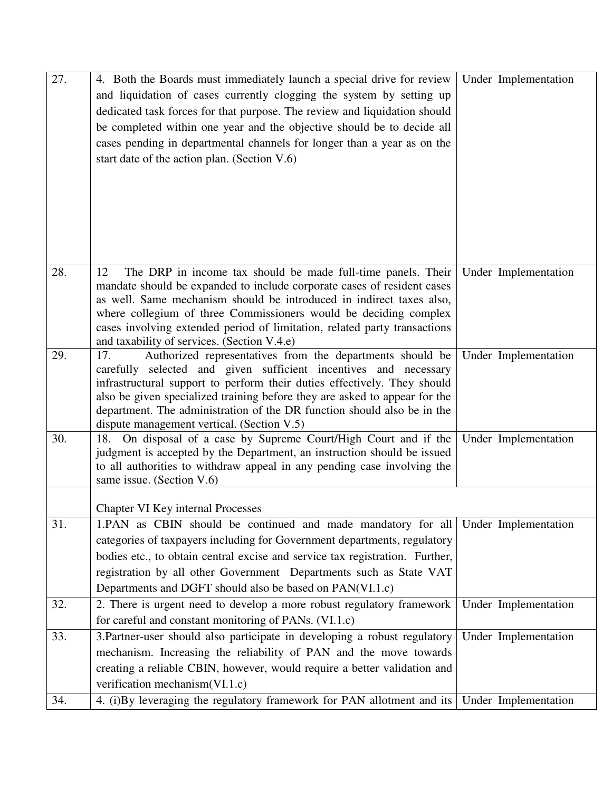| 27. | 4. Both the Boards must immediately launch a special drive for review<br>and liquidation of cases currently clogging the system by setting up<br>dedicated task forces for that purpose. The review and liquidation should<br>be completed within one year and the objective should be to decide all<br>cases pending in departmental channels for longer than a year as on the<br>start date of the action plan. (Section V.6) | Under Implementation |
|-----|---------------------------------------------------------------------------------------------------------------------------------------------------------------------------------------------------------------------------------------------------------------------------------------------------------------------------------------------------------------------------------------------------------------------------------|----------------------|
| 28. | The DRP in income tax should be made full-time panels. Their<br>12<br>mandate should be expanded to include corporate cases of resident cases<br>as well. Same mechanism should be introduced in indirect taxes also,<br>where collegium of three Commissioners would be deciding complex<br>cases involving extended period of limitation, related party transactions<br>and taxability of services. (Section V.4.e)           | Under Implementation |
| 29. | Authorized representatives from the departments should be<br>17.<br>carefully selected and given sufficient incentives and necessary<br>infrastructural support to perform their duties effectively. They should<br>also be given specialized training before they are asked to appear for the<br>department. The administration of the DR function should also be in the<br>dispute management vertical. (Section V.5)         | Under Implementation |
| 30. | 18. On disposal of a case by Supreme Court/High Court and if the<br>judgment is accepted by the Department, an instruction should be issued<br>to all authorities to withdraw appeal in any pending case involving the<br>same issue. (Section V.6)                                                                                                                                                                             | Under Implementation |
|     | <b>Chapter VI Key internal Processes</b>                                                                                                                                                                                                                                                                                                                                                                                        |                      |
| 31. | 1. PAN as CBIN should be continued and made mandatory for all<br>categories of taxpayers including for Government departments, regulatory<br>bodies etc., to obtain central excise and service tax registration. Further,<br>registration by all other Government Departments such as State VAT<br>Departments and DGFT should also be based on PAN(VI.1.c)                                                                     | Under Implementation |
| 32. | 2. There is urgent need to develop a more robust regulatory framework<br>for careful and constant monitoring of PANs. (VI.1.c)                                                                                                                                                                                                                                                                                                  | Under Implementation |
| 33. | 3. Partner-user should also participate in developing a robust regulatory<br>mechanism. Increasing the reliability of PAN and the move towards<br>creating a reliable CBIN, however, would require a better validation and<br>verification mechanism(VI.1.c)                                                                                                                                                                    | Under Implementation |
| 34. | 4. (i)By leveraging the regulatory framework for PAN allotment and its                                                                                                                                                                                                                                                                                                                                                          | Under Implementation |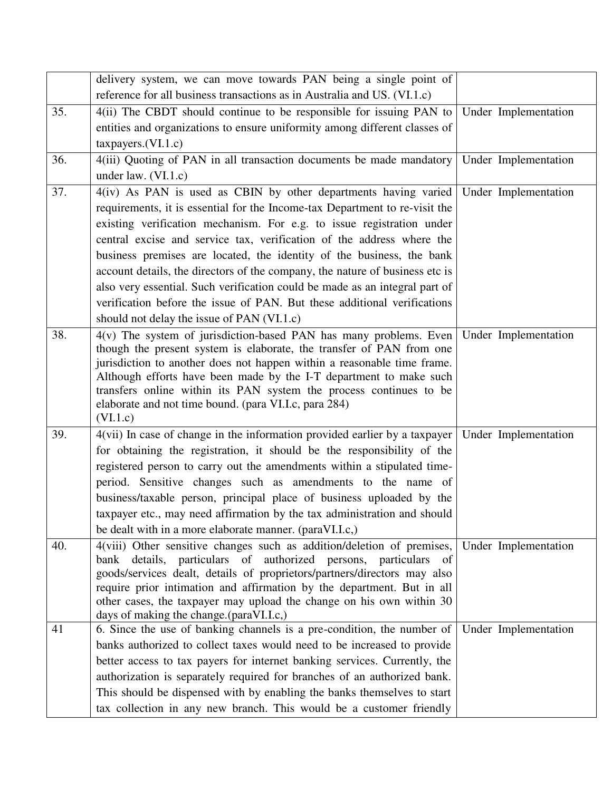|     | delivery system, we can move towards PAN being a single point of                                                                                 |                      |
|-----|--------------------------------------------------------------------------------------------------------------------------------------------------|----------------------|
|     | reference for all business transactions as in Australia and US. (VI.1.c)                                                                         |                      |
| 35. | 4(ii) The CBDT should continue to be responsible for issuing PAN to                                                                              | Under Implementation |
|     | entities and organizations to ensure uniformity among different classes of                                                                       |                      |
|     | taxpayers.(VI.1.c)                                                                                                                               |                      |
| 36. | 4(iii) Quoting of PAN in all transaction documents be made mandatory                                                                             | Under Implementation |
|     | under law. $(VI.1.c)$                                                                                                                            |                      |
| 37. | 4(iv) As PAN is used as CBIN by other departments having varied                                                                                  | Under Implementation |
|     | requirements, it is essential for the Income-tax Department to re-visit the                                                                      |                      |
|     | existing verification mechanism. For e.g. to issue registration under                                                                            |                      |
|     | central excise and service tax, verification of the address where the                                                                            |                      |
|     | business premises are located, the identity of the business, the bank                                                                            |                      |
|     | account details, the directors of the company, the nature of business etc is                                                                     |                      |
|     | also very essential. Such verification could be made as an integral part of                                                                      |                      |
|     | verification before the issue of PAN. But these additional verifications                                                                         |                      |
|     | should not delay the issue of PAN (VI.1.c)                                                                                                       |                      |
| 38. | $4(v)$ The system of jurisdiction-based PAN has many problems. Even                                                                              | Under Implementation |
|     | though the present system is elaborate, the transfer of PAN from one                                                                             |                      |
|     | jurisdiction to another does not happen within a reasonable time frame.<br>Although efforts have been made by the I-T department to make such    |                      |
|     | transfers online within its PAN system the process continues to be                                                                               |                      |
|     | elaborate and not time bound. (para VI.I.c, para 284)                                                                                            |                      |
|     | (VI.1.c)                                                                                                                                         |                      |
| 39. | 4(vii) In case of change in the information provided earlier by a taxpayer                                                                       | Under Implementation |
|     | for obtaining the registration, it should be the responsibility of the                                                                           |                      |
|     | registered person to carry out the amendments within a stipulated time-                                                                          |                      |
|     | period. Sensitive changes such as amendments to the name of                                                                                      |                      |
|     | business/taxable person, principal place of business uploaded by the                                                                             |                      |
|     | taxpayer etc., may need affirmation by the tax administration and should                                                                         |                      |
|     | be dealt with in a more elaborate manner. (paraVI.I.c.)                                                                                          |                      |
| 40. | 4(viii) Other sensitive changes such as addition/deletion of premises,                                                                           | Under Implementation |
|     | bank details, particulars of authorized persons, particulars<br>- of<br>goods/services dealt, details of proprietors/partners/directors may also |                      |
|     | require prior intimation and affirmation by the department. But in all                                                                           |                      |
|     | other cases, the taxpayer may upload the change on his own within 30                                                                             |                      |
|     | days of making the change.(paraVI.I.c.)                                                                                                          |                      |
| 41  | 6. Since the use of banking channels is a pre-condition, the number of                                                                           | Under Implementation |
|     | banks authorized to collect taxes would need to be increased to provide                                                                          |                      |
|     | better access to tax payers for internet banking services. Currently, the                                                                        |                      |
|     | authorization is separately required for branches of an authorized bank.                                                                         |                      |
|     | This should be dispensed with by enabling the banks themselves to start                                                                          |                      |
|     | tax collection in any new branch. This would be a customer friendly                                                                              |                      |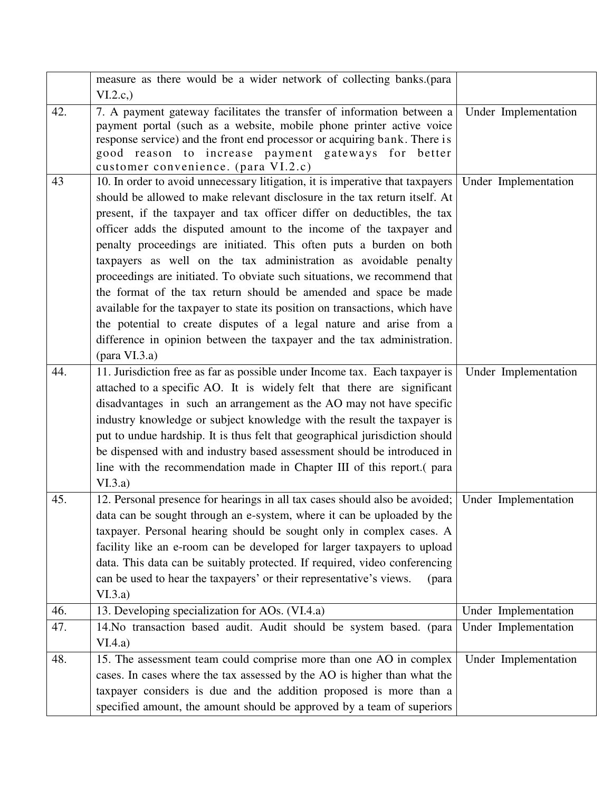|     | measure as there would be a wider network of collecting banks. (para                                                                                                                                                                                                                                                                                                                                                                                                                                                                                                                                                                                                                                                                                                                                                                                               |                      |
|-----|--------------------------------------------------------------------------------------------------------------------------------------------------------------------------------------------------------------------------------------------------------------------------------------------------------------------------------------------------------------------------------------------------------------------------------------------------------------------------------------------------------------------------------------------------------------------------------------------------------------------------------------------------------------------------------------------------------------------------------------------------------------------------------------------------------------------------------------------------------------------|----------------------|
|     | VI.2.c.)                                                                                                                                                                                                                                                                                                                                                                                                                                                                                                                                                                                                                                                                                                                                                                                                                                                           |                      |
| 42. | 7. A payment gateway facilitates the transfer of information between a<br>payment portal (such as a website, mobile phone printer active voice<br>response service) and the front end processor or acquiring bank. There is<br>good reason to increase payment gateways for better<br>customer convenience. (para VI.2.c)                                                                                                                                                                                                                                                                                                                                                                                                                                                                                                                                          | Under Implementation |
| 43  | 10. In order to avoid unnecessary litigation, it is imperative that taxpayers<br>should be allowed to make relevant disclosure in the tax return itself. At<br>present, if the taxpayer and tax officer differ on deductibles, the tax<br>officer adds the disputed amount to the income of the taxpayer and<br>penalty proceedings are initiated. This often puts a burden on both<br>taxpayers as well on the tax administration as avoidable penalty<br>proceedings are initiated. To obviate such situations, we recommend that<br>the format of the tax return should be amended and space be made<br>available for the taxpayer to state its position on transactions, which have<br>the potential to create disputes of a legal nature and arise from a<br>difference in opinion between the taxpayer and the tax administration.<br>$(\text{para VI.3.a})$ | Under Implementation |
| 44. | 11. Jurisdiction free as far as possible under Income tax. Each taxpayer is<br>attached to a specific AO. It is widely felt that there are significant<br>disadvantages in such an arrangement as the AO may not have specific<br>industry knowledge or subject knowledge with the result the taxpayer is<br>put to undue hardship. It is thus felt that geographical jurisdiction should<br>be dispensed with and industry based assessment should be introduced in<br>line with the recommendation made in Chapter III of this report. (para<br>VI.3.a)                                                                                                                                                                                                                                                                                                          | Under Implementation |
| 45. | 12. Personal presence for hearings in all tax cases should also be avoided; Under Implementation<br>data can be sought through an e-system, where it can be uploaded by the<br>taxpayer. Personal hearing should be sought only in complex cases. A<br>facility like an e-room can be developed for larger taxpayers to upload<br>data. This data can be suitably protected. If required, video conferencing<br>can be used to hear the taxpayers' or their representative's views.<br>(para<br>VI.3.a)                                                                                                                                                                                                                                                                                                                                                            |                      |
| 46. | 13. Developing specialization for AOs. (VI.4.a)                                                                                                                                                                                                                                                                                                                                                                                                                                                                                                                                                                                                                                                                                                                                                                                                                    | Under Implementation |
| 47. | 14. No transaction based audit. Audit should be system based. (para<br>VI.4.a)                                                                                                                                                                                                                                                                                                                                                                                                                                                                                                                                                                                                                                                                                                                                                                                     | Under Implementation |
| 48. | 15. The assessment team could comprise more than one AO in complex<br>cases. In cases where the tax assessed by the AO is higher than what the<br>taxpayer considers is due and the addition proposed is more than a<br>specified amount, the amount should be approved by a team of superiors                                                                                                                                                                                                                                                                                                                                                                                                                                                                                                                                                                     | Under Implementation |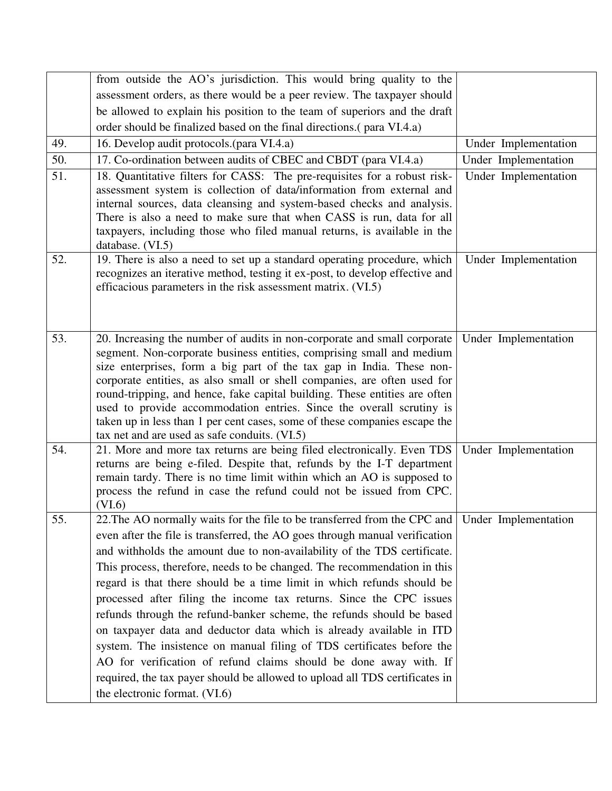| from outside the AO's jurisdiction. This would bring quality to the                                                                                                                                                                                                                                                                                                                                                                                                                                                                                                                                                                                                                                                                                                 |                                                                                                                                                                                                              |
|---------------------------------------------------------------------------------------------------------------------------------------------------------------------------------------------------------------------------------------------------------------------------------------------------------------------------------------------------------------------------------------------------------------------------------------------------------------------------------------------------------------------------------------------------------------------------------------------------------------------------------------------------------------------------------------------------------------------------------------------------------------------|--------------------------------------------------------------------------------------------------------------------------------------------------------------------------------------------------------------|
| assessment orders, as there would be a peer review. The taxpayer should                                                                                                                                                                                                                                                                                                                                                                                                                                                                                                                                                                                                                                                                                             |                                                                                                                                                                                                              |
|                                                                                                                                                                                                                                                                                                                                                                                                                                                                                                                                                                                                                                                                                                                                                                     |                                                                                                                                                                                                              |
| order should be finalized based on the final directions. (para VI.4.a)                                                                                                                                                                                                                                                                                                                                                                                                                                                                                                                                                                                                                                                                                              |                                                                                                                                                                                                              |
| 16. Develop audit protocols. (para VI.4.a)                                                                                                                                                                                                                                                                                                                                                                                                                                                                                                                                                                                                                                                                                                                          | Under Implementation                                                                                                                                                                                         |
| 17. Co-ordination between audits of CBEC and CBDT (para VI.4.a)                                                                                                                                                                                                                                                                                                                                                                                                                                                                                                                                                                                                                                                                                                     | Under Implementation                                                                                                                                                                                         |
| 18. Quantitative filters for CASS: The pre-requisites for a robust risk-<br>assessment system is collection of data/information from external and<br>internal sources, data cleansing and system-based checks and analysis.<br>There is also a need to make sure that when CASS is run, data for all<br>taxpayers, including those who filed manual returns, is available in the<br>database. (VI.5)                                                                                                                                                                                                                                                                                                                                                                | Under Implementation                                                                                                                                                                                         |
| 19. There is also a need to set up a standard operating procedure, which<br>recognizes an iterative method, testing it ex-post, to develop effective and<br>efficacious parameters in the risk assessment matrix. (VI.5)                                                                                                                                                                                                                                                                                                                                                                                                                                                                                                                                            | Under Implementation                                                                                                                                                                                         |
| 20. Increasing the number of audits in non-corporate and small corporate<br>segment. Non-corporate business entities, comprising small and medium<br>size enterprises, form a big part of the tax gap in India. These non-<br>corporate entities, as also small or shell companies, are often used for<br>round-tripping, and hence, fake capital building. These entities are often<br>used to provide accommodation entries. Since the overall scrutiny is<br>taken up in less than 1 per cent cases, some of these companies escape the<br>tax net and are used as safe conduits. (VI.5)                                                                                                                                                                         | Under Implementation                                                                                                                                                                                         |
| 21. More and more tax returns are being filed electronically. Even TDS<br>returns are being e-filed. Despite that, refunds by the I-T department<br>remain tardy. There is no time limit within which an AO is supposed to<br>process the refund in case the refund could not be issued from CPC.<br>(VI.6)                                                                                                                                                                                                                                                                                                                                                                                                                                                         | Under Implementation                                                                                                                                                                                         |
| even after the file is transferred, the AO goes through manual verification<br>and withholds the amount due to non-availability of the TDS certificate.<br>This process, therefore, needs to be changed. The recommendation in this<br>regard is that there should be a time limit in which refunds should be<br>processed after filing the income tax returns. Since the CPC issues<br>refunds through the refund-banker scheme, the refunds should be based<br>on taxpayer data and deductor data which is already available in ITD<br>system. The insistence on manual filing of TDS certificates before the<br>AO for verification of refund claims should be done away with. If<br>required, the tax payer should be allowed to upload all TDS certificates in |                                                                                                                                                                                                              |
|                                                                                                                                                                                                                                                                                                                                                                                                                                                                                                                                                                                                                                                                                                                                                                     | be allowed to explain his position to the team of superiors and the draft<br>22. The AO normally waits for the file to be transferred from the CPC and Under Implementation<br>the electronic format. (VI.6) |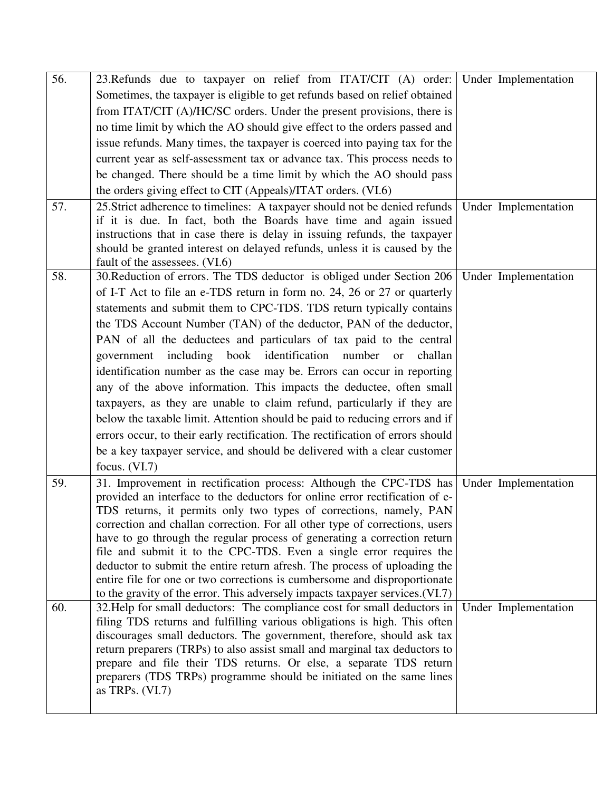| 56.<br>57. | 23. Refunds due to taxpayer on relief from ITAT/CIT (A) order: Under Implementation<br>Sometimes, the taxpayer is eligible to get refunds based on relief obtained<br>from ITAT/CIT (A)/HC/SC orders. Under the present provisions, there is<br>no time limit by which the AO should give effect to the orders passed and<br>issue refunds. Many times, the taxpayer is coerced into paying tax for the<br>current year as self-assessment tax or advance tax. This process needs to<br>be changed. There should be a time limit by which the AO should pass<br>the orders giving effect to CIT (Appeals)/ITAT orders. (VI.6)<br>25. Strict adherence to timelines: A taxpayer should not be denied refunds<br>if it is due. In fact, both the Boards have time and again issued<br>instructions that in case there is delay in issuing refunds, the taxpayer                                                                             | Under Implementation |
|------------|-------------------------------------------------------------------------------------------------------------------------------------------------------------------------------------------------------------------------------------------------------------------------------------------------------------------------------------------------------------------------------------------------------------------------------------------------------------------------------------------------------------------------------------------------------------------------------------------------------------------------------------------------------------------------------------------------------------------------------------------------------------------------------------------------------------------------------------------------------------------------------------------------------------------------------------------|----------------------|
|            | should be granted interest on delayed refunds, unless it is caused by the<br>fault of the assessees. (VI.6)                                                                                                                                                                                                                                                                                                                                                                                                                                                                                                                                                                                                                                                                                                                                                                                                                               |                      |
| 58.        | 30. Reduction of errors. The TDS deductor is obliged under Section 206<br>of I-T Act to file an e-TDS return in form no. 24, 26 or 27 or quarterly<br>statements and submit them to CPC-TDS. TDS return typically contains<br>the TDS Account Number (TAN) of the deductor, PAN of the deductor,<br>PAN of all the deductees and particulars of tax paid to the central<br>including book identification number or<br>challan<br>government<br>identification number as the case may be. Errors can occur in reporting<br>any of the above information. This impacts the deductee, often small<br>taxpayers, as they are unable to claim refund, particularly if they are<br>below the taxable limit. Attention should be paid to reducing errors and if<br>errors occur, to their early rectification. The rectification of errors should<br>be a key taxpayer service, and should be delivered with a clear customer<br>focus. $(VI.7)$ | Under Implementation |
| 59.        | 31. Improvement in rectification process: Although the CPC-TDS has<br>provided an interface to the deductors for online error rectification of e-<br>TDS returns, it permits only two types of corrections, namely, PAN<br>correction and challan correction. For all other type of corrections, users<br>have to go through the regular process of generating a correction return<br>file and submit it to the CPC-TDS. Even a single error requires the<br>deductor to submit the entire return afresh. The process of uploading the<br>entire file for one or two corrections is cumbersome and disproportionate<br>to the gravity of the error. This adversely impacts taxpayer services. (VI.7)                                                                                                                                                                                                                                      | Under Implementation |
| 60.        | 32. Help for small deductors: The compliance cost for small deductors in<br>filing TDS returns and fulfilling various obligations is high. This often<br>discourages small deductors. The government, therefore, should ask tax<br>return preparers (TRPs) to also assist small and marginal tax deductors to<br>prepare and file their TDS returns. Or else, a separate TDS return<br>preparers (TDS TRPs) programme should be initiated on the same lines<br>as TRPs. $(VI.7)$                                                                                                                                                                                                                                                                                                                                                                                                                                                          | Under Implementation |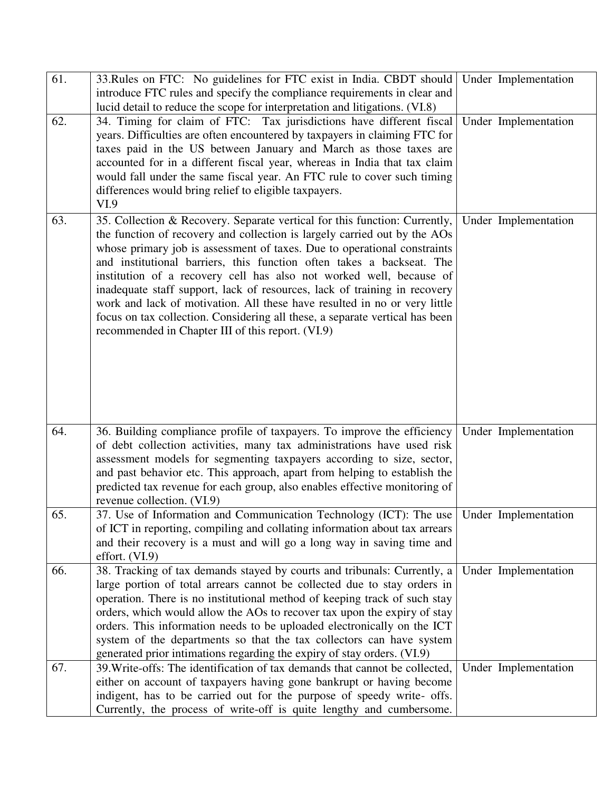| 61. | 33. Rules on FTC: No guidelines for FTC exist in India. CBDT should   Under Implementation                                                                                                                                                                                                                                                                                                                                                                                                                                                                                                                                                                                         |                      |
|-----|------------------------------------------------------------------------------------------------------------------------------------------------------------------------------------------------------------------------------------------------------------------------------------------------------------------------------------------------------------------------------------------------------------------------------------------------------------------------------------------------------------------------------------------------------------------------------------------------------------------------------------------------------------------------------------|----------------------|
|     | introduce FTC rules and specify the compliance requirements in clear and                                                                                                                                                                                                                                                                                                                                                                                                                                                                                                                                                                                                           |                      |
| 62. | lucid detail to reduce the scope for interpretation and litigations. (VI.8)<br>34. Timing for claim of FTC: Tax jurisdictions have different fiscal<br>years. Difficulties are often encountered by taxpayers in claiming FTC for<br>taxes paid in the US between January and March as those taxes are<br>accounted for in a different fiscal year, whereas in India that tax claim<br>would fall under the same fiscal year. An FTC rule to cover such timing<br>differences would bring relief to eligible taxpayers.<br>VI.9                                                                                                                                                    | Under Implementation |
| 63. | 35. Collection & Recovery. Separate vertical for this function: Currently,<br>the function of recovery and collection is largely carried out by the AOs<br>whose primary job is assessment of taxes. Due to operational constraints<br>and institutional barriers, this function often takes a backseat. The<br>institution of a recovery cell has also not worked well, because of<br>inadequate staff support, lack of resources, lack of training in recovery<br>work and lack of motivation. All these have resulted in no or very little<br>focus on tax collection. Considering all these, a separate vertical has been<br>recommended in Chapter III of this report. (VI.9) | Under Implementation |
| 64. | 36. Building compliance profile of taxpayers. To improve the efficiency<br>of debt collection activities, many tax administrations have used risk<br>assessment models for segmenting taxpayers according to size, sector,<br>and past behavior etc. This approach, apart from helping to establish the<br>predicted tax revenue for each group, also enables effective monitoring of<br>revenue collection. (VI.9)                                                                                                                                                                                                                                                                | Under Implementation |
| 65. | 37. Use of Information and Communication Technology (ICT): The use   Under Implementation<br>of ICT in reporting, compiling and collating information about tax arrears<br>and their recovery is a must and will go a long way in saving time and<br>effort. $(VI.9)$                                                                                                                                                                                                                                                                                                                                                                                                              |                      |
| 66. | 38. Tracking of tax demands stayed by courts and tribunals: Currently, a<br>large portion of total arrears cannot be collected due to stay orders in<br>operation. There is no institutional method of keeping track of such stay<br>orders, which would allow the AOs to recover tax upon the expiry of stay<br>orders. This information needs to be uploaded electronically on the ICT<br>system of the departments so that the tax collectors can have system<br>generated prior intimations regarding the expiry of stay orders. (VI.9)                                                                                                                                        | Under Implementation |
| 67. | 39. Write-offs: The identification of tax demands that cannot be collected,<br>either on account of taxpayers having gone bankrupt or having become<br>indigent, has to be carried out for the purpose of speedy write- offs.<br>Currently, the process of write-off is quite lengthy and cumbersome.                                                                                                                                                                                                                                                                                                                                                                              | Under Implementation |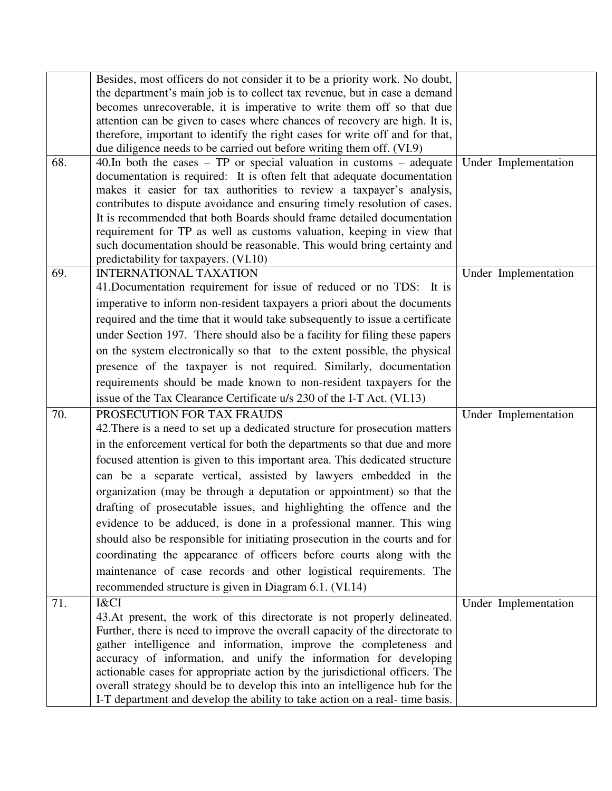|     | Besides, most officers do not consider it to be a priority work. No doubt,                                                                           |                      |
|-----|------------------------------------------------------------------------------------------------------------------------------------------------------|----------------------|
|     | the department's main job is to collect tax revenue, but in case a demand                                                                            |                      |
|     | becomes unrecoverable, it is imperative to write them off so that due                                                                                |                      |
|     | attention can be given to cases where chances of recovery are high. It is,                                                                           |                      |
|     | therefore, important to identify the right cases for write off and for that,                                                                         |                      |
|     | due diligence needs to be carried out before writing them off. (VI.9)                                                                                |                      |
| 68. | 40. In both the cases $-$ TP or special valuation in customs $-$ adequate<br>documentation is required: It is often felt that adequate documentation | Under Implementation |
|     | makes it easier for tax authorities to review a taxpayer's analysis,                                                                                 |                      |
|     | contributes to dispute avoidance and ensuring timely resolution of cases.                                                                            |                      |
|     | It is recommended that both Boards should frame detailed documentation                                                                               |                      |
|     | requirement for TP as well as customs valuation, keeping in view that                                                                                |                      |
|     | such documentation should be reasonable. This would bring certainty and                                                                              |                      |
|     | predictability for taxpayers. (VI.10)                                                                                                                |                      |
| 69. | <b>INTERNATIONAL TAXATION</b>                                                                                                                        | Under Implementation |
|     | 41. Documentation requirement for issue of reduced or no TDS: It is                                                                                  |                      |
|     | imperative to inform non-resident taxpayers a priori about the documents                                                                             |                      |
|     | required and the time that it would take subsequently to issue a certificate                                                                         |                      |
|     | under Section 197. There should also be a facility for filing these papers                                                                           |                      |
|     | on the system electronically so that to the extent possible, the physical                                                                            |                      |
|     | presence of the taxpayer is not required. Similarly, documentation                                                                                   |                      |
|     | requirements should be made known to non-resident taxpayers for the                                                                                  |                      |
|     | issue of the Tax Clearance Certificate u/s 230 of the I-T Act. (VI.13)                                                                               |                      |
| 70. | PROSECUTION FOR TAX FRAUDS                                                                                                                           | Under Implementation |
|     | 42. There is a need to set up a dedicated structure for prosecution matters                                                                          |                      |
|     | in the enforcement vertical for both the departments so that due and more                                                                            |                      |
|     | focused attention is given to this important area. This dedicated structure                                                                          |                      |
|     | can be a separate vertical, assisted by lawyers embedded in the                                                                                      |                      |
|     | organization (may be through a deputation or appointment) so that the                                                                                |                      |
|     | drafting of prosecutable issues, and highlighting the offence and the                                                                                |                      |
|     | evidence to be adduced, is done in a professional manner. This wing                                                                                  |                      |
|     |                                                                                                                                                      |                      |
|     | should also be responsible for initiating prosecution in the courts and for                                                                          |                      |
|     | coordinating the appearance of officers before courts along with the                                                                                 |                      |
|     | maintenance of case records and other logistical requirements. The                                                                                   |                      |
|     | recommended structure is given in Diagram 6.1. (VI.14)                                                                                               |                      |
| 71. | I&CI                                                                                                                                                 | Under Implementation |
|     | 43. At present, the work of this directorate is not properly delineated.                                                                             |                      |
|     | Further, there is need to improve the overall capacity of the directorate to                                                                         |                      |
|     | gather intelligence and information, improve the completeness and                                                                                    |                      |
|     | accuracy of information, and unify the information for developing<br>actionable cases for appropriate action by the jurisdictional officers. The     |                      |
|     | overall strategy should be to develop this into an intelligence hub for the                                                                          |                      |
|     | I-T department and develop the ability to take action on a real-time basis.                                                                          |                      |
|     |                                                                                                                                                      |                      |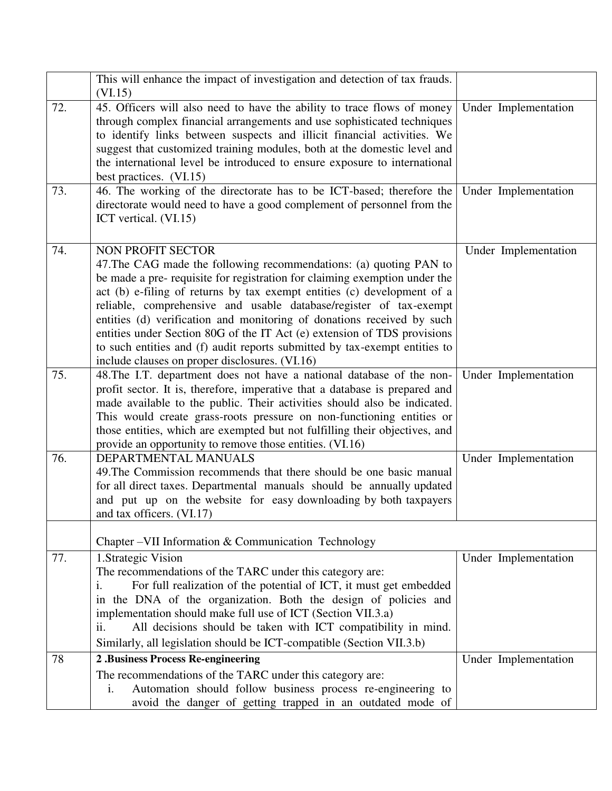|     | This will enhance the impact of investigation and detection of tax frauds.<br>(VI.15)                                                                                                                                                                                                                                                                                                                                                                                                                                                                                                                               |                      |
|-----|---------------------------------------------------------------------------------------------------------------------------------------------------------------------------------------------------------------------------------------------------------------------------------------------------------------------------------------------------------------------------------------------------------------------------------------------------------------------------------------------------------------------------------------------------------------------------------------------------------------------|----------------------|
| 72. | 45. Officers will also need to have the ability to trace flows of money<br>through complex financial arrangements and use sophisticated techniques<br>to identify links between suspects and illicit financial activities. We<br>suggest that customized training modules, both at the domestic level and<br>the international level be introduced to ensure exposure to international<br>best practices. (VI.15)                                                                                                                                                                                                   | Under Implementation |
| 73. | 46. The working of the directorate has to be ICT-based; therefore the<br>directorate would need to have a good complement of personnel from the<br>ICT vertical. (VI.15)                                                                                                                                                                                                                                                                                                                                                                                                                                            | Under Implementation |
| 74. | <b>NON PROFIT SECTOR</b><br>47. The CAG made the following recommendations: (a) quoting PAN to<br>be made a pre- requisite for registration for claiming exemption under the<br>act (b) e-filing of returns by tax exempt entities (c) development of a<br>reliable, comprehensive and usable database/register of tax-exempt<br>entities (d) verification and monitoring of donations received by such<br>entities under Section 80G of the IT Act (e) extension of TDS provisions<br>to such entities and (f) audit reports submitted by tax-exempt entities to<br>include clauses on proper disclosures. (VI.16) | Under Implementation |
| 75. | 48. The I.T. department does not have a national database of the non-<br>profit sector. It is, therefore, imperative that a database is prepared and<br>made available to the public. Their activities should also be indicated.<br>This would create grass-roots pressure on non-functioning entities or<br>those entities, which are exempted but not fulfilling their objectives, and<br>provide an opportunity to remove those entities. (VI.16)                                                                                                                                                                | Under Implementation |
| 76. | DEPARTMENTAL MANUALS<br>49. The Commission recommends that there should be one basic manual<br>for all direct taxes. Departmental manuals should be annually updated<br>and put up on the website for easy downloading by both taxpayers<br>and tax officers. (VI.17)                                                                                                                                                                                                                                                                                                                                               | Under Implementation |
|     | Chapter – VII Information & Communication Technology                                                                                                                                                                                                                                                                                                                                                                                                                                                                                                                                                                |                      |
| 77. | 1. Strategic Vision<br>The recommendations of the TARC under this category are:<br>For full realization of the potential of ICT, it must get embedded<br>1.<br>the DNA of the organization. Both the design of policies and<br>1n<br>implementation should make full use of ICT (Section VII.3.a)<br>All decisions should be taken with ICT compatibility in mind.<br>11.<br>Similarly, all legislation should be ICT-compatible (Section VII.3.b)                                                                                                                                                                  | Under Implementation |
| 78  | 2 .Business Process Re-engineering                                                                                                                                                                                                                                                                                                                                                                                                                                                                                                                                                                                  | Under Implementation |
|     | The recommendations of the TARC under this category are:<br>Automation should follow business process re-engineering to<br>i.<br>avoid the danger of getting trapped in an outdated mode of                                                                                                                                                                                                                                                                                                                                                                                                                         |                      |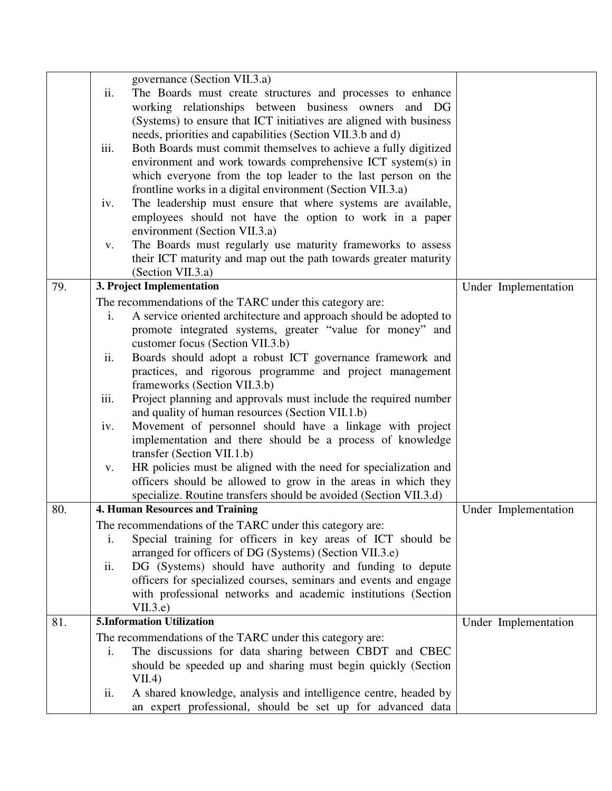|     | governance (Section VII.3.a)                                                                  |                      |
|-----|-----------------------------------------------------------------------------------------------|----------------------|
|     | The Boards must create structures and processes to enhance<br>ii.                             |                      |
|     | working relationships between business owners and DG                                          |                      |
|     | (Systems) to ensure that ICT initiatives are aligned with business                            |                      |
|     | needs, priorities and capabilities (Section VII.3.b and d)                                    |                      |
|     | Both Boards must commit themselves to achieve a fully digitized<br>iii.                       |                      |
|     | environment and work towards comprehensive ICT system(s) in                                   |                      |
|     | which everyone from the top leader to the last person on the                                  |                      |
|     | frontline works in a digital environment (Section VII.3.a)                                    |                      |
|     | The leadership must ensure that where systems are available,<br>iv.                           |                      |
|     | employees should not have the option to work in a paper                                       |                      |
|     | environment (Section VII.3.a)                                                                 |                      |
|     | The Boards must regularly use maturity frameworks to assess<br>V.                             |                      |
|     | their ICT maturity and map out the path towards greater maturity                              |                      |
|     | (Section VII.3.a)                                                                             |                      |
| 79. | 3. Project Implementation                                                                     | Under Implementation |
|     | The recommendations of the TARC under this category are:                                      |                      |
|     | A service oriented architecture and approach should be adopted to<br>i.                       |                      |
|     | promote integrated systems, greater "value for money" and<br>customer focus (Section VII.3.b) |                      |
|     | Boards should adopt a robust ICT governance framework and<br>ii.                              |                      |
|     | practices, and rigorous programme and project management                                      |                      |
|     | frameworks (Section VII.3.b)                                                                  |                      |
|     | Project planning and approvals must include the required number<br>iii.                       |                      |
|     | and quality of human resources (Section VII.1.b)                                              |                      |
|     | Movement of personnel should have a linkage with project<br>iv.                               |                      |
|     | implementation and there should be a process of knowledge                                     |                      |
|     | transfer (Section VII.1.b)                                                                    |                      |
|     | HR policies must be aligned with the need for specialization and<br>V.                        |                      |
|     | officers should be allowed to grow in the areas in which they                                 |                      |
|     | specialize. Routine transfers should be avoided (Section VII.3.d)                             |                      |
| 80. | <b>4. Human Resources and Training</b>                                                        | Under Implementation |
|     | The recommendations of the TARC under this category are:                                      |                      |
|     | Special training for officers in key areas of ICT should be<br>$\mathbf{1}$ .                 |                      |
|     | arranged for officers of DG (Systems) (Section VII.3.e)                                       |                      |
|     | DG (Systems) should have authority and funding to depute<br>ii.                               |                      |
|     | officers for specialized courses, seminars and events and engage                              |                      |
|     | with professional networks and academic institutions (Section                                 |                      |
|     | VII.3.e                                                                                       |                      |
| 81. | <b>5.Information Utilization</b>                                                              | Under Implementation |
|     | The recommendations of the TARC under this category are:                                      |                      |
|     | The discussions for data sharing between CBDT and CBEC<br>$\mathbf{i}$ .                      |                      |
|     | should be speeded up and sharing must begin quickly (Section                                  |                      |
|     | VII.4)                                                                                        |                      |
|     | ii.<br>A shared knowledge, analysis and intelligence centre, headed by                        |                      |
|     | an expert professional, should be set up for advanced data                                    |                      |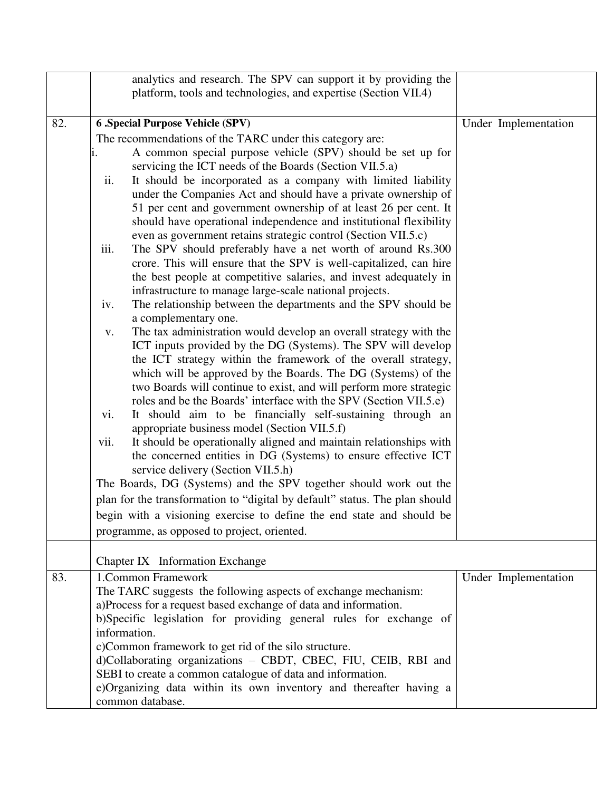|     | analytics and research. The SPV can support it by providing the                                                                                                                                                                                                                                                                                                                                                                                                                                                                                                                                                                                                                                                                                                                                                                                                                                                                                                                                                                                                                                                                                                                                                                                                                                                                                                                                                                                                                                                                                                                                                                                                                                                                                                                                                                                                                                                                                                                    |                      |
|-----|------------------------------------------------------------------------------------------------------------------------------------------------------------------------------------------------------------------------------------------------------------------------------------------------------------------------------------------------------------------------------------------------------------------------------------------------------------------------------------------------------------------------------------------------------------------------------------------------------------------------------------------------------------------------------------------------------------------------------------------------------------------------------------------------------------------------------------------------------------------------------------------------------------------------------------------------------------------------------------------------------------------------------------------------------------------------------------------------------------------------------------------------------------------------------------------------------------------------------------------------------------------------------------------------------------------------------------------------------------------------------------------------------------------------------------------------------------------------------------------------------------------------------------------------------------------------------------------------------------------------------------------------------------------------------------------------------------------------------------------------------------------------------------------------------------------------------------------------------------------------------------------------------------------------------------------------------------------------------------|----------------------|
|     | platform, tools and technologies, and expertise (Section VII.4)                                                                                                                                                                                                                                                                                                                                                                                                                                                                                                                                                                                                                                                                                                                                                                                                                                                                                                                                                                                                                                                                                                                                                                                                                                                                                                                                                                                                                                                                                                                                                                                                                                                                                                                                                                                                                                                                                                                    |                      |
| 82. | <b>6 .Special Purpose Vehicle (SPV)</b><br>The recommendations of the TARC under this category are:<br>A common special purpose vehicle (SPV) should be set up for<br>servicing the ICT needs of the Boards (Section VII.5.a)<br>ii.<br>It should be incorporated as a company with limited liability<br>under the Companies Act and should have a private ownership of<br>51 per cent and government ownership of at least 26 per cent. It<br>should have operational independence and institutional flexibility<br>even as government retains strategic control (Section VII.5.c)<br>The SPV should preferably have a net worth of around Rs.300<br>iii.<br>crore. This will ensure that the SPV is well-capitalized, can hire<br>the best people at competitive salaries, and invest adequately in<br>infrastructure to manage large-scale national projects.<br>The relationship between the departments and the SPV should be<br>iv.<br>a complementary one.<br>The tax administration would develop an overall strategy with the<br>V.<br>ICT inputs provided by the DG (Systems). The SPV will develop<br>the ICT strategy within the framework of the overall strategy,<br>which will be approved by the Boards. The DG (Systems) of the<br>two Boards will continue to exist, and will perform more strategic<br>roles and be the Boards' interface with the SPV (Section VII.5.e)<br>It should aim to be financially self-sustaining through an<br>vi.<br>appropriate business model (Section VII.5.f)<br>It should be operationally aligned and maintain relationships with<br>vii.<br>the concerned entities in DG (Systems) to ensure effective ICT<br>service delivery (Section VII.5.h)<br>The Boards, DG (Systems) and the SPV together should work out the<br>plan for the transformation to "digital by default" status. The plan should<br>begin with a visioning exercise to define the end state and should be<br>programme, as opposed to project, oriented. | Under Implementation |
|     | Chapter IX Information Exchange                                                                                                                                                                                                                                                                                                                                                                                                                                                                                                                                                                                                                                                                                                                                                                                                                                                                                                                                                                                                                                                                                                                                                                                                                                                                                                                                                                                                                                                                                                                                                                                                                                                                                                                                                                                                                                                                                                                                                    |                      |
| 83. | 1.Common Framework<br>The TARC suggests the following aspects of exchange mechanism:<br>a)Process for a request based exchange of data and information.<br>b)Specific legislation for providing general rules for exchange of<br>information.<br>c)Common framework to get rid of the silo structure.<br>d)Collaborating organizations - CBDT, CBEC, FIU, CEIB, RBI and<br>SEBI to create a common catalogue of data and information.<br>e)Organizing data within its own inventory and thereafter having a<br>common database.                                                                                                                                                                                                                                                                                                                                                                                                                                                                                                                                                                                                                                                                                                                                                                                                                                                                                                                                                                                                                                                                                                                                                                                                                                                                                                                                                                                                                                                    | Under Implementation |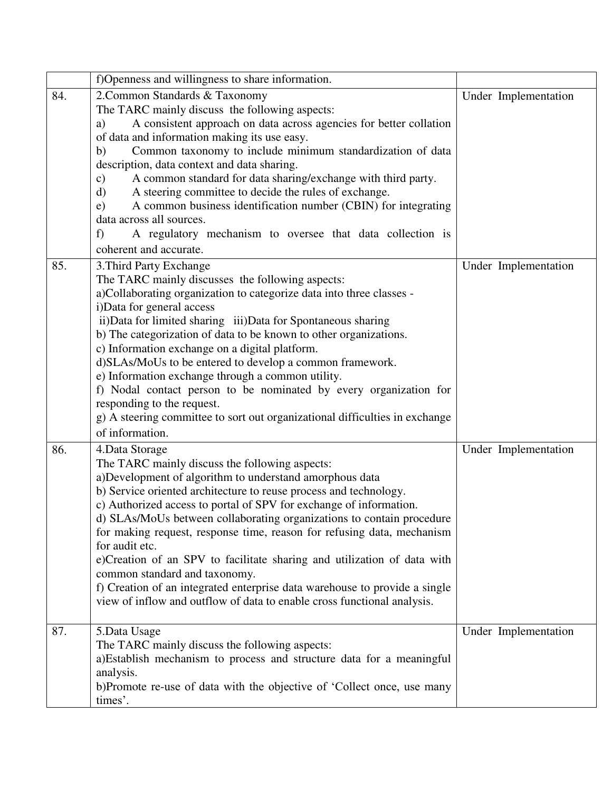|     | f) Openness and willingness to share information.                                                                      |                      |
|-----|------------------------------------------------------------------------------------------------------------------------|----------------------|
| 84. | 2. Common Standards & Taxonomy                                                                                         | Under Implementation |
|     | The TARC mainly discuss the following aspects:                                                                         |                      |
|     | A consistent approach on data across agencies for better collation<br>a)                                               |                      |
|     | of data and information making its use easy.                                                                           |                      |
|     | Common taxonomy to include minimum standardization of data<br>b)                                                       |                      |
|     | description, data context and data sharing.                                                                            |                      |
|     | A common standard for data sharing/exchange with third party.<br>$\mathbf{c})$                                         |                      |
|     | A steering committee to decide the rules of exchange.<br>d)                                                            |                      |
|     | A common business identification number (CBIN) for integrating<br>e)                                                   |                      |
|     | data across all sources.                                                                                               |                      |
|     | A regulatory mechanism to oversee that data collection is<br>f                                                         |                      |
|     | coherent and accurate.                                                                                                 |                      |
| 85. | 3. Third Party Exchange                                                                                                | Under Implementation |
|     | The TARC mainly discusses the following aspects:                                                                       |                      |
|     | a)Collaborating organization to categorize data into three classes -                                                   |                      |
|     | i)Data for general access                                                                                              |                      |
|     | ii) Data for limited sharing iii) Data for Spontaneous sharing                                                         |                      |
|     | b) The categorization of data to be known to other organizations.                                                      |                      |
|     | c) Information exchange on a digital platform.                                                                         |                      |
|     | d)SLAs/MoUs to be entered to develop a common framework.                                                               |                      |
|     | e) Information exchange through a common utility.<br>f) Nodal contact person to be nominated by every organization for |                      |
|     | responding to the request.                                                                                             |                      |
|     | g) A steering committee to sort out organizational difficulties in exchange                                            |                      |
|     | of information.                                                                                                        |                      |
|     |                                                                                                                        |                      |
| 86. | 4. Data Storage                                                                                                        | Under Implementation |
|     | The TARC mainly discuss the following aspects:<br>a)Development of algorithm to understand amorphous data              |                      |
|     | b) Service oriented architecture to reuse process and technology.                                                      |                      |
|     | c) Authorized access to portal of SPV for exchange of information.                                                     |                      |
|     | d) SLAs/MoUs between collaborating organizations to contain procedure                                                  |                      |
|     | for making request, response time, reason for refusing data, mechanism                                                 |                      |
|     | for audit etc.                                                                                                         |                      |
|     | e)Creation of an SPV to facilitate sharing and utilization of data with                                                |                      |
|     | common standard and taxonomy.                                                                                          |                      |
|     | f) Creation of an integrated enterprise data warehouse to provide a single                                             |                      |
|     | view of inflow and outflow of data to enable cross functional analysis.                                                |                      |
|     |                                                                                                                        |                      |
| 87. | 5. Data Usage                                                                                                          | Under Implementation |
|     | The TARC mainly discuss the following aspects:                                                                         |                      |
|     | a)Establish mechanism to process and structure data for a meaningful                                                   |                      |
|     | analysis.                                                                                                              |                      |
|     | b)Promote re-use of data with the objective of 'Collect once, use many                                                 |                      |
|     | times'.                                                                                                                |                      |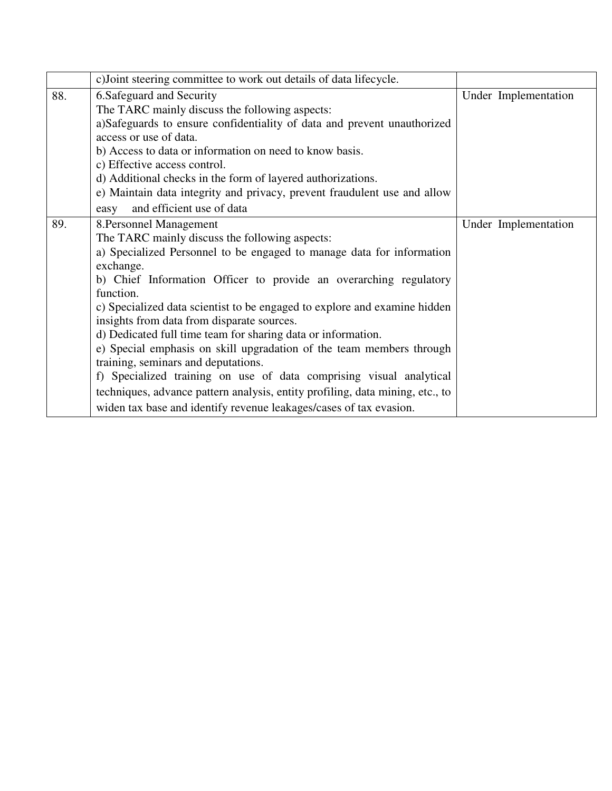|                                                                      | c) Joint steering committee to work out details of data lifecycle.            |  |                      |
|----------------------------------------------------------------------|-------------------------------------------------------------------------------|--|----------------------|
| 88.                                                                  | 6.Safeguard and Security                                                      |  | Under Implementation |
|                                                                      | The TARC mainly discuss the following aspects:                                |  |                      |
|                                                                      | a)Safeguards to ensure confidentiality of data and prevent unauthorized       |  |                      |
|                                                                      | access or use of data.                                                        |  |                      |
|                                                                      | b) Access to data or information on need to know basis.                       |  |                      |
|                                                                      | c) Effective access control.                                                  |  |                      |
|                                                                      | d) Additional checks in the form of layered authorizations.                   |  |                      |
|                                                                      | e) Maintain data integrity and privacy, prevent fraudulent use and allow      |  |                      |
|                                                                      | and efficient use of data<br>easy                                             |  |                      |
| 89.                                                                  | 8. Personnel Management                                                       |  | Under Implementation |
|                                                                      | The TARC mainly discuss the following aspects:                                |  |                      |
|                                                                      | a) Specialized Personnel to be engaged to manage data for information         |  |                      |
|                                                                      | exchange.                                                                     |  |                      |
|                                                                      | b) Chief Information Officer to provide an overarching regulatory             |  |                      |
| function.                                                            |                                                                               |  |                      |
|                                                                      | c) Specialized data scientist to be engaged to explore and examine hidden     |  |                      |
|                                                                      | insights from data from disparate sources.                                    |  |                      |
| d) Dedicated full time team for sharing data or information.         |                                                                               |  |                      |
| e) Special emphasis on skill upgradation of the team members through |                                                                               |  |                      |
|                                                                      | training, seminars and deputations.                                           |  |                      |
|                                                                      | f) Specialized training on use of data comprising visual analytical           |  |                      |
|                                                                      | techniques, advance pattern analysis, entity profiling, data mining, etc., to |  |                      |
|                                                                      | widen tax base and identify revenue leakages/cases of tax evasion.            |  |                      |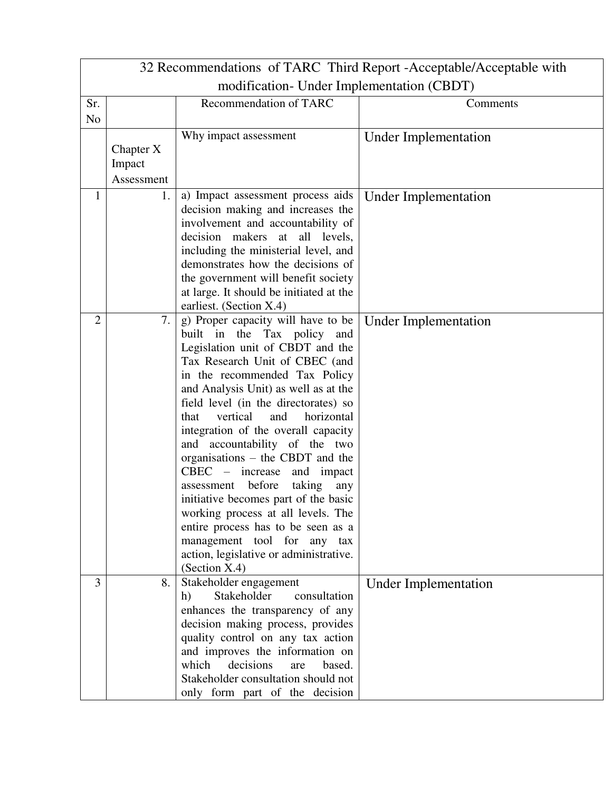|                               | 32 Recommendations of TARC Third Report - Acceptable/Acceptable with |                                                               |                             |  |  |  |
|-------------------------------|----------------------------------------------------------------------|---------------------------------------------------------------|-----------------------------|--|--|--|
|                               | modification- Under Implementation (CBDT)                            |                                                               |                             |  |  |  |
| Recommendation of TARC<br>Sr. |                                                                      |                                                               | Comments                    |  |  |  |
| N <sub>o</sub>                |                                                                      |                                                               |                             |  |  |  |
|                               |                                                                      | Why impact assessment                                         | <b>Under Implementation</b> |  |  |  |
|                               | Chapter X                                                            |                                                               |                             |  |  |  |
|                               | Impact                                                               |                                                               |                             |  |  |  |
|                               | Assessment                                                           |                                                               |                             |  |  |  |
| 1                             | 1.                                                                   | a) Impact assessment process aids                             | <b>Under Implementation</b> |  |  |  |
|                               |                                                                      | decision making and increases the                             |                             |  |  |  |
|                               |                                                                      | involvement and accountability of                             |                             |  |  |  |
|                               |                                                                      | decision makers at all levels,                                |                             |  |  |  |
|                               |                                                                      | including the ministerial level, and                          |                             |  |  |  |
|                               |                                                                      | demonstrates how the decisions of                             |                             |  |  |  |
|                               |                                                                      | the government will benefit society                           |                             |  |  |  |
|                               |                                                                      | at large. It should be initiated at the                       |                             |  |  |  |
| $\overline{2}$                | 7.                                                                   | earliest. (Section X.4)<br>g) Proper capacity will have to be |                             |  |  |  |
|                               |                                                                      | built in the Tax policy<br>and                                | <b>Under Implementation</b> |  |  |  |
|                               |                                                                      | Legislation unit of CBDT and the                              |                             |  |  |  |
|                               |                                                                      | Tax Research Unit of CBEC (and                                |                             |  |  |  |
|                               |                                                                      | in the recommended Tax Policy                                 |                             |  |  |  |
|                               |                                                                      | and Analysis Unit) as well as at the                          |                             |  |  |  |
|                               |                                                                      | field level (in the directorates) so                          |                             |  |  |  |
|                               |                                                                      | vertical<br>and<br>that<br>horizontal                         |                             |  |  |  |
|                               |                                                                      | integration of the overall capacity                           |                             |  |  |  |
|                               |                                                                      | and accountability of the two                                 |                             |  |  |  |
|                               |                                                                      | organisations – the CBDT and the                              |                             |  |  |  |
|                               |                                                                      | CBEC – increase<br>and impact                                 |                             |  |  |  |
|                               |                                                                      | before<br>taking<br>any<br>assessment                         |                             |  |  |  |
|                               |                                                                      | initiative becomes part of the basic                          |                             |  |  |  |
|                               |                                                                      | working process at all levels. The                            |                             |  |  |  |
|                               |                                                                      | entire process has to be seen as a                            |                             |  |  |  |
|                               |                                                                      | management tool for any tax                                   |                             |  |  |  |
|                               |                                                                      | action, legislative or administrative.                        |                             |  |  |  |
|                               |                                                                      | (Section X.4)                                                 |                             |  |  |  |
| 3                             | 8.                                                                   | Stakeholder engagement                                        | <b>Under Implementation</b> |  |  |  |
|                               |                                                                      | Stakeholder<br>consultation<br>h)                             |                             |  |  |  |
|                               |                                                                      | enhances the transparency of any                              |                             |  |  |  |
|                               |                                                                      | decision making process, provides                             |                             |  |  |  |
|                               |                                                                      | quality control on any tax action                             |                             |  |  |  |
|                               |                                                                      | and improves the information on                               |                             |  |  |  |
|                               |                                                                      | which<br>decisions<br>based.<br>are                           |                             |  |  |  |
|                               |                                                                      | Stakeholder consultation should not                           |                             |  |  |  |
|                               |                                                                      | only form part of the decision                                |                             |  |  |  |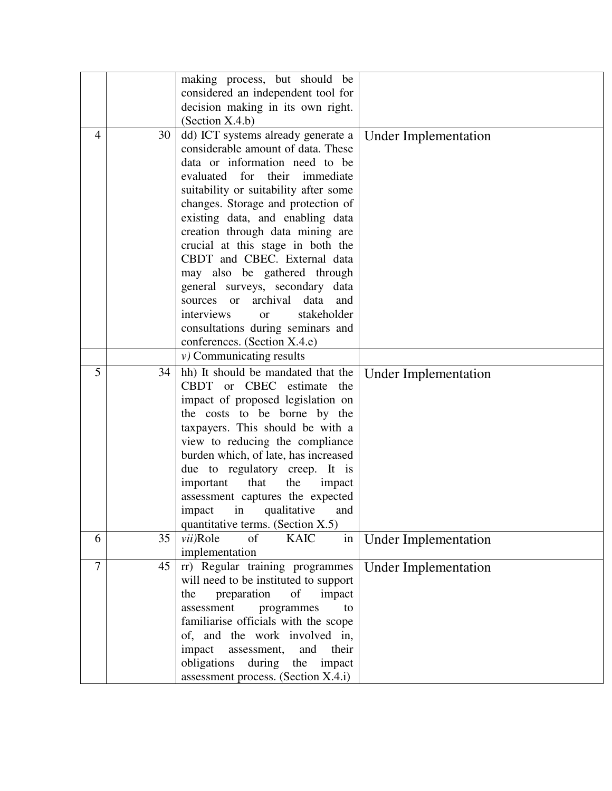|                |    | making process, but should be              |                             |
|----------------|----|--------------------------------------------|-----------------------------|
|                |    | considered an independent tool for         |                             |
|                |    | decision making in its own right.          |                             |
|                |    | (Section X.4.b)                            |                             |
| $\overline{4}$ | 30 | dd) ICT systems already generate a         | <b>Under Implementation</b> |
|                |    | considerable amount of data. These         |                             |
|                |    | data or information need to be             |                             |
|                |    | evaluated for their immediate              |                             |
|                |    | suitability or suitability after some      |                             |
|                |    | changes. Storage and protection of         |                             |
|                |    | existing data, and enabling data           |                             |
|                |    | creation through data mining are           |                             |
|                |    | crucial at this stage in both the          |                             |
|                |    | CBDT and CBEC. External data               |                             |
|                |    | may also be gathered through               |                             |
|                |    | general surveys, secondary data            |                             |
|                |    | archival data<br>and<br>sources or         |                             |
|                |    | stakeholder<br>interviews<br><sub>or</sub> |                             |
|                |    | consultations during seminars and          |                             |
|                |    | conferences. (Section X.4.e)               |                             |
|                |    | $\nu$ ) Communicating results              |                             |
| 5              | 34 | hh) It should be mandated that the         | <b>Under Implementation</b> |
|                |    | CBDT or CBEC estimate the                  |                             |
|                |    | impact of proposed legislation on          |                             |
|                |    | the costs to be borne by the               |                             |
|                |    | taxpayers. This should be with a           |                             |
|                |    | view to reducing the compliance            |                             |
|                |    | burden which, of late, has increased       |                             |
|                |    | due to regulatory creep. It is             |                             |
|                |    | that<br>important<br>the<br>impact         |                             |
|                |    | assessment captures the expected           |                             |
|                |    | qualitative<br>in<br>impact<br>and         |                             |
|                |    | quantitative terms. (Section X.5)          |                             |
| 6              | 35 | vii)Role<br>of<br><b>KAIC</b><br>in        | <b>Under Implementation</b> |
|                |    | implementation                             |                             |
| $\overline{7}$ | 45 | rr) Regular training programmes            | <b>Under Implementation</b> |
|                |    | will need to be instituted to support      |                             |
|                |    | preparation<br>of<br>impact<br>the         |                             |
|                |    | assessment<br>programmes<br>to             |                             |
|                |    | familiarise officials with the scope       |                             |
|                |    | of, and the work involved in,              |                             |
|                |    | impact<br>assessment,<br>and<br>their      |                             |
|                |    | obligations<br>during<br>the<br>impact     |                             |
|                |    | assessment process. (Section X.4.i)        |                             |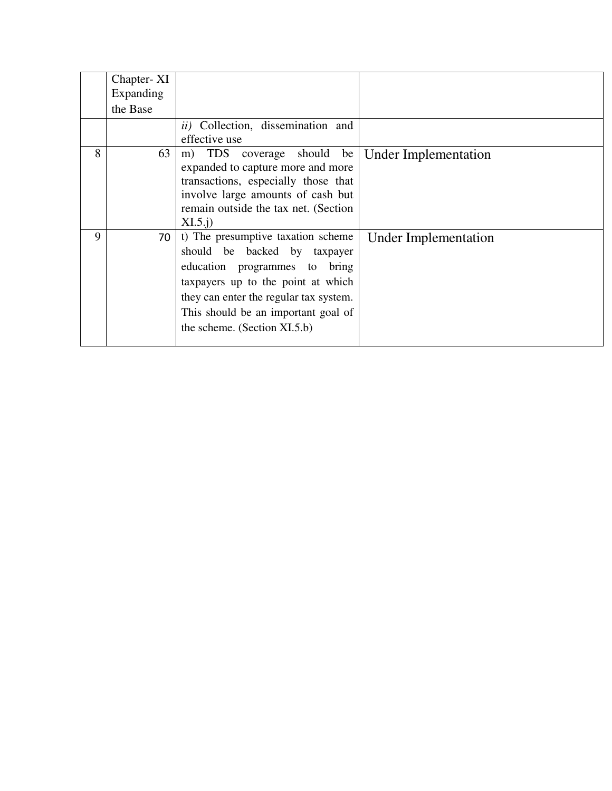|   | Chapter-XI<br>Expanding<br>the Base | ii) Collection, dissemination and                                                                                                                                                                                                                             |                      |
|---|-------------------------------------|---------------------------------------------------------------------------------------------------------------------------------------------------------------------------------------------------------------------------------------------------------------|----------------------|
|   |                                     | effective use                                                                                                                                                                                                                                                 |                      |
| 8 | 63                                  | m) TDS<br>coverage should<br>be<br>expanded to capture more and more<br>transactions, especially those that<br>involve large amounts of cash but<br>remain outside the tax net. (Section<br>$XI.5.$ j                                                         | Under Implementation |
| 9 | 70                                  | t) The presumptive taxation scheme<br>should be backed by taxpayer<br>education programmes to<br>bring<br>taxpayers up to the point at which<br>they can enter the regular tax system.<br>This should be an important goal of<br>the scheme. (Section XI.5.b) | Under Implementation |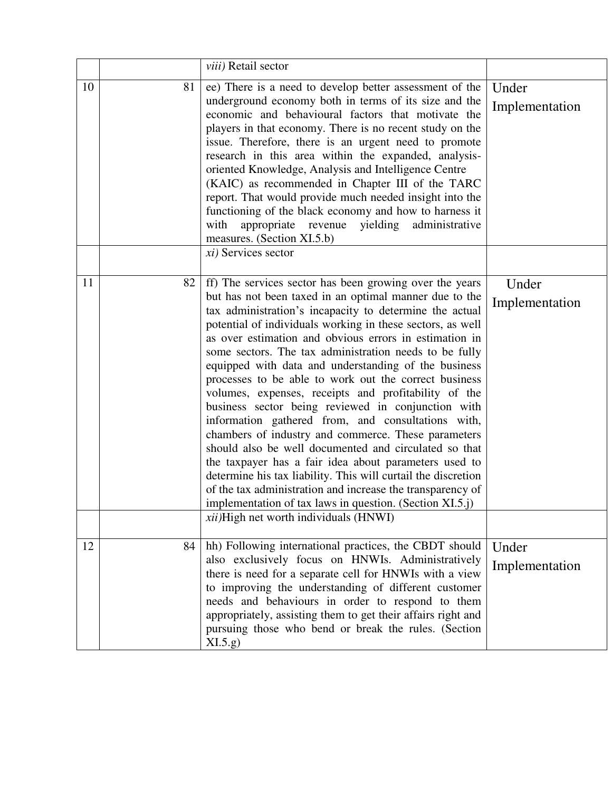|    |    | viii) Retail sector                                                                                                                                                                                                                                                                                                                                                                                                                                                                                                                                                                                                                                                                                                                                                                                                                                                                                                                                                                                                                                              |                         |
|----|----|------------------------------------------------------------------------------------------------------------------------------------------------------------------------------------------------------------------------------------------------------------------------------------------------------------------------------------------------------------------------------------------------------------------------------------------------------------------------------------------------------------------------------------------------------------------------------------------------------------------------------------------------------------------------------------------------------------------------------------------------------------------------------------------------------------------------------------------------------------------------------------------------------------------------------------------------------------------------------------------------------------------------------------------------------------------|-------------------------|
| 10 | 81 | ee) There is a need to develop better assessment of the<br>underground economy both in terms of its size and the<br>economic and behavioural factors that motivate the<br>players in that economy. There is no recent study on the<br>issue. Therefore, there is an urgent need to promote<br>research in this area within the expanded, analysis-<br>oriented Knowledge, Analysis and Intelligence Centre<br>(KAIC) as recommended in Chapter III of the TARC<br>report. That would provide much needed insight into the<br>functioning of the black economy and how to harness it<br>yielding<br>administrative<br>with<br>appropriate<br>revenue<br>measures. (Section XI.5.b)<br>$xi)$ Services sector                                                                                                                                                                                                                                                                                                                                                       | Under<br>Implementation |
| 11 | 82 | ff) The services sector has been growing over the years<br>but has not been taxed in an optimal manner due to the<br>tax administration's incapacity to determine the actual<br>potential of individuals working in these sectors, as well<br>as over estimation and obvious errors in estimation in<br>some sectors. The tax administration needs to be fully<br>equipped with data and understanding of the business<br>processes to be able to work out the correct business<br>volumes, expenses, receipts and profitability of the<br>business sector being reviewed in conjunction with<br>information gathered from, and consultations with,<br>chambers of industry and commerce. These parameters<br>should also be well documented and circulated so that<br>the taxpayer has a fair idea about parameters used to<br>determine his tax liability. This will curtail the discretion<br>of the tax administration and increase the transparency of<br>implementation of tax laws in question. (Section XI.5.j)<br>xii)High net worth individuals (HNWI) | Under<br>Implementation |
| 12 | 84 | hh) Following international practices, the CBDT should<br>also exclusively focus on HNWIs. Administratively<br>there is need for a separate cell for HNWIs with a view<br>to improving the understanding of different customer<br>needs and behaviours in order to respond to them<br>appropriately, assisting them to get their affairs right and<br>pursuing those who bend or break the rules. (Section<br>XI.5.g)                                                                                                                                                                                                                                                                                                                                                                                                                                                                                                                                                                                                                                            | Under<br>Implementation |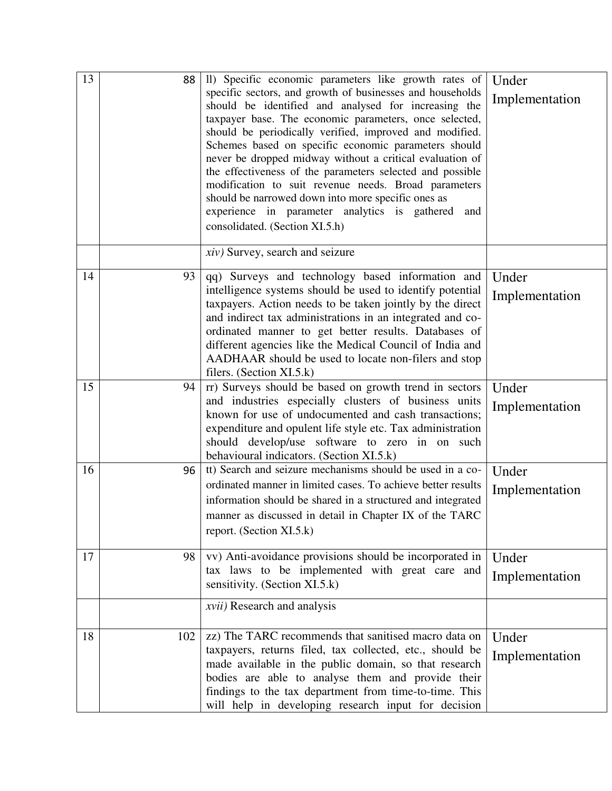| 13 | 88  | II) Specific economic parameters like growth rates of<br>specific sectors, and growth of businesses and households<br>should be identified and analysed for increasing the<br>taxpayer base. The economic parameters, once selected,<br>should be periodically verified, improved and modified.<br>Schemes based on specific economic parameters should<br>never be dropped midway without a critical evaluation of<br>the effectiveness of the parameters selected and possible<br>modification to suit revenue needs. Broad parameters<br>should be narrowed down into more specific ones as<br>experience in parameter analytics is gathered and<br>consolidated. (Section XI.5.h) | Under<br>Implementation |
|----|-----|---------------------------------------------------------------------------------------------------------------------------------------------------------------------------------------------------------------------------------------------------------------------------------------------------------------------------------------------------------------------------------------------------------------------------------------------------------------------------------------------------------------------------------------------------------------------------------------------------------------------------------------------------------------------------------------|-------------------------|
|    |     | <i>xiv</i> ) Survey, search and seizure                                                                                                                                                                                                                                                                                                                                                                                                                                                                                                                                                                                                                                               |                         |
| 14 | 93  | qq) Surveys and technology based information and<br>intelligence systems should be used to identify potential<br>taxpayers. Action needs to be taken jointly by the direct<br>and indirect tax administrations in an integrated and co-<br>ordinated manner to get better results. Databases of<br>different agencies like the Medical Council of India and<br>AADHAAR should be used to locate non-filers and stop<br>filers. (Section XI.5.k)                                                                                                                                                                                                                                       | Under<br>Implementation |
| 15 | 94  | rr) Surveys should be based on growth trend in sectors<br>and industries especially clusters of business units<br>known for use of undocumented and cash transactions;<br>expenditure and opulent life style etc. Tax administration<br>should develop/use software to zero in on such<br>behavioural indicators. (Section XI.5.k)                                                                                                                                                                                                                                                                                                                                                    | Under<br>Implementation |
| 16 | 96  | tt) Search and seizure mechanisms should be used in a co-<br>ordinated manner in limited cases. To achieve better results<br>information should be shared in a structured and integrated<br>manner as discussed in detail in Chapter IX of the TARC<br>report. (Section XI.5.k)                                                                                                                                                                                                                                                                                                                                                                                                       | Under<br>Implementation |
| 17 | 98  | vv) Anti-avoidance provisions should be incorporated in<br>tax laws to be implemented with great care and<br>sensitivity. (Section XI.5.k)                                                                                                                                                                                                                                                                                                                                                                                                                                                                                                                                            | Under<br>Implementation |
|    |     | xvii) Research and analysis                                                                                                                                                                                                                                                                                                                                                                                                                                                                                                                                                                                                                                                           |                         |
| 18 | 102 | zz) The TARC recommends that sanitised macro data on<br>taxpayers, returns filed, tax collected, etc., should be<br>made available in the public domain, so that research<br>bodies are able to analyse them and provide their<br>findings to the tax department from time-to-time. This<br>will help in developing research input for decision                                                                                                                                                                                                                                                                                                                                       | Under<br>Implementation |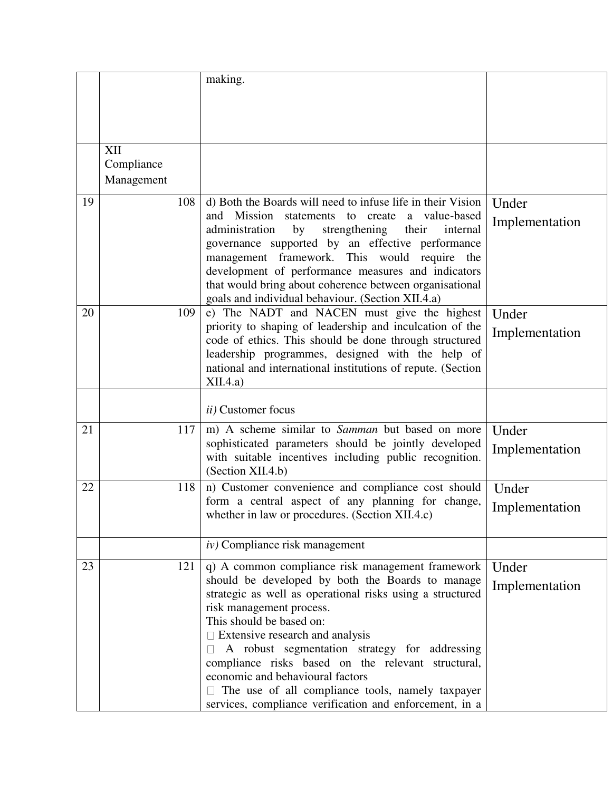|    |            | making.                                                                                                     |                |
|----|------------|-------------------------------------------------------------------------------------------------------------|----------------|
|    | XII        |                                                                                                             |                |
|    | Compliance |                                                                                                             |                |
|    | Management |                                                                                                             |                |
|    |            |                                                                                                             |                |
| 19 | 108        | d) Both the Boards will need to infuse life in their Vision                                                 | Under          |
|    |            | and Mission<br>statements to create<br>a value-based                                                        | Implementation |
|    |            | strengthening<br>administration<br>by<br>their<br>internal                                                  |                |
|    |            | governance supported by an effective performance                                                            |                |
|    |            | management framework. This would require the                                                                |                |
|    |            | development of performance measures and indicators                                                          |                |
|    |            | that would bring about coherence between organisational                                                     |                |
|    |            | goals and individual behaviour. (Section XII.4.a)                                                           |                |
| 20 | 109        | e) The NADT and NACEN must give the highest                                                                 | Under          |
|    |            | priority to shaping of leadership and inculcation of the                                                    | Implementation |
|    |            | code of ethics. This should be done through structured                                                      |                |
|    |            | leadership programmes, designed with the help of                                                            |                |
|    |            | national and international institutions of repute. (Section                                                 |                |
|    |            | XII.4.a)                                                                                                    |                |
|    |            |                                                                                                             |                |
|    |            | ii) Customer focus                                                                                          |                |
| 21 | 117        | m) A scheme similar to Samman but based on more                                                             | Under          |
|    |            | sophisticated parameters should be jointly developed                                                        | Implementation |
|    |            | with suitable incentives including public recognition.                                                      |                |
|    |            | (Section XII.4.b)                                                                                           |                |
| 22 | 118        | n) Customer convenience and compliance cost should                                                          | Under          |
|    |            | form a central aspect of any planning for change,                                                           | Implementation |
|    |            | whether in law or procedures. (Section XII.4.c)                                                             |                |
|    |            |                                                                                                             |                |
|    |            | $iv)$ Compliance risk management                                                                            |                |
| 23 | 121        | q) A common compliance risk management framework                                                            | Under          |
|    |            | should be developed by both the Boards to manage                                                            |                |
|    |            | strategic as well as operational risks using a structured                                                   | Implementation |
|    |            | risk management process.                                                                                    |                |
|    |            | This should be based on:                                                                                    |                |
|    |            | $\Box$ Extensive research and analysis                                                                      |                |
|    |            | A robust segmentation strategy for addressing                                                               |                |
|    |            |                                                                                                             |                |
|    |            |                                                                                                             |                |
|    |            | compliance risks based on the relevant structural,                                                          |                |
|    |            | economic and behavioural factors                                                                            |                |
|    |            | The use of all compliance tools, namely taxpayer<br>services, compliance verification and enforcement, in a |                |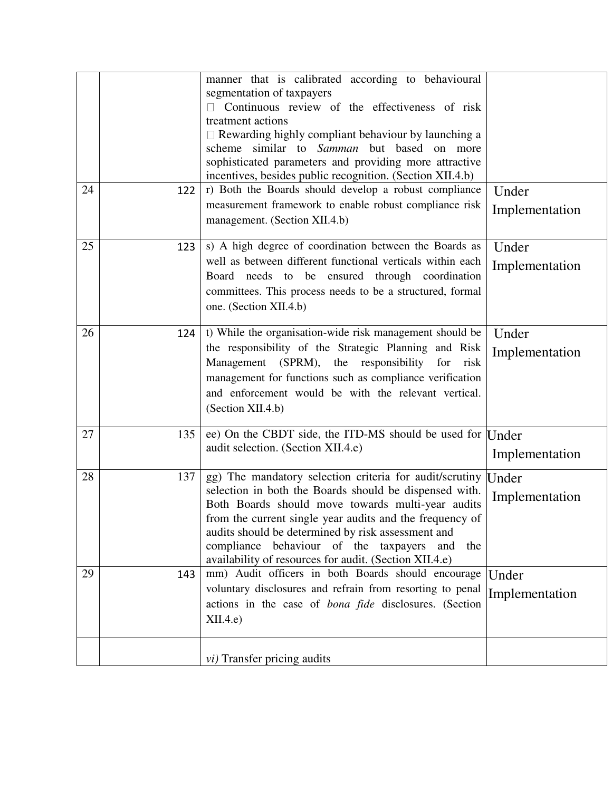|    |     | manner that is calibrated according to behavioural<br>segmentation of taxpayers                                  |                |
|----|-----|------------------------------------------------------------------------------------------------------------------|----------------|
|    |     | Continuous review of the effectiveness of risk                                                                   |                |
|    |     | treatment actions                                                                                                |                |
|    |     | $\Box$ Rewarding highly compliant behaviour by launching a<br>scheme similar to Samman but based on more         |                |
|    |     | sophisticated parameters and providing more attractive                                                           |                |
|    |     | incentives, besides public recognition. (Section XII.4.b)                                                        |                |
| 24 | 122 | r) Both the Boards should develop a robust compliance                                                            | Under          |
|    |     | measurement framework to enable robust compliance risk                                                           | Implementation |
|    |     | management. (Section XII.4.b)                                                                                    |                |
| 25 | 123 | s) A high degree of coordination between the Boards as                                                           | Under          |
|    |     | well as between different functional verticals within each<br>Board needs to be ensured through coordination     | Implementation |
|    |     | committees. This process needs to be a structured, formal                                                        |                |
|    |     | one. (Section XII.4.b)                                                                                           |                |
|    |     |                                                                                                                  |                |
| 26 | 124 | t) While the organisation-wide risk management should be                                                         | Under          |
|    |     | the responsibility of the Strategic Planning and Risk                                                            | Implementation |
|    |     | Management (SPRM), the responsibility<br>for<br>risk                                                             |                |
|    |     | management for functions such as compliance verification<br>and enforcement would be with the relevant vertical. |                |
|    |     | (Section XII.4.b)                                                                                                |                |
|    |     |                                                                                                                  |                |
| 27 | 135 | ee) On the CBDT side, the ITD-MS should be used for Under                                                        |                |
|    |     | audit selection. (Section XII.4.e)                                                                               | Implementation |
| 28 | 137 | gg) The mandatory selection criteria for audit/scrutiny                                                          |                |
|    |     | selection in both the Boards should be dispensed with.                                                           | Under          |
|    |     | Both Boards should move towards multi-year audits                                                                | Implementation |
|    |     | from the current single year audits and the frequency of                                                         |                |
|    |     | audits should be determined by risk assessment and                                                               |                |
|    |     | behaviour of the taxpayers<br>compliance<br>and<br>the<br>availability of resources for audit. (Section XII.4.e) |                |
| 29 | 143 | mm) Audit officers in both Boards should encourage                                                               | Under          |
|    |     | voluntary disclosures and refrain from resorting to penal                                                        | Implementation |
|    |     | actions in the case of <i>bona fide</i> disclosures. (Section                                                    |                |
|    |     | XII.4.e                                                                                                          |                |
|    |     |                                                                                                                  |                |
|    |     | <i>vi</i> ) Transfer pricing audits                                                                              |                |
|    |     |                                                                                                                  |                |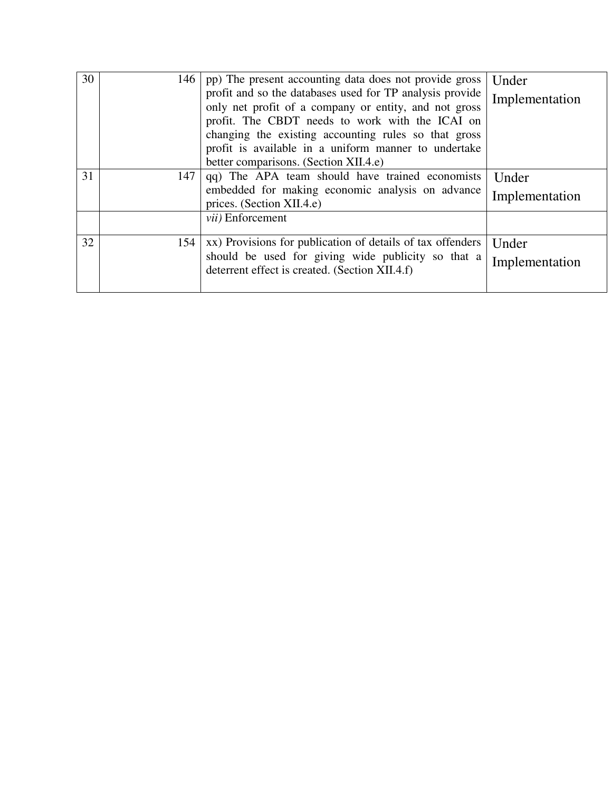| 30 | 146 | pp) The present accounting data does not provide gross                                                            | Under          |
|----|-----|-------------------------------------------------------------------------------------------------------------------|----------------|
|    |     | profit and so the databases used for TP analysis provide<br>only net profit of a company or entity, and not gross | Implementation |
|    |     | profit. The CBDT needs to work with the ICAI on                                                                   |                |
|    |     | changing the existing accounting rules so that gross                                                              |                |
|    |     | profit is available in a uniform manner to undertake                                                              |                |
|    |     | better comparisons. (Section XII.4.e)                                                                             |                |
| 31 | 147 | qq) The APA team should have trained economists                                                                   | Under          |
|    |     | embedded for making economic analysis on advance                                                                  | Implementation |
|    |     | prices. (Section XII.4.e)                                                                                         |                |
|    |     | <i>vii</i> ) Enforcement                                                                                          |                |
| 32 |     | 154   xx) Provisions for publication of details of tax offenders                                                  | Under          |
|    |     | should be used for giving wide publicity so that a<br>deterrent effect is created. (Section XII.4.f)              | Implementation |
|    |     |                                                                                                                   |                |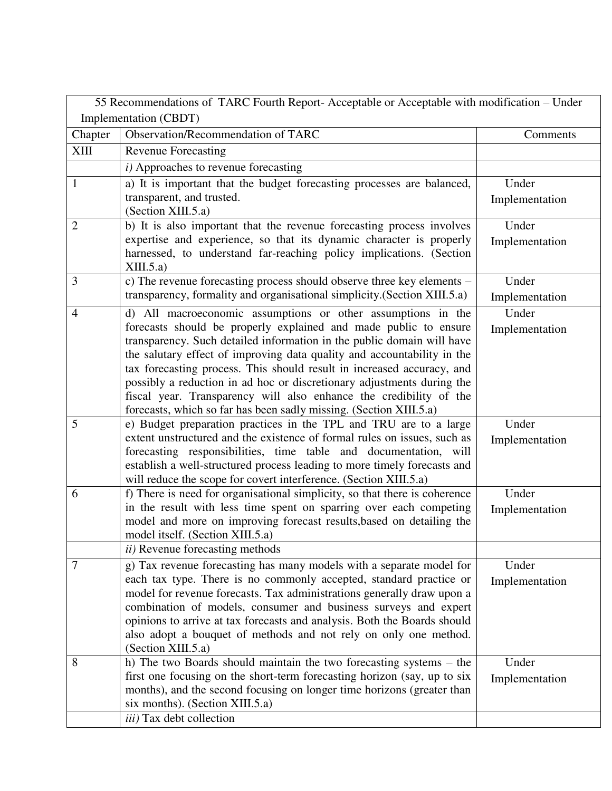| 55 Recommendations of TARC Fourth Report- Acceptable or Acceptable with modification - Under |                                                                                                                                               |                         |  |  |
|----------------------------------------------------------------------------------------------|-----------------------------------------------------------------------------------------------------------------------------------------------|-------------------------|--|--|
| Implementation (CBDT)                                                                        |                                                                                                                                               |                         |  |  |
| Chapter                                                                                      | Observation/Recommendation of TARC                                                                                                            | Comments                |  |  |
| XIII                                                                                         | <b>Revenue Forecasting</b>                                                                                                                    |                         |  |  |
|                                                                                              | i) Approaches to revenue forecasting                                                                                                          |                         |  |  |
| $\mathbf{1}$                                                                                 | a) It is important that the budget forecasting processes are balanced,                                                                        | Under                   |  |  |
|                                                                                              | transparent, and trusted.                                                                                                                     | Implementation          |  |  |
|                                                                                              | (Section XIII.5.a)                                                                                                                            |                         |  |  |
| $\overline{2}$                                                                               | b) It is also important that the revenue forecasting process involves                                                                         | Under                   |  |  |
|                                                                                              | expertise and experience, so that its dynamic character is properly                                                                           | Implementation          |  |  |
|                                                                                              | harnessed, to understand far-reaching policy implications. (Section<br>XIII.5.a)                                                              |                         |  |  |
| 3                                                                                            | c) The revenue forecasting process should observe three key elements –                                                                        | Under                   |  |  |
|                                                                                              | transparency, formality and organisational simplicity.(Section XIII.5.a)                                                                      |                         |  |  |
| $\overline{4}$                                                                               |                                                                                                                                               | Implementation<br>Under |  |  |
|                                                                                              | d) All macroeconomic assumptions or other assumptions in the<br>forecasts should be properly explained and made public to ensure              |                         |  |  |
|                                                                                              | transparency. Such detailed information in the public domain will have                                                                        | Implementation          |  |  |
|                                                                                              | the salutary effect of improving data quality and accountability in the                                                                       |                         |  |  |
|                                                                                              | tax forecasting process. This should result in increased accuracy, and                                                                        |                         |  |  |
|                                                                                              | possibly a reduction in ad hoc or discretionary adjustments during the                                                                        |                         |  |  |
|                                                                                              | fiscal year. Transparency will also enhance the credibility of the                                                                            |                         |  |  |
|                                                                                              | forecasts, which so far has been sadly missing. (Section XIII.5.a)                                                                            |                         |  |  |
| 5                                                                                            | e) Budget preparation practices in the TPL and TRU are to a large                                                                             | Under                   |  |  |
|                                                                                              | extent unstructured and the existence of formal rules on issues, such as                                                                      | Implementation          |  |  |
|                                                                                              | forecasting responsibilities, time table and documentation, will                                                                              |                         |  |  |
|                                                                                              | establish a well-structured process leading to more timely forecasts and<br>will reduce the scope for covert interference. (Section XIII.5.a) |                         |  |  |
| 6                                                                                            | f) There is need for organisational simplicity, so that there is coherence                                                                    | Under                   |  |  |
|                                                                                              | in the result with less time spent on sparring over each competing                                                                            | Implementation          |  |  |
|                                                                                              | model and more on improving forecast results, based on detailing the                                                                          |                         |  |  |
|                                                                                              | model itself. (Section XIII.5.a)                                                                                                              |                         |  |  |
|                                                                                              | <i>ii</i> ) Revenue forecasting methods                                                                                                       |                         |  |  |
| 7                                                                                            | g) Tax revenue forecasting has many models with a separate model for                                                                          | Under                   |  |  |
|                                                                                              | each tax type. There is no commonly accepted, standard practice or                                                                            | Implementation          |  |  |
|                                                                                              | model for revenue forecasts. Tax administrations generally draw upon a                                                                        |                         |  |  |
|                                                                                              | combination of models, consumer and business surveys and expert                                                                               |                         |  |  |
|                                                                                              | opinions to arrive at tax forecasts and analysis. Both the Boards should                                                                      |                         |  |  |
|                                                                                              | also adopt a bouquet of methods and not rely on only one method.<br>(Section XIII.5.a)                                                        |                         |  |  |
| 8                                                                                            | h) The two Boards should maintain the two forecasting systems – the                                                                           | Under                   |  |  |
|                                                                                              | first one focusing on the short-term forecasting horizon (say, up to six                                                                      | Implementation          |  |  |
|                                                                                              | months), and the second focusing on longer time horizons (greater than                                                                        |                         |  |  |
|                                                                                              | six months). (Section XIII.5.a)                                                                                                               |                         |  |  |
|                                                                                              | iii) Tax debt collection                                                                                                                      |                         |  |  |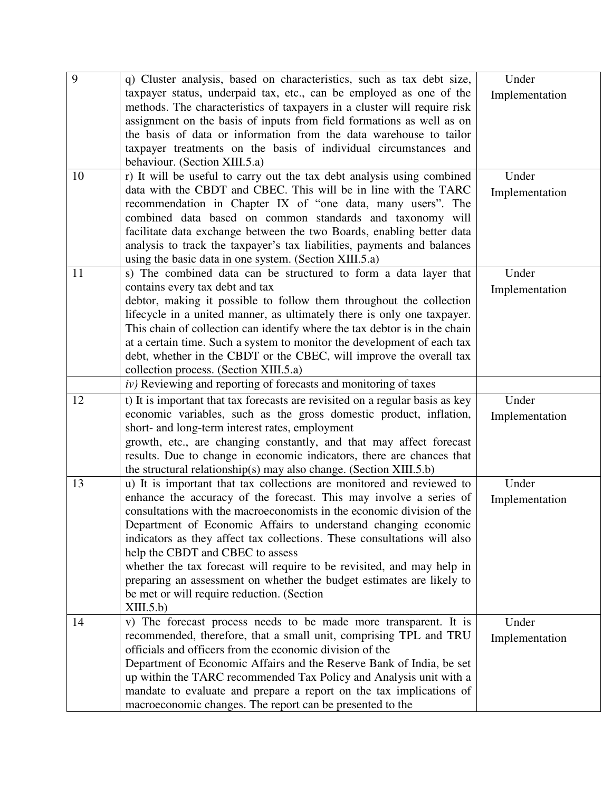| 9  | q) Cluster analysis, based on characteristics, such as tax debt size,                                                                                 | Under          |
|----|-------------------------------------------------------------------------------------------------------------------------------------------------------|----------------|
|    | taxpayer status, underpaid tax, etc., can be employed as one of the                                                                                   | Implementation |
|    | methods. The characteristics of taxpayers in a cluster will require risk                                                                              |                |
|    | assignment on the basis of inputs from field formations as well as on                                                                                 |                |
|    | the basis of data or information from the data warehouse to tailor                                                                                    |                |
|    | taxpayer treatments on the basis of individual circumstances and                                                                                      |                |
|    | behaviour. (Section XIII.5.a)                                                                                                                         |                |
| 10 | r) It will be useful to carry out the tax debt analysis using combined                                                                                | Under          |
|    | data with the CBDT and CBEC. This will be in line with the TARC                                                                                       | Implementation |
|    | recommendation in Chapter IX of "one data, many users". The                                                                                           |                |
|    | combined data based on common standards and taxonomy will                                                                                             |                |
|    | facilitate data exchange between the two Boards, enabling better data                                                                                 |                |
|    | analysis to track the taxpayer's tax liabilities, payments and balances                                                                               |                |
|    | using the basic data in one system. (Section XIII.5.a)                                                                                                |                |
| 11 | s) The combined data can be structured to form a data layer that                                                                                      | Under          |
|    | contains every tax debt and tax                                                                                                                       | Implementation |
|    | debtor, making it possible to follow them throughout the collection                                                                                   |                |
|    | lifecycle in a united manner, as ultimately there is only one taxpayer.                                                                               |                |
|    | This chain of collection can identify where the tax debtor is in the chain<br>at a certain time. Such a system to monitor the development of each tax |                |
|    | debt, whether in the CBDT or the CBEC, will improve the overall tax                                                                                   |                |
|    | collection process. (Section XIII.5.a)                                                                                                                |                |
|    | $iv)$ Reviewing and reporting of forecasts and monitoring of taxes                                                                                    |                |
| 12 | t) It is important that tax forecasts are revisited on a regular basis as key                                                                         | Under          |
|    | economic variables, such as the gross domestic product, inflation,                                                                                    |                |
|    | short- and long-term interest rates, employment                                                                                                       | Implementation |
|    | growth, etc., are changing constantly, and that may affect forecast                                                                                   |                |
|    | results. Due to change in economic indicators, there are chances that                                                                                 |                |
|    | the structural relationship(s) may also change. (Section XIII.5.b)                                                                                    |                |
| 13 | u) It is important that tax collections are monitored and reviewed to                                                                                 | Under          |
|    | enhance the accuracy of the forecast. This may involve a series of                                                                                    | Implementation |
|    | consultations with the macroeconomists in the economic division of the                                                                                |                |
|    | Department of Economic Affairs to understand changing economic                                                                                        |                |
|    | indicators as they affect tax collections. These consultations will also                                                                              |                |
|    | help the CBDT and CBEC to assess                                                                                                                      |                |
|    | whether the tax forecast will require to be revisited, and may help in                                                                                |                |
|    | preparing an assessment on whether the budget estimates are likely to                                                                                 |                |
|    | be met or will require reduction. (Section                                                                                                            |                |
|    | XIII.5.b)                                                                                                                                             |                |
| 14 | v) The forecast process needs to be made more transparent. It is                                                                                      | Under          |
|    | recommended, therefore, that a small unit, comprising TPL and TRU                                                                                     | Implementation |
|    | officials and officers from the economic division of the                                                                                              |                |
|    | Department of Economic Affairs and the Reserve Bank of India, be set                                                                                  |                |
|    | up within the TARC recommended Tax Policy and Analysis unit with a                                                                                    |                |
|    | mandate to evaluate and prepare a report on the tax implications of                                                                                   |                |
|    | macroeconomic changes. The report can be presented to the                                                                                             |                |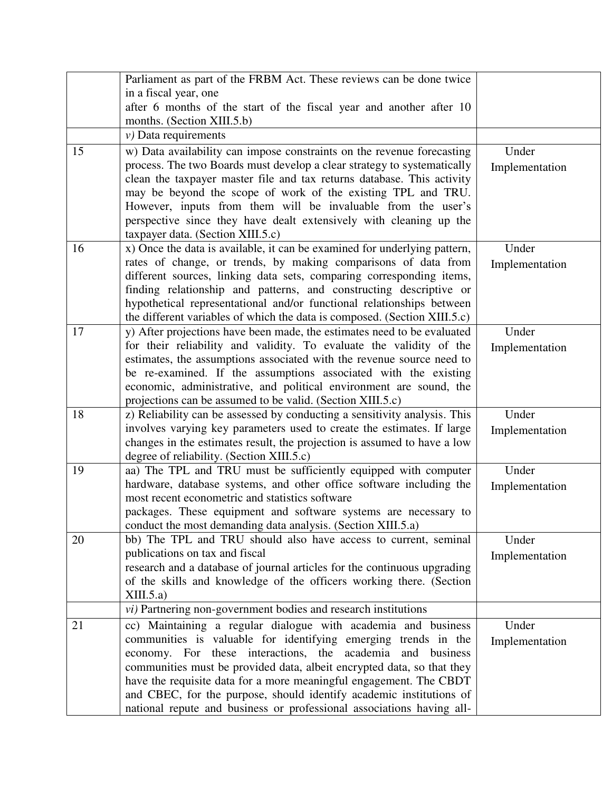|    | Parliament as part of the FRBM Act. These reviews can be done twice<br>in a fiscal year, one                                                                                                                                                                                                                                                                                                                                                                           |                         |
|----|------------------------------------------------------------------------------------------------------------------------------------------------------------------------------------------------------------------------------------------------------------------------------------------------------------------------------------------------------------------------------------------------------------------------------------------------------------------------|-------------------------|
|    | after 6 months of the start of the fiscal year and another after 10<br>months. (Section XIII.5.b)                                                                                                                                                                                                                                                                                                                                                                      |                         |
|    | $\nu$ ) Data requirements                                                                                                                                                                                                                                                                                                                                                                                                                                              |                         |
| 15 | w) Data availability can impose constraints on the revenue forecasting<br>process. The two Boards must develop a clear strategy to systematically<br>clean the taxpayer master file and tax returns database. This activity<br>may be beyond the scope of work of the existing TPL and TRU.<br>However, inputs from them will be invaluable from the user's<br>perspective since they have dealt extensively with cleaning up the<br>taxpayer data. (Section XIII.5.c) | Under<br>Implementation |
| 16 | x) Once the data is available, it can be examined for underlying pattern,<br>rates of change, or trends, by making comparisons of data from<br>different sources, linking data sets, comparing corresponding items,<br>finding relationship and patterns, and constructing descriptive or<br>hypothetical representational and/or functional relationships between<br>the different variables of which the data is composed. (Section XIII.5.c)                        | Under<br>Implementation |
| 17 | y) After projections have been made, the estimates need to be evaluated<br>for their reliability and validity. To evaluate the validity of the<br>estimates, the assumptions associated with the revenue source need to<br>be re-examined. If the assumptions associated with the existing<br>economic, administrative, and political environment are sound, the<br>projections can be assumed to be valid. (Section XIII.5.c)                                         | Under<br>Implementation |
| 18 | z) Reliability can be assessed by conducting a sensitivity analysis. This<br>involves varying key parameters used to create the estimates. If large<br>changes in the estimates result, the projection is assumed to have a low<br>degree of reliability. (Section XIII.5.c)                                                                                                                                                                                           | Under<br>Implementation |
| 19 | aa) The TPL and TRU must be sufficiently equipped with computer<br>hardware, database systems, and other office software including the<br>most recent econometric and statistics software<br>packages. These equipment and software systems are necessary to<br>conduct the most demanding data analysis. (Section XIII.5.a)                                                                                                                                           | Under<br>Implementation |
| 20 | bb) The TPL and TRU should also have access to current, seminal<br>publications on tax and fiscal<br>research and a database of journal articles for the continuous upgrading<br>of the skills and knowledge of the officers working there. (Section<br>XIII.5.a)<br><i>vi</i> ) Partnering non-government bodies and research institutions                                                                                                                            | Under<br>Implementation |
| 21 | cc) Maintaining a regular dialogue with academia and business<br>communities is valuable for identifying emerging trends in the<br>economy. For these interactions, the<br>academia and business                                                                                                                                                                                                                                                                       | Under<br>Implementation |
|    | communities must be provided data, albeit encrypted data, so that they<br>have the requisite data for a more meaningful engagement. The CBDT<br>and CBEC, for the purpose, should identify academic institutions of<br>national repute and business or professional associations having all-                                                                                                                                                                           |                         |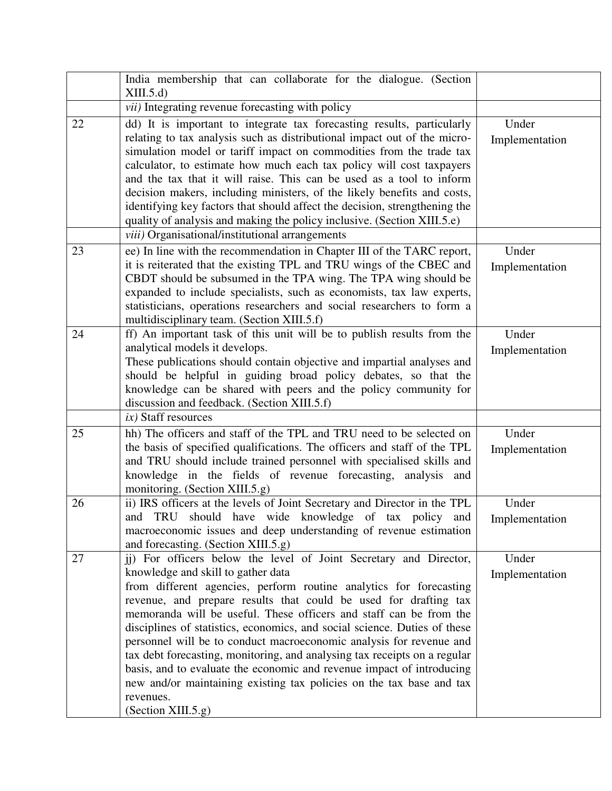|    | India membership that can collaborate for the dialogue. (Section<br>XIII.5.d                                                                                                                                                                                                                                                                                                                                                                                                                                                                                                                                                                                                                                                                 |                         |
|----|----------------------------------------------------------------------------------------------------------------------------------------------------------------------------------------------------------------------------------------------------------------------------------------------------------------------------------------------------------------------------------------------------------------------------------------------------------------------------------------------------------------------------------------------------------------------------------------------------------------------------------------------------------------------------------------------------------------------------------------------|-------------------------|
|    | <i>vii</i> ) Integrating revenue forecasting with policy                                                                                                                                                                                                                                                                                                                                                                                                                                                                                                                                                                                                                                                                                     |                         |
| 22 | dd) It is important to integrate tax forecasting results, particularly<br>relating to tax analysis such as distributional impact out of the micro-<br>simulation model or tariff impact on commodities from the trade tax<br>calculator, to estimate how much each tax policy will cost taxpayers<br>and the tax that it will raise. This can be used as a tool to inform<br>decision makers, including ministers, of the likely benefits and costs,<br>identifying key factors that should affect the decision, strengthening the<br>quality of analysis and making the policy inclusive. (Section XIII.5.e)                                                                                                                                | Under<br>Implementation |
|    | viii) Organisational/institutional arrangements                                                                                                                                                                                                                                                                                                                                                                                                                                                                                                                                                                                                                                                                                              |                         |
| 23 | ee) In line with the recommendation in Chapter III of the TARC report,<br>it is reiterated that the existing TPL and TRU wings of the CBEC and<br>CBDT should be subsumed in the TPA wing. The TPA wing should be<br>expanded to include specialists, such as economists, tax law experts,<br>statisticians, operations researchers and social researchers to form a<br>multidisciplinary team. (Section XIII.5.f)                                                                                                                                                                                                                                                                                                                           | Under<br>Implementation |
| 24 | ff) An important task of this unit will be to publish results from the<br>analytical models it develops.<br>These publications should contain objective and impartial analyses and<br>should be helpful in guiding broad policy debates, so that the<br>knowledge can be shared with peers and the policy community for<br>discussion and feedback. (Section XIII.5.f)                                                                                                                                                                                                                                                                                                                                                                       | Under<br>Implementation |
|    | $ix)$ Staff resources                                                                                                                                                                                                                                                                                                                                                                                                                                                                                                                                                                                                                                                                                                                        |                         |
| 25 | hh) The officers and staff of the TPL and TRU need to be selected on<br>the basis of specified qualifications. The officers and staff of the TPL<br>and TRU should include trained personnel with specialised skills and<br>knowledge in the fields of revenue forecasting, analysis and<br>monitoring. (Section XIII.5.g)                                                                                                                                                                                                                                                                                                                                                                                                                   | Under<br>Implementation |
| 26 | ii) IRS officers at the levels of Joint Secretary and Director in the TPL<br>and TRU should have wide knowledge of tax policy and<br>macroeconomic issues and deep understanding of revenue estimation<br>and forecasting. (Section XIII.5.g)                                                                                                                                                                                                                                                                                                                                                                                                                                                                                                | Under<br>Implementation |
| 27 | jj) For officers below the level of Joint Secretary and Director,<br>knowledge and skill to gather data<br>from different agencies, perform routine analytics for forecasting<br>revenue, and prepare results that could be used for drafting tax<br>memoranda will be useful. These officers and staff can be from the<br>disciplines of statistics, economics, and social science. Duties of these<br>personnel will be to conduct macroeconomic analysis for revenue and<br>tax debt forecasting, monitoring, and analysing tax receipts on a regular<br>basis, and to evaluate the economic and revenue impact of introducing<br>new and/or maintaining existing tax policies on the tax base and tax<br>revenues.<br>(Section XIII.5.g) | Under<br>Implementation |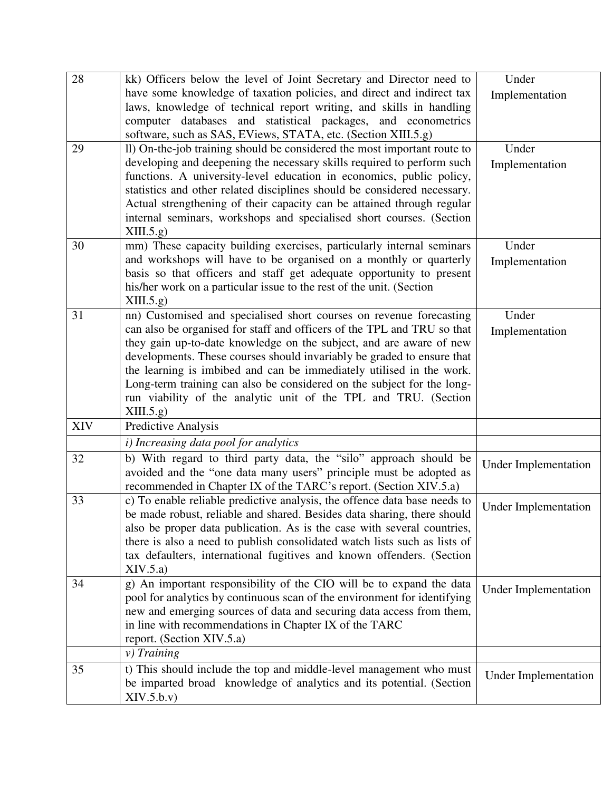| 28         | kk) Officers below the level of Joint Secretary and Director need to                                                                    | Under                       |
|------------|-----------------------------------------------------------------------------------------------------------------------------------------|-----------------------------|
|            | have some knowledge of taxation policies, and direct and indirect tax                                                                   | Implementation              |
|            | laws, knowledge of technical report writing, and skills in handling                                                                     |                             |
|            | computer databases and statistical packages, and econometrics                                                                           |                             |
|            | software, such as SAS, EViews, STATA, etc. (Section XIII.5.g)                                                                           |                             |
| 29         | II) On-the-job training should be considered the most important route to                                                                | Under                       |
|            | developing and deepening the necessary skills required to perform such                                                                  | Implementation              |
|            | functions. A university-level education in economics, public policy,                                                                    |                             |
|            | statistics and other related disciplines should be considered necessary.                                                                |                             |
|            | Actual strengthening of their capacity can be attained through regular                                                                  |                             |
|            | internal seminars, workshops and specialised short courses. (Section<br>XIII.5.g.                                                       |                             |
| 30         | mm) These capacity building exercises, particularly internal seminars                                                                   | Under                       |
|            | and workshops will have to be organised on a monthly or quarterly                                                                       |                             |
|            | basis so that officers and staff get adequate opportunity to present                                                                    | Implementation              |
|            | his/her work on a particular issue to the rest of the unit. (Section                                                                    |                             |
|            | XIII.5.g                                                                                                                                |                             |
| 31         | nn) Customised and specialised short courses on revenue forecasting                                                                     | Under                       |
|            | can also be organised for staff and officers of the TPL and TRU so that                                                                 | Implementation              |
|            | they gain up-to-date knowledge on the subject, and are aware of new                                                                     |                             |
|            | developments. These courses should invariably be graded to ensure that                                                                  |                             |
|            | the learning is imbibed and can be immediately utilised in the work.                                                                    |                             |
|            | Long-term training can also be considered on the subject for the long-                                                                  |                             |
|            | run viability of the analytic unit of the TPL and TRU. (Section                                                                         |                             |
| <b>XIV</b> | XIII.5.g)<br>Predictive Analysis                                                                                                        |                             |
|            | <i>i</i> ) Increasing data pool for analytics                                                                                           |                             |
|            |                                                                                                                                         |                             |
| 32         | b) With regard to third party data, the "silo" approach should be<br>avoided and the "one data many users" principle must be adopted as | <b>Under Implementation</b> |
|            | recommended in Chapter IX of the TARC's report. (Section XIV.5.a)                                                                       |                             |
| 33         | c) To enable reliable predictive analysis, the offence data base needs to                                                               |                             |
|            | be made robust, reliable and shared. Besides data sharing, there should                                                                 | <b>Under Implementation</b> |
|            | also be proper data publication. As is the case with several countries,                                                                 |                             |
|            | there is also a need to publish consolidated watch lists such as lists of                                                               |                             |
|            | tax defaulters, international fugitives and known offenders. (Section                                                                   |                             |
|            | XIV.5.a)                                                                                                                                |                             |
| 34         | g) An important responsibility of the CIO will be to expand the data                                                                    | <b>Under Implementation</b> |
|            | pool for analytics by continuous scan of the environment for identifying                                                                |                             |
|            | new and emerging sources of data and securing data access from them,                                                                    |                             |
|            | in line with recommendations in Chapter IX of the TARC                                                                                  |                             |
|            | report. (Section XIV.5.a)                                                                                                               |                             |
|            | $v)$ Training                                                                                                                           |                             |
| 35         | t) This should include the top and middle-level management who must                                                                     | <b>Under Implementation</b> |
|            | be imparted broad knowledge of analytics and its potential. (Section                                                                    |                             |
|            | XIV.5.b.v)                                                                                                                              |                             |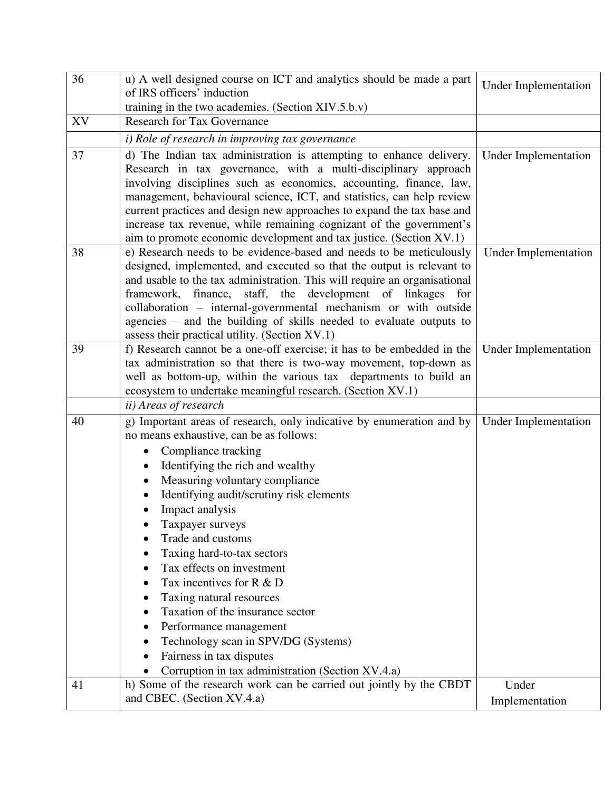| 36 | u) A well designed course on ICT and analytics should be made a part<br>of IRS officers' induction                                                                                                                                                                                                                                                                                                                                                                                                           | <b>Under Implementation</b> |
|----|--------------------------------------------------------------------------------------------------------------------------------------------------------------------------------------------------------------------------------------------------------------------------------------------------------------------------------------------------------------------------------------------------------------------------------------------------------------------------------------------------------------|-----------------------------|
|    | training in the two academies. (Section XIV.5.b.v)                                                                                                                                                                                                                                                                                                                                                                                                                                                           |                             |
| XV | <b>Research for Tax Governance</b>                                                                                                                                                                                                                                                                                                                                                                                                                                                                           |                             |
|    | i) Role of research in improving tax governance                                                                                                                                                                                                                                                                                                                                                                                                                                                              |                             |
| 37 |                                                                                                                                                                                                                                                                                                                                                                                                                                                                                                              |                             |
|    | d) The Indian tax administration is attempting to enhance delivery.<br>Research in tax governance, with a multi-disciplinary approach<br>involving disciplines such as economics, accounting, finance, law,<br>management, behavioural science, ICT, and statistics, can help review<br>current practices and design new approaches to expand the tax base and<br>increase tax revenue, while remaining cognizant of the government's<br>aim to promote economic development and tax justice. (Section XV.1) | <b>Under Implementation</b> |
| 38 | e) Research needs to be evidence-based and needs to be meticulously<br>designed, implemented, and executed so that the output is relevant to<br>and usable to the tax administration. This will require an organisational<br>framework, finance, staff, the development of linkages for<br>collaboration – internal-governmental mechanism or with outside<br>agencies – and the building of skills needed to evaluate outputs to<br>assess their practical utility. (Section XV.1)                          | <b>Under Implementation</b> |
| 39 | f) Research cannot be a one-off exercise; it has to be embedded in the<br>tax administration so that there is two-way movement, top-down as<br>well as bottom-up, within the various tax departments to build an<br>ecosystem to undertake meaningful research. (Section XV.1)                                                                                                                                                                                                                               | <b>Under Implementation</b> |
|    | ii) Areas of research                                                                                                                                                                                                                                                                                                                                                                                                                                                                                        |                             |
| 40 | g) Important areas of research, only indicative by enumeration and by<br>no means exhaustive, can be as follows:                                                                                                                                                                                                                                                                                                                                                                                             | <b>Under Implementation</b> |
|    | Compliance tracking                                                                                                                                                                                                                                                                                                                                                                                                                                                                                          |                             |
|    | Identifying the rich and wealthy<br>$\bullet$                                                                                                                                                                                                                                                                                                                                                                                                                                                                |                             |
|    | Measuring voluntary compliance<br>٠                                                                                                                                                                                                                                                                                                                                                                                                                                                                          |                             |
|    | Identifying audit/scrutiny risk elements                                                                                                                                                                                                                                                                                                                                                                                                                                                                     |                             |
|    | Impact analysis                                                                                                                                                                                                                                                                                                                                                                                                                                                                                              |                             |
|    | Taxpayer surveys                                                                                                                                                                                                                                                                                                                                                                                                                                                                                             |                             |
|    | Trade and customs                                                                                                                                                                                                                                                                                                                                                                                                                                                                                            |                             |
|    | Taxing hard-to-tax sectors                                                                                                                                                                                                                                                                                                                                                                                                                                                                                   |                             |
|    | Tax effects on investment                                                                                                                                                                                                                                                                                                                                                                                                                                                                                    |                             |
|    | Tax incentives for R & D                                                                                                                                                                                                                                                                                                                                                                                                                                                                                     |                             |
|    | Taxing natural resources                                                                                                                                                                                                                                                                                                                                                                                                                                                                                     |                             |
|    | Taxation of the insurance sector                                                                                                                                                                                                                                                                                                                                                                                                                                                                             |                             |
|    | Performance management                                                                                                                                                                                                                                                                                                                                                                                                                                                                                       |                             |
|    | Technology scan in SPV/DG (Systems)                                                                                                                                                                                                                                                                                                                                                                                                                                                                          |                             |
|    | Fairness in tax disputes                                                                                                                                                                                                                                                                                                                                                                                                                                                                                     |                             |
|    | Corruption in tax administration (Section XV.4.a)                                                                                                                                                                                                                                                                                                                                                                                                                                                            |                             |
| 41 | h) Some of the research work can be carried out jointly by the CBDT<br>and CBEC. (Section XV.4.a)                                                                                                                                                                                                                                                                                                                                                                                                            | Under<br>Implementation     |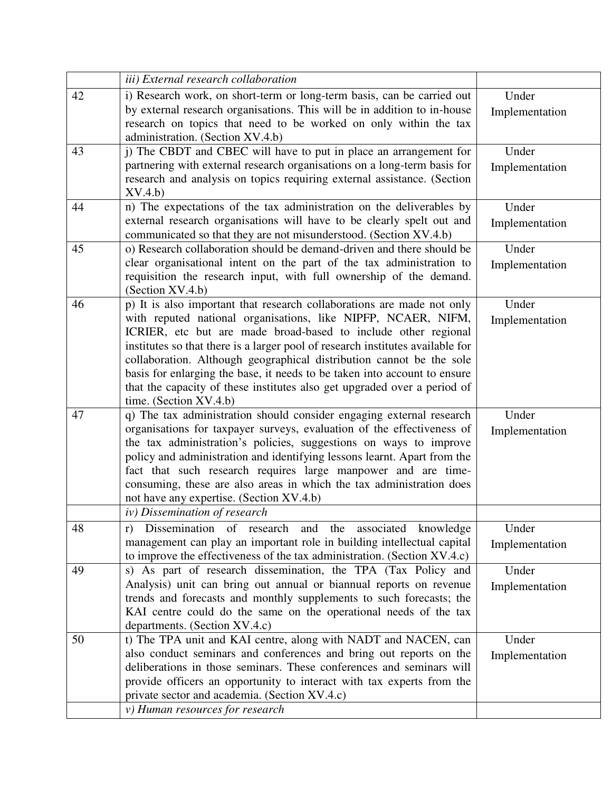|    | iii) External research collaboration                                                                                                                                                                                                                                                                                                                                                                                                                                                                                                                   |                         |
|----|--------------------------------------------------------------------------------------------------------------------------------------------------------------------------------------------------------------------------------------------------------------------------------------------------------------------------------------------------------------------------------------------------------------------------------------------------------------------------------------------------------------------------------------------------------|-------------------------|
| 42 | i) Research work, on short-term or long-term basis, can be carried out<br>by external research organisations. This will be in addition to in-house<br>research on topics that need to be worked on only within the tax<br>administration. (Section XV.4.b)                                                                                                                                                                                                                                                                                             | Under<br>Implementation |
| 43 | j) The CBDT and CBEC will have to put in place an arrangement for<br>partnering with external research organisations on a long-term basis for<br>research and analysis on topics requiring external assistance. (Section<br>XV.4.b                                                                                                                                                                                                                                                                                                                     | Under<br>Implementation |
| 44 | n) The expectations of the tax administration on the deliverables by<br>external research organisations will have to be clearly spelt out and<br>communicated so that they are not misunderstood. (Section XV.4.b)                                                                                                                                                                                                                                                                                                                                     | Under<br>Implementation |
| 45 | o) Research collaboration should be demand-driven and there should be<br>clear organisational intent on the part of the tax administration to<br>requisition the research input, with full ownership of the demand.<br>(Section XV.4.b)                                                                                                                                                                                                                                                                                                                | Under<br>Implementation |
| 46 | p) It is also important that research collaborations are made not only<br>with reputed national organisations, like NIPFP, NCAER, NIFM,<br>ICRIER, etc but are made broad-based to include other regional<br>institutes so that there is a larger pool of research institutes available for<br>collaboration. Although geographical distribution cannot be the sole<br>basis for enlarging the base, it needs to be taken into account to ensure<br>that the capacity of these institutes also get upgraded over a period of<br>time. (Section XV.4.b) | Under<br>Implementation |
| 47 | q) The tax administration should consider engaging external research<br>organisations for taxpayer surveys, evaluation of the effectiveness of<br>the tax administration's policies, suggestions on ways to improve<br>policy and administration and identifying lessons learnt. Apart from the<br>fact that such research requires large manpower and are time-<br>consuming, these are also areas in which the tax administration does<br>not have any expertise. (Section XV.4.b)                                                                   | Under<br>Implementation |
| 48 | iv) Dissemination of research<br>Dissemination of research and the associated knowledge<br>r)<br>management can play an important role in building intellectual capital<br>to improve the effectiveness of the tax administration. (Section XV.4.c)                                                                                                                                                                                                                                                                                                    | Under<br>Implementation |
| 49 | s) As part of research dissemination, the TPA (Tax Policy and<br>Analysis) unit can bring out annual or biannual reports on revenue<br>trends and forecasts and monthly supplements to such forecasts; the<br>KAI centre could do the same on the operational needs of the tax<br>departments. (Section XV.4.c)                                                                                                                                                                                                                                        | Under<br>Implementation |
| 50 | t) The TPA unit and KAI centre, along with NADT and NACEN, can<br>also conduct seminars and conferences and bring out reports on the<br>deliberations in those seminars. These conferences and seminars will<br>provide officers an opportunity to interact with tax experts from the<br>private sector and academia. (Section XV.4.c)<br>v) Human resources for research                                                                                                                                                                              | Under<br>Implementation |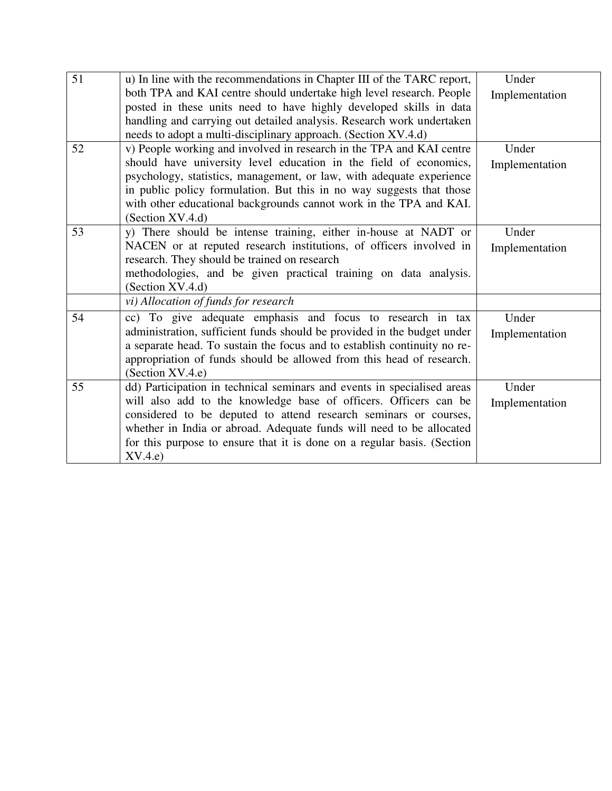| 51<br>52 | u) In line with the recommendations in Chapter III of the TARC report,<br>both TPA and KAI centre should undertake high level research. People<br>posted in these units need to have highly developed skills in data<br>handling and carrying out detailed analysis. Research work undertaken<br>needs to adopt a multi-disciplinary approach. (Section XV.4.d)<br>v) People working and involved in research in the TPA and KAI centre<br>should have university level education in the field of economics,<br>psychology, statistics, management, or law, with adequate experience<br>in public policy formulation. But this in no way suggests that those | Under<br>Implementation<br>Under<br>Implementation |
|----------|--------------------------------------------------------------------------------------------------------------------------------------------------------------------------------------------------------------------------------------------------------------------------------------------------------------------------------------------------------------------------------------------------------------------------------------------------------------------------------------------------------------------------------------------------------------------------------------------------------------------------------------------------------------|----------------------------------------------------|
| 53       | with other educational backgrounds cannot work in the TPA and KAI.<br>(Section XV.4.d)<br>y) There should be intense training, either in-house at NADT or<br>NACEN or at reputed research institutions, of officers involved in<br>research. They should be trained on research<br>methodologies, and be given practical training on data analysis.<br>(Section XV.4.d)<br>vi) Allocation of funds for research                                                                                                                                                                                                                                              | Under<br>Implementation                            |
| 54       | cc) To give adequate emphasis and focus to research in tax<br>administration, sufficient funds should be provided in the budget under<br>a separate head. To sustain the focus and to establish continuity no re-<br>appropriation of funds should be allowed from this head of research.<br>(Section XV.4.e)                                                                                                                                                                                                                                                                                                                                                | Under<br>Implementation                            |
| 55       | dd) Participation in technical seminars and events in specialised areas<br>will also add to the knowledge base of officers. Officers can be<br>considered to be deputed to attend research seminars or courses,<br>whether in India or abroad. Adequate funds will need to be allocated<br>for this purpose to ensure that it is done on a regular basis. (Section<br>XV.4.e)                                                                                                                                                                                                                                                                                | Under<br>Implementation                            |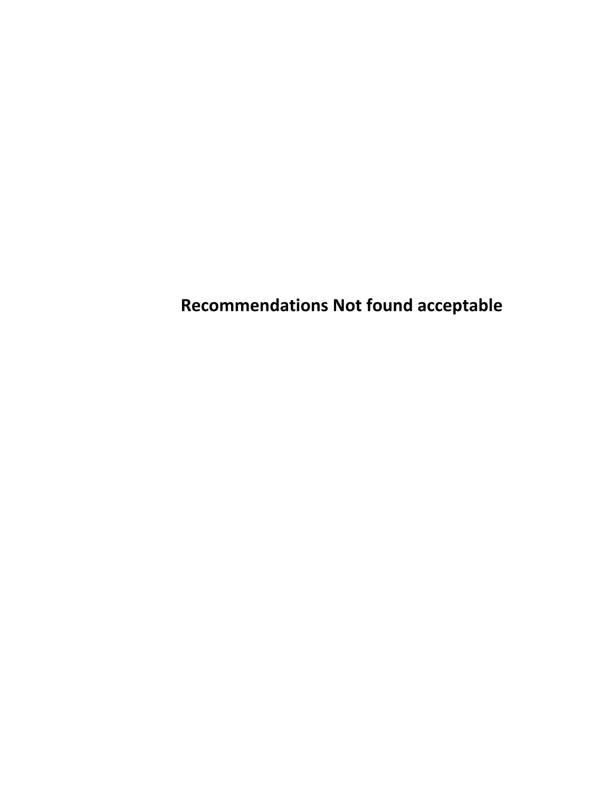**Recommendations Not found acceptable**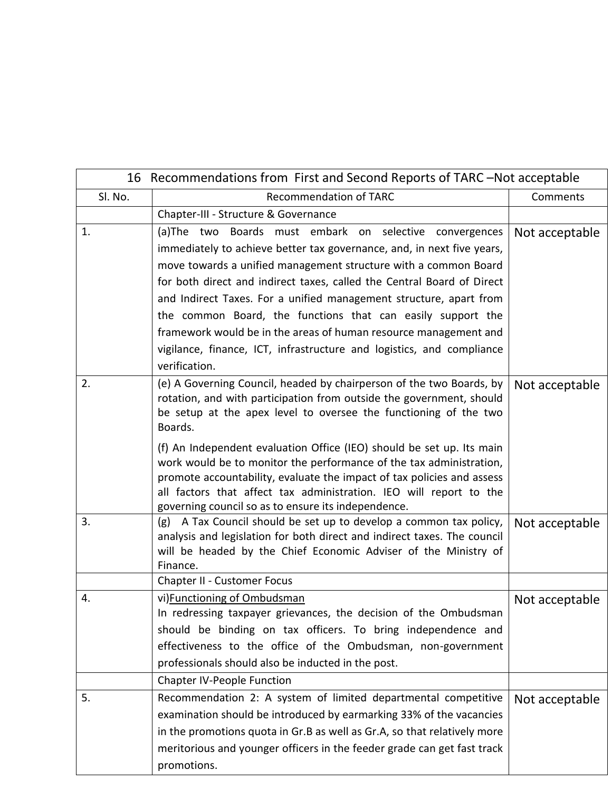| 16 Recommendations from First and Second Reports of TARC-Not acceptable |                                                                                                                                                                                                                                                                                                                                                                                                                                                                                                                                                                   |                |  |
|-------------------------------------------------------------------------|-------------------------------------------------------------------------------------------------------------------------------------------------------------------------------------------------------------------------------------------------------------------------------------------------------------------------------------------------------------------------------------------------------------------------------------------------------------------------------------------------------------------------------------------------------------------|----------------|--|
| Sl. No.                                                                 | <b>Recommendation of TARC</b>                                                                                                                                                                                                                                                                                                                                                                                                                                                                                                                                     | Comments       |  |
|                                                                         | Chapter-III - Structure & Governance                                                                                                                                                                                                                                                                                                                                                                                                                                                                                                                              |                |  |
| 1.                                                                      | (a) The two Boards must embark on selective convergences<br>immediately to achieve better tax governance, and, in next five years,<br>move towards a unified management structure with a common Board<br>for both direct and indirect taxes, called the Central Board of Direct<br>and Indirect Taxes. For a unified management structure, apart from<br>the common Board, the functions that can easily support the<br>framework would be in the areas of human resource management and<br>vigilance, finance, ICT, infrastructure and logistics, and compliance | Not acceptable |  |
| 2.                                                                      | verification.<br>(e) A Governing Council, headed by chairperson of the two Boards, by<br>rotation, and with participation from outside the government, should<br>be setup at the apex level to oversee the functioning of the two<br>Boards.                                                                                                                                                                                                                                                                                                                      | Not acceptable |  |
|                                                                         | (f) An Independent evaluation Office (IEO) should be set up. Its main<br>work would be to monitor the performance of the tax administration,<br>promote accountability, evaluate the impact of tax policies and assess<br>all factors that affect tax administration. IEO will report to the<br>governing council so as to ensure its independence.                                                                                                                                                                                                               |                |  |
| 3.                                                                      | (g) A Tax Council should be set up to develop a common tax policy,<br>analysis and legislation for both direct and indirect taxes. The council<br>will be headed by the Chief Economic Adviser of the Ministry of<br>Finance.                                                                                                                                                                                                                                                                                                                                     | Not acceptable |  |
|                                                                         | <b>Chapter II - Customer Focus</b>                                                                                                                                                                                                                                                                                                                                                                                                                                                                                                                                |                |  |
| 4.                                                                      | vi) Functioning of Ombudsman<br>In redressing taxpayer grievances, the decision of the Ombudsman<br>should be binding on tax officers. To bring independence and<br>effectiveness to the office of the Ombudsman, non-government<br>professionals should also be inducted in the post.                                                                                                                                                                                                                                                                            | Not acceptable |  |
|                                                                         | <b>Chapter IV-People Function</b>                                                                                                                                                                                                                                                                                                                                                                                                                                                                                                                                 |                |  |
| 5.                                                                      | Recommendation 2: A system of limited departmental competitive<br>examination should be introduced by earmarking 33% of the vacancies<br>in the promotions quota in Gr.B as well as Gr.A, so that relatively more<br>meritorious and younger officers in the feeder grade can get fast track<br>promotions.                                                                                                                                                                                                                                                       | Not acceptable |  |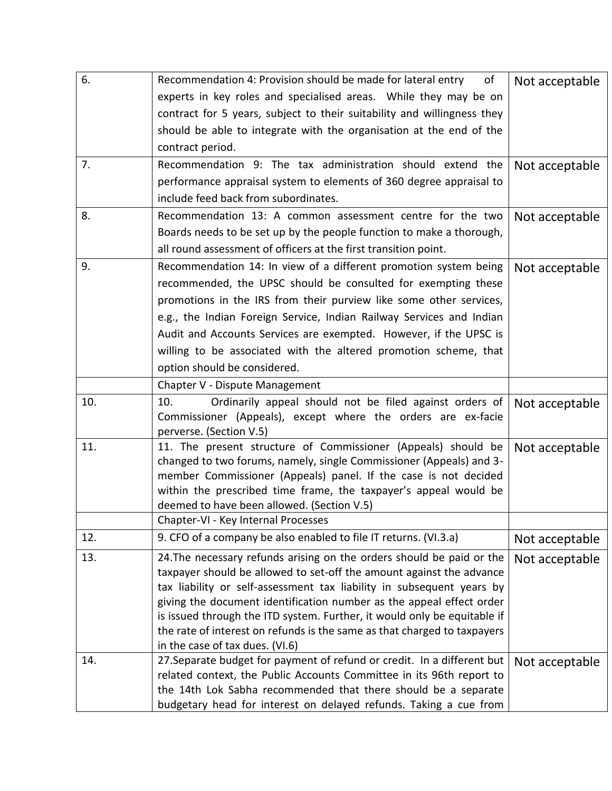| 6.  | Recommendation 4: Provision should be made for lateral entry<br>of                                                                     | Not acceptable |
|-----|----------------------------------------------------------------------------------------------------------------------------------------|----------------|
|     | experts in key roles and specialised areas. While they may be on                                                                       |                |
|     | contract for 5 years, subject to their suitability and willingness they                                                                |                |
|     | should be able to integrate with the organisation at the end of the                                                                    |                |
|     | contract period.                                                                                                                       |                |
| 7.  | Recommendation 9: The tax administration should extend the                                                                             | Not acceptable |
|     | performance appraisal system to elements of 360 degree appraisal to                                                                    |                |
|     | include feed back from subordinates.                                                                                                   |                |
| 8.  | Recommendation 13: A common assessment centre for the two                                                                              | Not acceptable |
|     | Boards needs to be set up by the people function to make a thorough,                                                                   |                |
|     | all round assessment of officers at the first transition point.                                                                        |                |
| 9.  | Recommendation 14: In view of a different promotion system being                                                                       | Not acceptable |
|     | recommended, the UPSC should be consulted for exempting these                                                                          |                |
|     | promotions in the IRS from their purview like some other services,                                                                     |                |
|     | e.g., the Indian Foreign Service, Indian Railway Services and Indian                                                                   |                |
|     | Audit and Accounts Services are exempted. However, if the UPSC is                                                                      |                |
|     | willing to be associated with the altered promotion scheme, that                                                                       |                |
|     | option should be considered.                                                                                                           |                |
|     | Chapter V - Dispute Management                                                                                                         |                |
| 10. | Ordinarily appeal should not be filed against orders of<br>10.                                                                         | Not acceptable |
|     | Commissioner (Appeals), except where the orders are ex-facie                                                                           |                |
|     | perverse. (Section V.5)                                                                                                                |                |
| 11. | 11. The present structure of Commissioner (Appeals) should be                                                                          | Not acceptable |
|     | changed to two forums, namely, single Commissioner (Appeals) and 3-<br>member Commissioner (Appeals) panel. If the case is not decided |                |
|     | within the prescribed time frame, the taxpayer's appeal would be                                                                       |                |
|     | deemed to have been allowed. (Section V.5)                                                                                             |                |
|     | Chapter-VI - Key Internal Processes                                                                                                    |                |
| 12. | 9. CFO of a company be also enabled to file IT returns. (VI.3.a)                                                                       | Not acceptable |
| 13. | 24. The necessary refunds arising on the orders should be paid or the                                                                  | Not acceptable |
|     | taxpayer should be allowed to set-off the amount against the advance                                                                   |                |
|     | tax liability or self-assessment tax liability in subsequent years by                                                                  |                |
|     | giving the document identification number as the appeal effect order                                                                   |                |
|     | is issued through the ITD system. Further, it would only be equitable if                                                               |                |
|     | the rate of interest on refunds is the same as that charged to taxpayers<br>in the case of tax dues. (VI.6)                            |                |
| 14. | 27. Separate budget for payment of refund or credit. In a different but                                                                | Not acceptable |
|     | related context, the Public Accounts Committee in its 96th report to                                                                   |                |
|     | the 14th Lok Sabha recommended that there should be a separate                                                                         |                |
|     | budgetary head for interest on delayed refunds. Taking a cue from                                                                      |                |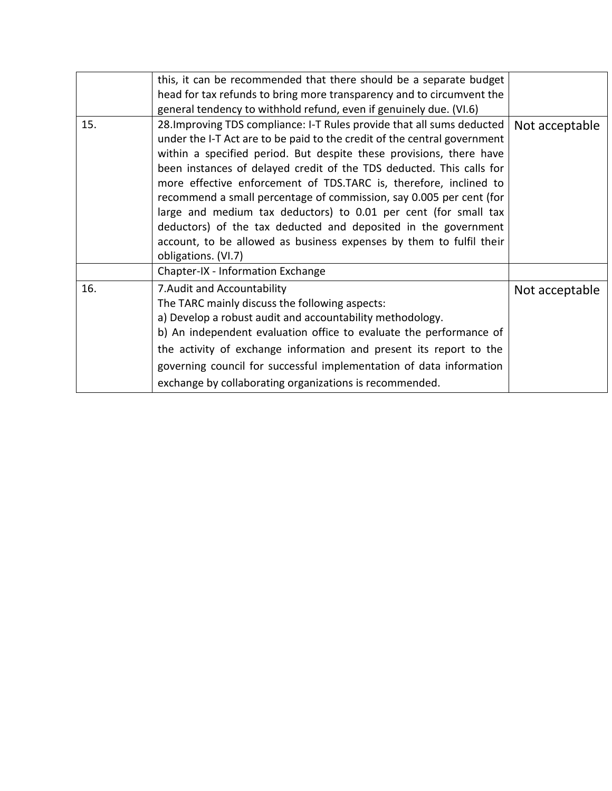|     | this, it can be recommended that there should be a separate budget                                                                                                                                                                                                                                                                                                                                                                                                                                                                                                                                                                                                               |                |
|-----|----------------------------------------------------------------------------------------------------------------------------------------------------------------------------------------------------------------------------------------------------------------------------------------------------------------------------------------------------------------------------------------------------------------------------------------------------------------------------------------------------------------------------------------------------------------------------------------------------------------------------------------------------------------------------------|----------------|
|     | head for tax refunds to bring more transparency and to circumvent the                                                                                                                                                                                                                                                                                                                                                                                                                                                                                                                                                                                                            |                |
|     | general tendency to withhold refund, even if genuinely due. (VI.6)                                                                                                                                                                                                                                                                                                                                                                                                                                                                                                                                                                                                               |                |
| 15. | 28. Improving TDS compliance: I-T Rules provide that all sums deducted<br>under the I-T Act are to be paid to the credit of the central government<br>within a specified period. But despite these provisions, there have<br>been instances of delayed credit of the TDS deducted. This calls for<br>more effective enforcement of TDS.TARC is, therefore, inclined to<br>recommend a small percentage of commission, say 0.005 per cent (for<br>large and medium tax deductors) to 0.01 per cent (for small tax<br>deductors) of the tax deducted and deposited in the government<br>account, to be allowed as business expenses by them to fulfil their<br>obligations. (VI.7) | Not acceptable |
|     | Chapter-IX - Information Exchange                                                                                                                                                                                                                                                                                                                                                                                                                                                                                                                                                                                                                                                |                |
| 16. | 7. Audit and Accountability<br>The TARC mainly discuss the following aspects:<br>a) Develop a robust audit and accountability methodology.<br>b) An independent evaluation office to evaluate the performance of<br>the activity of exchange information and present its report to the<br>governing council for successful implementation of data information<br>exchange by collaborating organizations is recommended.                                                                                                                                                                                                                                                         | Not acceptable |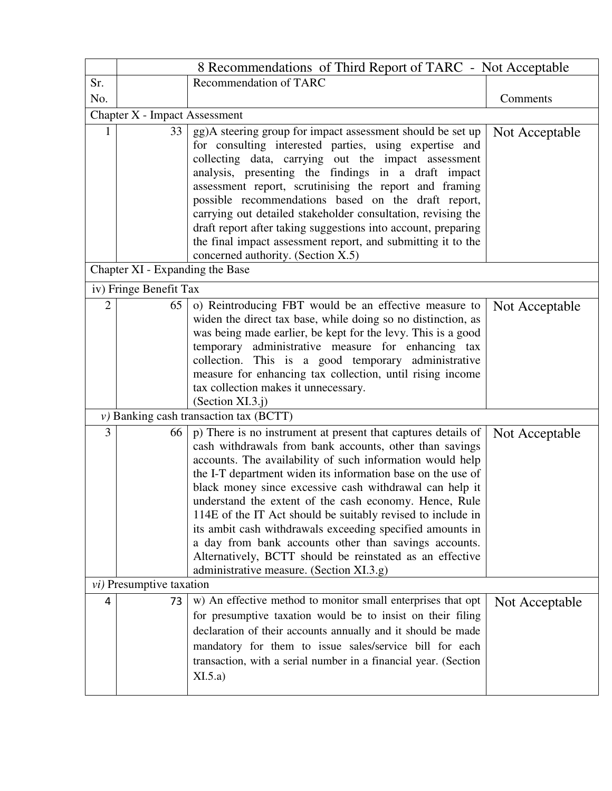|                | 8 Recommendations of Third Report of TARC - Not Acceptable |                                                                                                                                                                                                                                                                                                                                                                                                                                                                                                                                                                                                                                                                        |                |
|----------------|------------------------------------------------------------|------------------------------------------------------------------------------------------------------------------------------------------------------------------------------------------------------------------------------------------------------------------------------------------------------------------------------------------------------------------------------------------------------------------------------------------------------------------------------------------------------------------------------------------------------------------------------------------------------------------------------------------------------------------------|----------------|
| Sr.            |                                                            | Recommendation of TARC                                                                                                                                                                                                                                                                                                                                                                                                                                                                                                                                                                                                                                                 |                |
| No.            |                                                            |                                                                                                                                                                                                                                                                                                                                                                                                                                                                                                                                                                                                                                                                        | Comments       |
|                | Chapter X - Impact Assessment                              |                                                                                                                                                                                                                                                                                                                                                                                                                                                                                                                                                                                                                                                                        |                |
| 1              | 33 <sup>1</sup><br>Chapter XI - Expanding the Base         | gg)A steering group for impact assessment should be set up<br>for consulting interested parties, using expertise and<br>collecting data, carrying out the impact assessment<br>analysis, presenting the findings in a draft impact<br>assessment report, scrutinising the report and framing<br>possible recommendations based on the draft report,<br>carrying out detailed stakeholder consultation, revising the<br>draft report after taking suggestions into account, preparing<br>the final impact assessment report, and submitting it to the<br>concerned authority. (Section X.5)                                                                             | Not Acceptable |
|                | iv) Fringe Benefit Tax                                     |                                                                                                                                                                                                                                                                                                                                                                                                                                                                                                                                                                                                                                                                        |                |
|                |                                                            |                                                                                                                                                                                                                                                                                                                                                                                                                                                                                                                                                                                                                                                                        |                |
| $\overline{2}$ | 65                                                         | o) Reintroducing FBT would be an effective measure to<br>widen the direct tax base, while doing so no distinction, as<br>was being made earlier, be kept for the levy. This is a good<br>temporary administrative measure for enhancing tax<br>collection. This is a good temporary administrative<br>measure for enhancing tax collection, until rising income<br>tax collection makes it unnecessary.<br>(Section XI.3.j)                                                                                                                                                                                                                                            | Not Acceptable |
|                |                                                            | $\nu$ ) Banking cash transaction tax (BCTT)                                                                                                                                                                                                                                                                                                                                                                                                                                                                                                                                                                                                                            |                |
| $\overline{3}$ | 66                                                         | p) There is no instrument at present that captures details of<br>cash withdrawals from bank accounts, other than savings<br>accounts. The availability of such information would help<br>the I-T department widen its information base on the use of<br>black money since excessive cash withdrawal can help it<br>understand the extent of the cash economy. Hence, Rule<br>114E of the IT Act should be suitably revised to include in<br>its ambit cash withdrawals exceeding specified amounts in<br>a day from bank accounts other than savings accounts.<br>Alternatively, BCTT should be reinstated as an effective<br>administrative measure. (Section XI.3.g) | Not Acceptable |
|                | <i>vi</i> ) Presumptive taxation                           |                                                                                                                                                                                                                                                                                                                                                                                                                                                                                                                                                                                                                                                                        |                |
| 4              | 73                                                         | w) An effective method to monitor small enterprises that opt<br>for presumptive taxation would be to insist on their filing<br>declaration of their accounts annually and it should be made<br>mandatory for them to issue sales/service bill for each<br>transaction, with a serial number in a financial year. (Section<br>XI.5.a)                                                                                                                                                                                                                                                                                                                                   | Not Acceptable |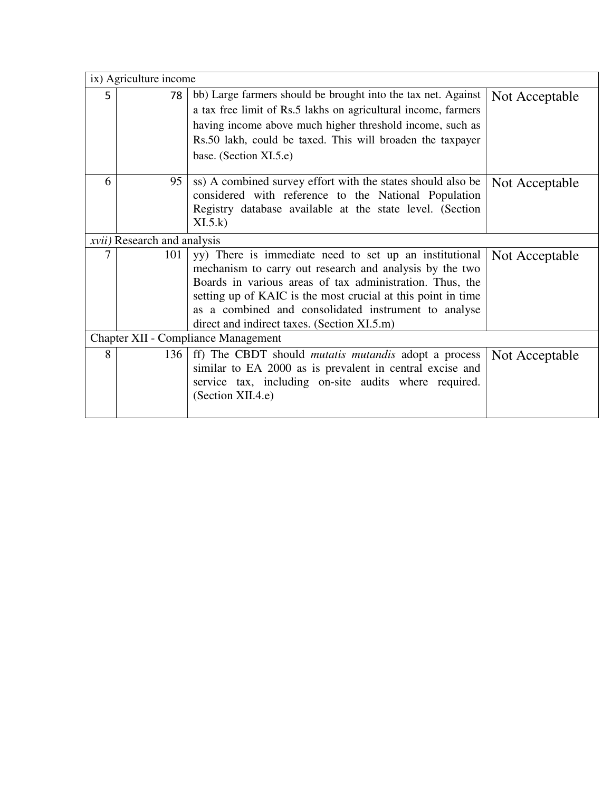|   | ix) Agriculture income              |                                                                |                |
|---|-------------------------------------|----------------------------------------------------------------|----------------|
| 5 | 78                                  | bb) Large farmers should be brought into the tax net. Against  | Not Acceptable |
|   |                                     | a tax free limit of Rs.5 lakhs on agricultural income, farmers |                |
|   |                                     | having income above much higher threshold income, such as      |                |
|   |                                     | Rs.50 lakh, could be taxed. This will broaden the taxpayer     |                |
|   |                                     | base. (Section XI.5.e)                                         |                |
| 6 | 95 <sup>1</sup>                     | ss) A combined survey effort with the states should also be    | Not Acceptable |
|   |                                     | considered with reference to the National Population           |                |
|   |                                     | Registry database available at the state level. (Section       |                |
|   |                                     | XI.5.k                                                         |                |
|   | <i>xvii</i> ) Research and analysis |                                                                |                |
| 7 | 101                                 | yy) There is immediate need to set up an institutional         | Not Acceptable |
|   |                                     | mechanism to carry out research and analysis by the two        |                |
|   |                                     | Boards in various areas of tax administration. Thus, the       |                |
|   |                                     | setting up of KAIC is the most crucial at this point in time   |                |
|   |                                     | as a combined and consolidated instrument to analyse           |                |
|   |                                     | direct and indirect taxes. (Section XI.5.m)                    |                |
|   |                                     | <b>Chapter XII - Compliance Management</b>                     |                |
| 8 | 136                                 | ff) The CBDT should <i>mutatis mutandis</i> adopt a process    | Not Acceptable |
|   |                                     | similar to EA 2000 as is prevalent in central excise and       |                |
|   |                                     | service tax, including on-site audits where required.          |                |
|   |                                     | (Section XII.4.e)                                              |                |
|   |                                     |                                                                |                |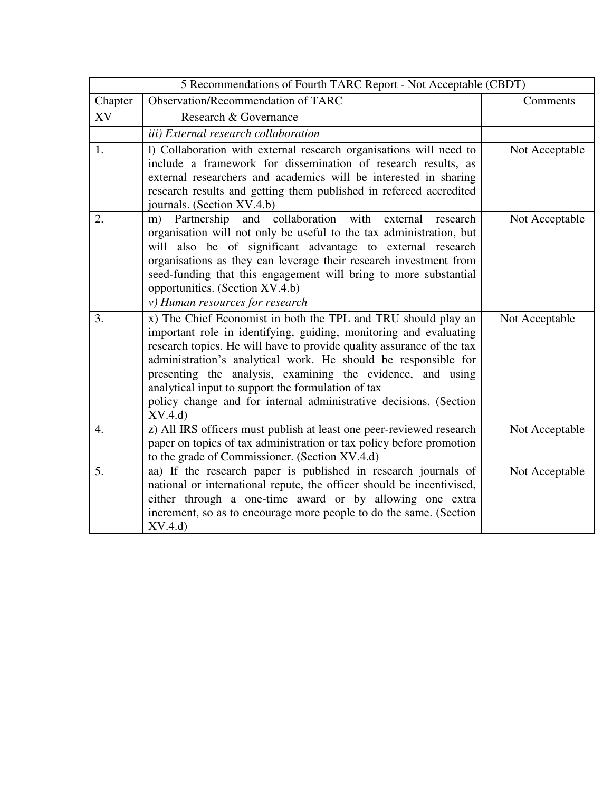| 5 Recommendations of Fourth TARC Report - Not Acceptable (CBDT) |                                                                                                                                                                                                                                                                                                                                                                                                                                                                                  |                |  |
|-----------------------------------------------------------------|----------------------------------------------------------------------------------------------------------------------------------------------------------------------------------------------------------------------------------------------------------------------------------------------------------------------------------------------------------------------------------------------------------------------------------------------------------------------------------|----------------|--|
| Chapter                                                         | Observation/Recommendation of TARC                                                                                                                                                                                                                                                                                                                                                                                                                                               | Comments       |  |
| XV                                                              | Research & Governance                                                                                                                                                                                                                                                                                                                                                                                                                                                            |                |  |
|                                                                 | iii) External research collaboration                                                                                                                                                                                                                                                                                                                                                                                                                                             |                |  |
| 1.                                                              | 1) Collaboration with external research organisations will need to<br>include a framework for dissemination of research results, as<br>external researchers and academics will be interested in sharing<br>research results and getting them published in refereed accredited<br>journals. (Section XV.4.b)                                                                                                                                                                      | Not Acceptable |  |
| 2.                                                              | collaboration<br>Partnership<br>and<br>research<br>with<br>external<br>m)<br>organisation will not only be useful to the tax administration, but<br>will also be of significant advantage to external research<br>organisations as they can leverage their research investment from<br>seed-funding that this engagement will bring to more substantial<br>opportunities. (Section XV.4.b)                                                                                       | Not Acceptable |  |
|                                                                 | v) Human resources for research                                                                                                                                                                                                                                                                                                                                                                                                                                                  |                |  |
| 3.                                                              | x) The Chief Economist in both the TPL and TRU should play an<br>important role in identifying, guiding, monitoring and evaluating<br>research topics. He will have to provide quality assurance of the tax<br>administration's analytical work. He should be responsible for<br>presenting the analysis, examining the evidence, and using<br>analytical input to support the formulation of tax<br>policy change and for internal administrative decisions. (Section<br>XV.4.d | Not Acceptable |  |
| 4.                                                              | z) All IRS officers must publish at least one peer-reviewed research<br>paper on topics of tax administration or tax policy before promotion<br>to the grade of Commissioner. (Section XV.4.d)                                                                                                                                                                                                                                                                                   | Not Acceptable |  |
| 5.                                                              | aa) If the research paper is published in research journals of<br>national or international repute, the officer should be incentivised,<br>either through a one-time award or by allowing one extra<br>increment, so as to encourage more people to do the same. (Section<br>XV.4.d                                                                                                                                                                                              | Not Acceptable |  |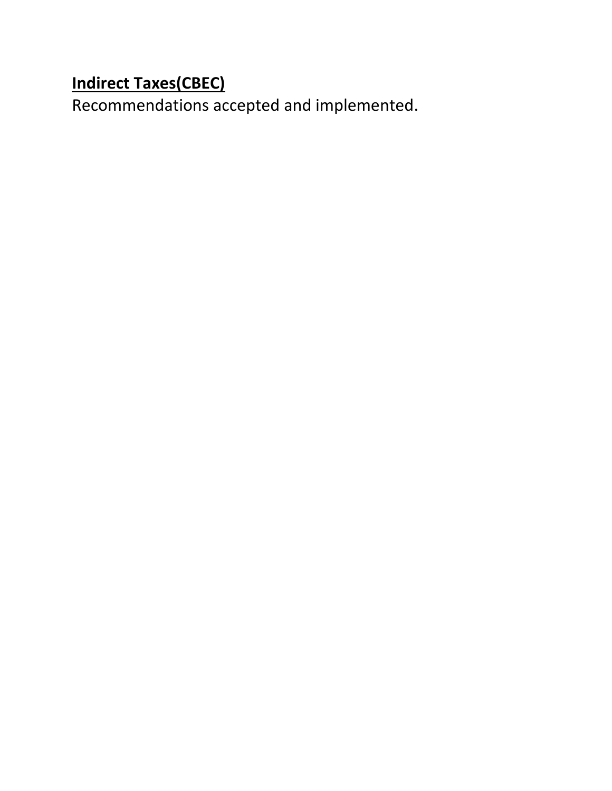## **Indirect Taxes(CBEC)**

Recommendations accepted and implemented.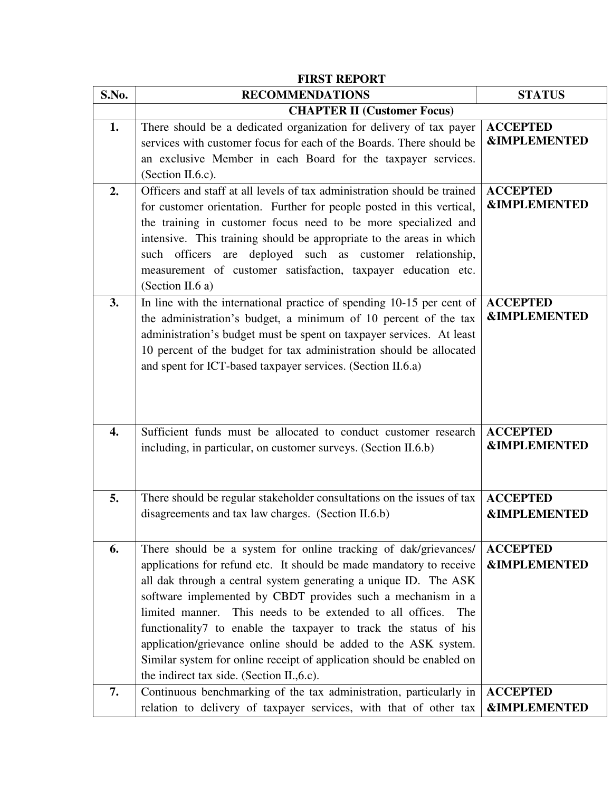| <b>FIRST REPORT</b> |                                                                                                                                                                                                                                                                                                                                                                                                                                                                                                                                                                                                                |                                            |  |
|---------------------|----------------------------------------------------------------------------------------------------------------------------------------------------------------------------------------------------------------------------------------------------------------------------------------------------------------------------------------------------------------------------------------------------------------------------------------------------------------------------------------------------------------------------------------------------------------------------------------------------------------|--------------------------------------------|--|
| S.No.               | <b>RECOMMENDATIONS</b>                                                                                                                                                                                                                                                                                                                                                                                                                                                                                                                                                                                         | <b>STATUS</b>                              |  |
|                     | <b>CHAPTER II (Customer Focus)</b>                                                                                                                                                                                                                                                                                                                                                                                                                                                                                                                                                                             |                                            |  |
| 1.                  | There should be a dedicated organization for delivery of tax payer<br>services with customer focus for each of the Boards. There should be<br>an exclusive Member in each Board for the taxpayer services.<br>(Section II.6.c).                                                                                                                                                                                                                                                                                                                                                                                | <b>ACCEPTED</b><br><b>&amp;IMPLEMENTED</b> |  |
| 2.                  | Officers and staff at all levels of tax administration should be trained<br>for customer orientation. Further for people posted in this vertical,<br>the training in customer focus need to be more specialized and<br>intensive. This training should be appropriate to the areas in which<br>such officers are deployed such as customer relationship,<br>measurement of customer satisfaction, taxpayer education etc.<br>(Section II.6 a)                                                                                                                                                                  | <b>ACCEPTED</b><br><b>&amp;IMPLEMENTED</b> |  |
| 3.                  | In line with the international practice of spending 10-15 per cent of<br>the administration's budget, a minimum of 10 percent of the tax<br>administration's budget must be spent on taxpayer services. At least<br>10 percent of the budget for tax administration should be allocated<br>and spent for ICT-based taxpayer services. (Section II.6.a)                                                                                                                                                                                                                                                         | <b>ACCEPTED</b><br><b>&amp;IMPLEMENTED</b> |  |
| $\overline{4}$ .    | Sufficient funds must be allocated to conduct customer research<br>including, in particular, on customer surveys. (Section II.6.b)                                                                                                                                                                                                                                                                                                                                                                                                                                                                             | <b>ACCEPTED</b><br><b>&amp;IMPLEMENTED</b> |  |
| 5.                  | There should be regular stakeholder consultations on the issues of tax<br>disagreements and tax law charges. (Section II.6.b)                                                                                                                                                                                                                                                                                                                                                                                                                                                                                  | <b>ACCEPTED</b><br><b>&amp;IMPLEMENTED</b> |  |
| 6.                  | There should be a system for online tracking of dak/grievances/<br>applications for refund etc. It should be made mandatory to receive<br>all dak through a central system generating a unique ID. The ASK<br>software implemented by CBDT provides such a mechanism in a<br>limited manner.<br>This needs to be extended to all offices.<br>The<br>functionality7 to enable the taxpayer to track the status of his<br>application/grievance online should be added to the ASK system.<br>Similar system for online receipt of application should be enabled on<br>the indirect tax side. (Section II., 6.c). | <b>ACCEPTED</b><br><b>&amp;IMPLEMENTED</b> |  |
| 7.                  | Continuous benchmarking of the tax administration, particularly in<br>relation to delivery of taxpayer services, with that of other tax                                                                                                                                                                                                                                                                                                                                                                                                                                                                        | <b>ACCEPTED</b><br><b>&amp;IMPLEMENTED</b> |  |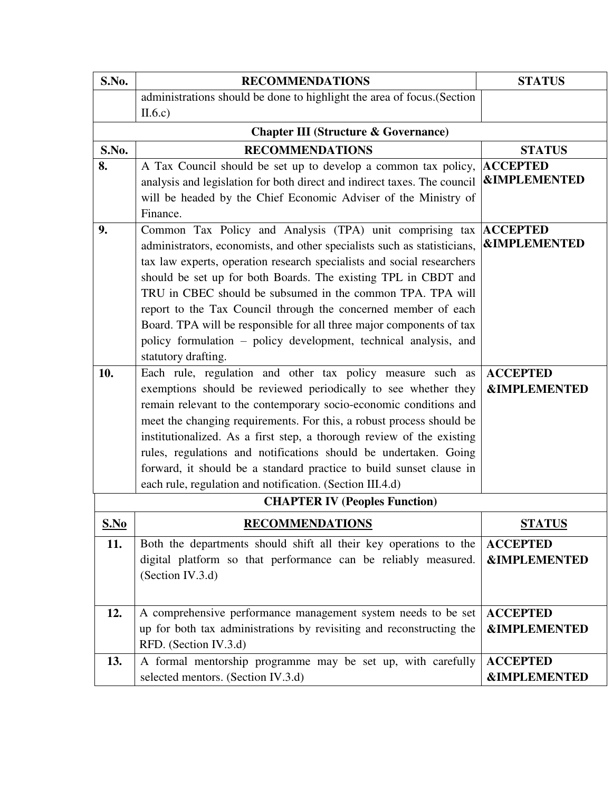| S.No.                                           | <b>RECOMMENDATIONS</b>                                                                                                       | <b>STATUS</b>                              |  |
|-------------------------------------------------|------------------------------------------------------------------------------------------------------------------------------|--------------------------------------------|--|
|                                                 | administrations should be done to highlight the area of focus. (Section                                                      |                                            |  |
|                                                 | II.6.c)                                                                                                                      |                                            |  |
| <b>Chapter III (Structure &amp; Governance)</b> |                                                                                                                              |                                            |  |
| S.No.                                           | <b>RECOMMENDATIONS</b>                                                                                                       | <b>STATUS</b>                              |  |
| 8.                                              | A Tax Council should be set up to develop a common tax policy,                                                               | <b>ACCEPTED</b>                            |  |
|                                                 | analysis and legislation for both direct and indirect taxes. The council                                                     | <b>&amp;IMPLEMENTED</b>                    |  |
|                                                 | will be headed by the Chief Economic Adviser of the Ministry of                                                              |                                            |  |
|                                                 | Finance.                                                                                                                     |                                            |  |
| 9.                                              | Common Tax Policy and Analysis (TPA) unit comprising tax                                                                     | <b>ACCEPTED</b><br><b>&amp;IMPLEMENTED</b> |  |
|                                                 | administrators, economists, and other specialists such as statisticians,                                                     |                                            |  |
|                                                 | tax law experts, operation research specialists and social researchers                                                       |                                            |  |
|                                                 | should be set up for both Boards. The existing TPL in CBDT and<br>TRU in CBEC should be subsumed in the common TPA. TPA will |                                            |  |
|                                                 | report to the Tax Council through the concerned member of each                                                               |                                            |  |
|                                                 | Board. TPA will be responsible for all three major components of tax                                                         |                                            |  |
|                                                 | policy formulation - policy development, technical analysis, and                                                             |                                            |  |
|                                                 | statutory drafting.                                                                                                          |                                            |  |
| 10.                                             | Each rule, regulation and other tax policy measure such as                                                                   | <b>ACCEPTED</b>                            |  |
|                                                 | exemptions should be reviewed periodically to see whether they                                                               | <b>&amp;IMPLEMENTED</b>                    |  |
|                                                 | remain relevant to the contemporary socio-economic conditions and                                                            |                                            |  |
|                                                 | meet the changing requirements. For this, a robust process should be                                                         |                                            |  |
|                                                 | institutionalized. As a first step, a thorough review of the existing                                                        |                                            |  |
|                                                 | rules, regulations and notifications should be undertaken. Going                                                             |                                            |  |
|                                                 | forward, it should be a standard practice to build sunset clause in                                                          |                                            |  |
|                                                 | each rule, regulation and notification. (Section III.4.d)                                                                    |                                            |  |
|                                                 | <b>CHAPTER IV (Peoples Function)</b>                                                                                         |                                            |  |
| S.No                                            | <b>RECOMMENDATIONS</b>                                                                                                       | <b>STATUS</b>                              |  |
| 11.                                             | Both the departments should shift all their key operations to the                                                            | <b>ACCEPTED</b>                            |  |
|                                                 | digital platform so that performance can be reliably measured.                                                               | <b>&amp;IMPLEMENTED</b>                    |  |
|                                                 | (Section IV.3.d)                                                                                                             |                                            |  |
|                                                 |                                                                                                                              |                                            |  |
| 12.                                             | A comprehensive performance management system needs to be set                                                                | <b>ACCEPTED</b>                            |  |
|                                                 | up for both tax administrations by revisiting and reconstructing the                                                         | <b>&amp;IMPLEMENTED</b>                    |  |
|                                                 | RFD. (Section IV.3.d)                                                                                                        |                                            |  |
| 13.                                             | A formal mentorship programme may be set up, with carefully                                                                  | <b>ACCEPTED</b>                            |  |
|                                                 | selected mentors. (Section IV.3.d)                                                                                           | <b>&amp;IMPLEMENTED</b>                    |  |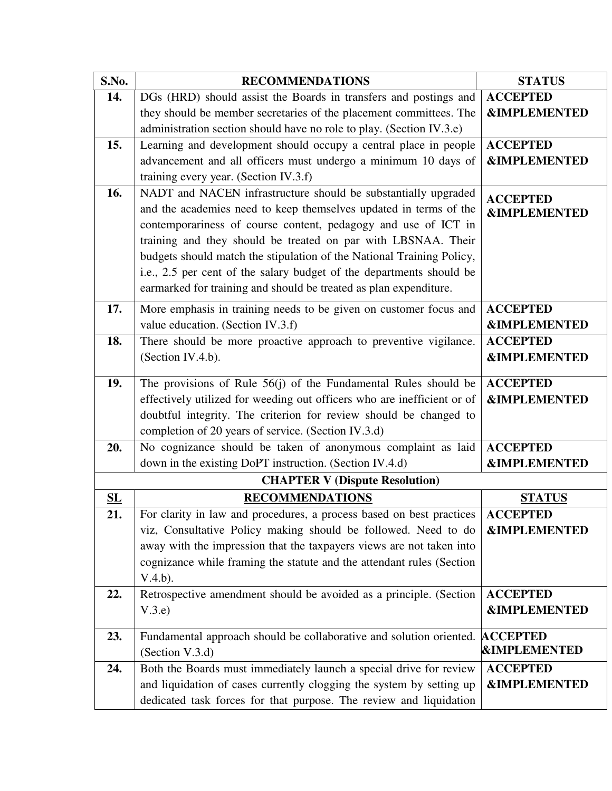| S.No.                     | <b>RECOMMENDATIONS</b>                                                              | <b>STATUS</b>           |
|---------------------------|-------------------------------------------------------------------------------------|-------------------------|
| 14.                       | DGs (HRD) should assist the Boards in transfers and postings and                    | <b>ACCEPTED</b>         |
|                           | they should be member secretaries of the placement committees. The                  | <b>&amp;IMPLEMENTED</b> |
|                           | administration section should have no role to play. (Section IV.3.e)                |                         |
| 15.                       | Learning and development should occupy a central place in people                    | <b>ACCEPTED</b>         |
|                           | advancement and all officers must undergo a minimum 10 days of                      | <b>&amp;IMPLEMENTED</b> |
|                           | training every year. (Section IV.3.f)                                               |                         |
| 16.                       | NADT and NACEN infrastructure should be substantially upgraded                      | <b>ACCEPTED</b>         |
|                           | and the academies need to keep themselves updated in terms of the                   | <b>&amp;IMPLEMENTED</b> |
|                           | contemporariness of course content, pedagogy and use of ICT in                      |                         |
|                           | training and they should be treated on par with LBSNAA. Their                       |                         |
|                           | budgets should match the stipulation of the National Training Policy,               |                         |
|                           | i.e., 2.5 per cent of the salary budget of the departments should be                |                         |
|                           | earmarked for training and should be treated as plan expenditure.                   |                         |
| 17.                       | More emphasis in training needs to be given on customer focus and                   | <b>ACCEPTED</b>         |
|                           | value education. (Section IV.3.f)                                                   | <b>&amp;IMPLEMENTED</b> |
| 18.                       | There should be more proactive approach to preventive vigilance.                    | <b>ACCEPTED</b>         |
|                           | (Section IV.4.b).                                                                   | <b>&amp;IMPLEMENTED</b> |
|                           |                                                                                     |                         |
| 19.                       | The provisions of Rule $56(j)$ of the Fundamental Rules should be                   | <b>ACCEPTED</b>         |
|                           | effectively utilized for weeding out officers who are inefficient or of             | <b>&amp;IMPLEMENTED</b> |
|                           | doubtful integrity. The criterion for review should be changed to                   |                         |
|                           | completion of 20 years of service. (Section IV.3.d)                                 |                         |
| 20.                       | No cognizance should be taken of anonymous complaint as laid                        | <b>ACCEPTED</b>         |
|                           | down in the existing DoPT instruction. (Section IV.4.d)                             | <b>&amp;IMPLEMENTED</b> |
|                           | <b>CHAPTER V (Dispute Resolution)</b>                                               |                         |
| $\underline{\mathbf{SL}}$ | <b>RECOMMENDATIONS</b>                                                              | <b>STATUS</b>           |
| 21.                       | For clarity in law and procedures, a process based on best practices                | <b>ACCEPTED</b>         |
|                           | viz, Consultative Policy making should be followed. Need to do                      | <b>&amp;IMPLEMENTED</b> |
|                           | away with the impression that the taxpayers views are not taken into                |                         |
|                           | cognizance while framing the statute and the attendant rules (Section               |                         |
|                           | $V.4.b$ ).                                                                          |                         |
| 22.                       | Retrospective amendment should be avoided as a principle. (Section                  | <b>ACCEPTED</b>         |
|                           | V.3.e                                                                               | <b>&amp;IMPLEMENTED</b> |
|                           |                                                                                     |                         |
| 23.                       | Fundamental approach should be collaborative and solution oriented. <b>ACCEPTED</b> |                         |
|                           | (Section V.3.d)                                                                     | <b>&amp;IMPLEMENTED</b> |
| 24.                       | Both the Boards must immediately launch a special drive for review                  | <b>ACCEPTED</b>         |
|                           | and liquidation of cases currently clogging the system by setting up                | <b>&amp;IMPLEMENTED</b> |
|                           | dedicated task forces for that purpose. The review and liquidation                  |                         |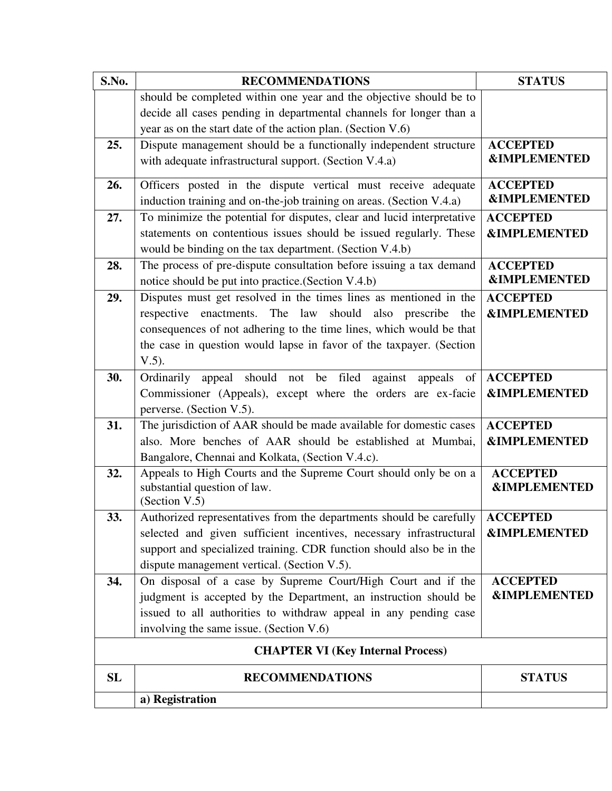| S.No.                                    | <b>RECOMMENDATIONS</b>                                                                           | <b>STATUS</b>                              |
|------------------------------------------|--------------------------------------------------------------------------------------------------|--------------------------------------------|
|                                          | should be completed within one year and the objective should be to                               |                                            |
|                                          | decide all cases pending in departmental channels for longer than a                              |                                            |
|                                          | year as on the start date of the action plan. (Section V.6)                                      |                                            |
| 25.                                      | Dispute management should be a functionally independent structure                                | <b>ACCEPTED</b>                            |
|                                          | with adequate infrastructural support. (Section V.4.a)                                           | <b>&amp;IMPLEMENTED</b>                    |
| 26.                                      | Officers posted in the dispute vertical must receive adequate                                    | <b>ACCEPTED</b>                            |
|                                          | induction training and on-the-job training on areas. (Section V.4.a)                             | <b>&amp;IMPLEMENTED</b>                    |
| 27.                                      | To minimize the potential for disputes, clear and lucid interpretative                           | <b>ACCEPTED</b>                            |
|                                          | statements on contentious issues should be issued regularly. These                               | <b>&amp;IMPLEMENTED</b>                    |
|                                          | would be binding on the tax department. (Section V.4.b)                                          |                                            |
| 28.                                      | The process of pre-dispute consultation before issuing a tax demand                              | <b>ACCEPTED</b>                            |
|                                          | notice should be put into practice. (Section V.4.b)                                              | <b>&amp;IMPLEMENTED</b>                    |
| 29.                                      | Disputes must get resolved in the times lines as mentioned in the                                | <b>ACCEPTED</b>                            |
|                                          | enactments. The law<br>should also prescribe<br>respective<br>the                                | <b>&amp;IMPLEMENTED</b>                    |
|                                          | consequences of not adhering to the time lines, which would be that                              |                                            |
|                                          | the case in question would lapse in favor of the taxpayer. (Section                              |                                            |
|                                          | $V.5$ ).                                                                                         |                                            |
| 30.                                      | Ordinarily appeal should not be filed<br>against appeals of                                      | <b>ACCEPTED</b>                            |
|                                          | Commissioner (Appeals), except where the orders are ex-facie                                     | <b>&amp;IMPLEMENTED</b>                    |
|                                          | perverse. (Section V.5).                                                                         |                                            |
| 31.                                      | The jurisdiction of AAR should be made available for domestic cases                              | <b>ACCEPTED</b>                            |
|                                          | also. More benches of AAR should be established at Mumbai,                                       | <b>&amp;IMPLEMENTED</b>                    |
|                                          | Bangalore, Chennai and Kolkata, (Section V.4.c).                                                 |                                            |
| 32.                                      | Appeals to High Courts and the Supreme Court should only be on a<br>substantial question of law. | <b>ACCEPTED</b><br><b>&amp;IMPLEMENTED</b> |
|                                          | (Section V.5)                                                                                    |                                            |
| 33.                                      | Authorized representatives from the departments should be carefully $ $ $\text{ACCEPTED}$        |                                            |
|                                          | selected and given sufficient incentives, necessary infrastructural                              | <b>&amp;IMPLEMENTED</b>                    |
|                                          | support and specialized training. CDR function should also be in the                             |                                            |
|                                          | dispute management vertical. (Section V.5).                                                      |                                            |
| 34.                                      | On disposal of a case by Supreme Court/High Court and if the                                     | <b>ACCEPTED</b>                            |
|                                          | judgment is accepted by the Department, an instruction should be                                 | <b>&amp;IMPLEMENTED</b>                    |
|                                          | issued to all authorities to withdraw appeal in any pending case                                 |                                            |
|                                          | involving the same issue. (Section V.6)                                                          |                                            |
| <b>CHAPTER VI (Key Internal Process)</b> |                                                                                                  |                                            |
| <b>SL</b>                                | <b>RECOMMENDATIONS</b>                                                                           | <b>STATUS</b>                              |
|                                          | a) Registration                                                                                  |                                            |
|                                          |                                                                                                  |                                            |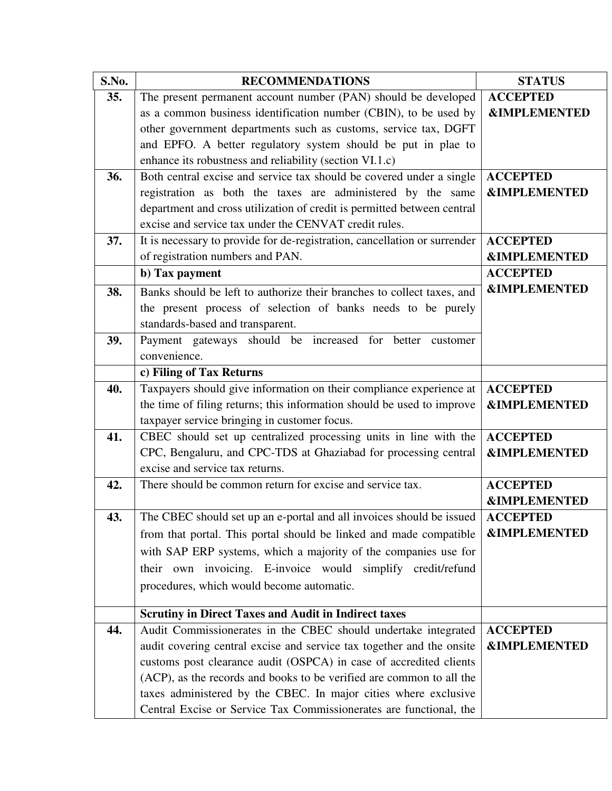| S.No. | <b>RECOMMENDATIONS</b>                                                    | <b>STATUS</b>           |
|-------|---------------------------------------------------------------------------|-------------------------|
| 35.   | The present permanent account number (PAN) should be developed            | <b>ACCEPTED</b>         |
|       | as a common business identification number (CBIN), to be used by          | <b>&amp;IMPLEMENTED</b> |
|       | other government departments such as customs, service tax, DGFT           |                         |
|       | and EPFO. A better regulatory system should be put in plae to             |                         |
|       | enhance its robustness and reliability (section VI.1.c)                   |                         |
| 36.   | Both central excise and service tax should be covered under a single      | <b>ACCEPTED</b>         |
|       | registration as both the taxes are administered by the same               | <b>&amp;IMPLEMENTED</b> |
|       | department and cross utilization of credit is permitted between central   |                         |
|       | excise and service tax under the CENVAT credit rules.                     |                         |
| 37.   | It is necessary to provide for de-registration, cancellation or surrender | <b>ACCEPTED</b>         |
|       | of registration numbers and PAN.                                          | <b>&amp;IMPLEMENTED</b> |
|       | b) Tax payment                                                            | <b>ACCEPTED</b>         |
| 38.   | Banks should be left to authorize their branches to collect taxes, and    | <b>&amp;IMPLEMENTED</b> |
|       | the present process of selection of banks needs to be purely              |                         |
|       | standards-based and transparent.                                          |                         |
| 39.   | Payment gateways should be increased for better customer                  |                         |
|       | convenience.                                                              |                         |
|       | c) Filing of Tax Returns                                                  |                         |
| 40.   | Taxpayers should give information on their compliance experience at       | <b>ACCEPTED</b>         |
|       | the time of filing returns; this information should be used to improve    | <b>&amp;IMPLEMENTED</b> |
|       | taxpayer service bringing in customer focus.                              |                         |
| 41.   | CBEC should set up centralized processing units in line with the          | <b>ACCEPTED</b>         |
|       | CPC, Bengaluru, and CPC-TDS at Ghaziabad for processing central           | <b>&amp;IMPLEMENTED</b> |
|       | excise and service tax returns.                                           |                         |
| 42.   | There should be common return for excise and service tax.                 | <b>ACCEPTED</b>         |
|       |                                                                           | <b>&amp;IMPLEMENTED</b> |
| 43.   | The CBEC should set up an e-portal and all invoices should be issued      | <b>ACCEPTED</b>         |
|       | from that portal. This portal should be linked and made compatible        | <b>&amp;IMPLEMENTED</b> |
|       | with SAP ERP systems, which a majority of the companies use for           |                         |
|       | their own invoicing. E-invoice would simplify credit/refund               |                         |
|       | procedures, which would become automatic.                                 |                         |
|       |                                                                           |                         |
|       | <b>Scrutiny in Direct Taxes and Audit in Indirect taxes</b>               |                         |
| 44.   | Audit Commissionerates in the CBEC should undertake integrated            | <b>ACCEPTED</b>         |
|       | audit covering central excise and service tax together and the onsite     | <b>&amp;IMPLEMENTED</b> |
|       | customs post clearance audit (OSPCA) in case of accredited clients        |                         |
|       | (ACP), as the records and books to be verified are common to all the      |                         |
|       | taxes administered by the CBEC. In major cities where exclusive           |                         |
|       | Central Excise or Service Tax Commissionerates are functional, the        |                         |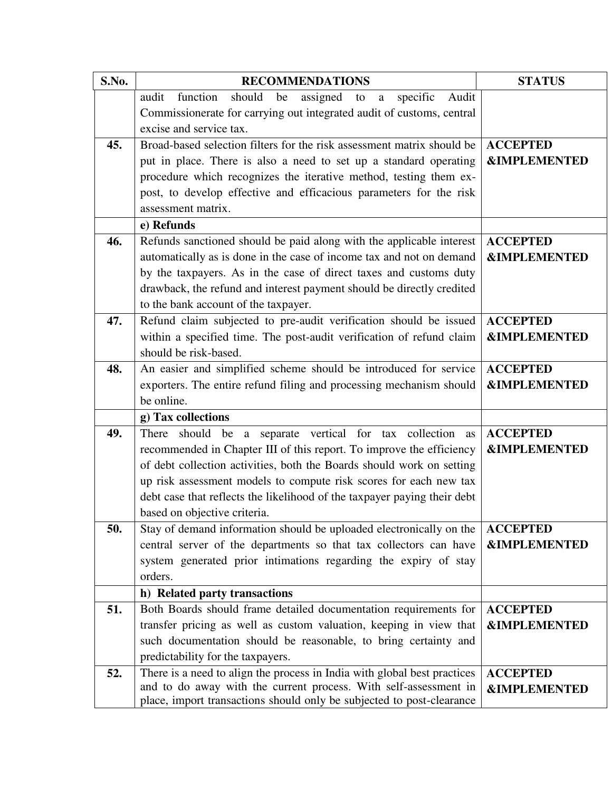| S.No. | <b>RECOMMENDATIONS</b>                                                                                                                       | <b>STATUS</b>           |
|-------|----------------------------------------------------------------------------------------------------------------------------------------------|-------------------------|
|       | function<br>should<br>assigned<br>audit<br>be<br>specific<br>Audit<br>to<br>a                                                                |                         |
|       | Commissionerate for carrying out integrated audit of customs, central                                                                        |                         |
|       | excise and service tax.                                                                                                                      |                         |
| 45.   | Broad-based selection filters for the risk assessment matrix should be                                                                       | <b>ACCEPTED</b>         |
|       | put in place. There is also a need to set up a standard operating                                                                            | <b>&amp;IMPLEMENTED</b> |
|       | procedure which recognizes the iterative method, testing them ex-                                                                            |                         |
|       | post, to develop effective and efficacious parameters for the risk                                                                           |                         |
|       | assessment matrix.                                                                                                                           |                         |
|       | e) Refunds                                                                                                                                   |                         |
| 46.   | Refunds sanctioned should be paid along with the applicable interest                                                                         | <b>ACCEPTED</b>         |
|       | automatically as is done in the case of income tax and not on demand                                                                         | <b>&amp;IMPLEMENTED</b> |
|       | by the taxpayers. As in the case of direct taxes and customs duty                                                                            |                         |
|       | drawback, the refund and interest payment should be directly credited                                                                        |                         |
|       | to the bank account of the taxpayer.                                                                                                         |                         |
| 47.   | Refund claim subjected to pre-audit verification should be issued                                                                            | <b>ACCEPTED</b>         |
|       | within a specified time. The post-audit verification of refund claim                                                                         | <b>&amp;IMPLEMENTED</b> |
|       | should be risk-based.                                                                                                                        |                         |
| 48.   | An easier and simplified scheme should be introduced for service                                                                             | <b>ACCEPTED</b>         |
|       | exporters. The entire refund filing and processing mechanism should                                                                          | <b>&amp;IMPLEMENTED</b> |
|       | be online.                                                                                                                                   |                         |
|       | g) Tax collections                                                                                                                           |                         |
| 49.   | There should be a separate vertical for tax collection<br>as                                                                                 | <b>ACCEPTED</b>         |
|       | recommended in Chapter III of this report. To improve the efficiency                                                                         | <b>&amp;IMPLEMENTED</b> |
|       | of debt collection activities, both the Boards should work on setting                                                                        |                         |
|       | up risk assessment models to compute risk scores for each new tax                                                                            |                         |
|       | debt case that reflects the likelihood of the taxpayer paying their debt                                                                     |                         |
|       | based on objective criteria.                                                                                                                 |                         |
| 50.   | Stay of demand information should be uploaded electronically on the                                                                          | <b>ACCEPTED</b>         |
|       | central server of the departments so that tax collectors can have                                                                            | <b>&amp;IMPLEMENTED</b> |
|       | system generated prior intimations regarding the expiry of stay                                                                              |                         |
|       | orders.                                                                                                                                      |                         |
|       | h) Related party transactions                                                                                                                |                         |
| 51.   | Both Boards should frame detailed documentation requirements for                                                                             | <b>ACCEPTED</b>         |
|       | transfer pricing as well as custom valuation, keeping in view that                                                                           | <b>&amp;IMPLEMENTED</b> |
|       | such documentation should be reasonable, to bring certainty and                                                                              |                         |
|       | predictability for the taxpayers.                                                                                                            |                         |
| 52.   | There is a need to align the process in India with global best practices<br>and to do away with the current process. With self-assessment in | <b>ACCEPTED</b>         |
|       | place, import transactions should only be subjected to post-clearance                                                                        | <b>&amp;IMPLEMENTED</b> |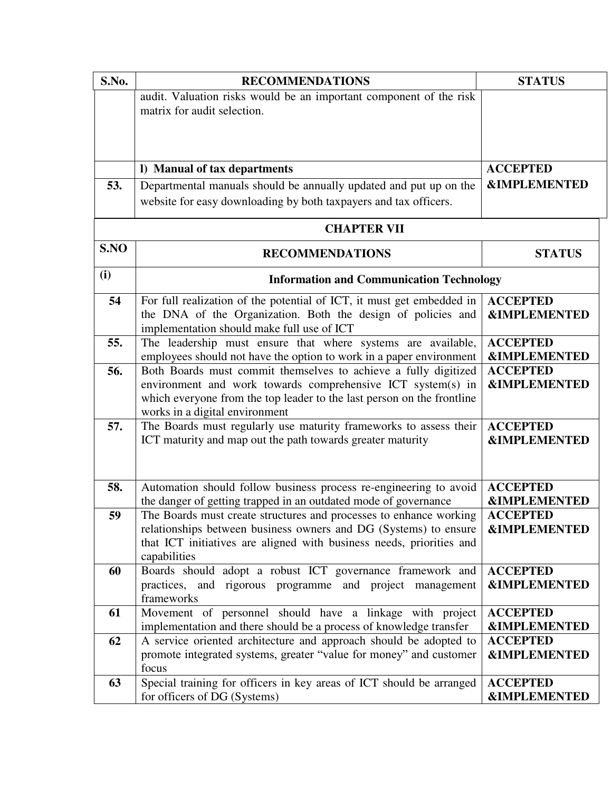| S.No. | <b>RECOMMENDATIONS</b>                                                                                                                | <b>STATUS</b>                              |
|-------|---------------------------------------------------------------------------------------------------------------------------------------|--------------------------------------------|
|       | audit. Valuation risks would be an important component of the risk                                                                    |                                            |
|       | matrix for audit selection.                                                                                                           |                                            |
|       |                                                                                                                                       |                                            |
|       |                                                                                                                                       |                                            |
|       | I) Manual of tax departments                                                                                                          | <b>ACCEPTED</b>                            |
| 53.   | Departmental manuals should be annually updated and put up on the                                                                     | <b>&amp;IMPLEMENTED</b>                    |
|       | website for easy downloading by both taxpayers and tax officers.                                                                      |                                            |
|       | <b>CHAPTER VII</b>                                                                                                                    |                                            |
| S.NO  | <b>RECOMMENDATIONS</b>                                                                                                                | <b>STATUS</b>                              |
| (i)   | <b>Information and Communication Technology</b>                                                                                       |                                            |
| 54    | For full realization of the potential of ICT, it must get embedded in                                                                 | <b>ACCEPTED</b>                            |
|       | the DNA of the Organization. Both the design of policies and                                                                          | <b>&amp;IMPLEMENTED</b>                    |
|       | implementation should make full use of ICT                                                                                            |                                            |
| 55.   | The leadership must ensure that where systems are available,                                                                          | <b>ACCEPTED</b>                            |
|       | employees should not have the option to work in a paper environment                                                                   | <b>&amp;IMPLEMENTED</b>                    |
| 56.   | Both Boards must commit themselves to achieve a fully digitized<br>environment and work towards comprehensive ICT system(s) in        | <b>ACCEPTED</b><br><b>&amp;IMPLEMENTED</b> |
|       | which everyone from the top leader to the last person on the frontline                                                                |                                            |
|       | works in a digital environment                                                                                                        |                                            |
| 57.   | The Boards must regularly use maturity frameworks to assess their                                                                     | <b>ACCEPTED</b>                            |
|       | ICT maturity and map out the path towards greater maturity                                                                            | <b>&amp;IMPLEMENTED</b>                    |
|       |                                                                                                                                       |                                            |
|       |                                                                                                                                       |                                            |
| 58.   | Automation should follow business process re-engineering to avoid                                                                     | <b>ACCEPTED</b>                            |
| 59    | the danger of getting trapped in an outdated mode of governance<br>The Boards must create structures and processes to enhance working | <b>&amp;IMPLEMENTED</b><br><b>ACCEPTED</b> |
|       | relationships between business owners and DG (Systems) to ensure                                                                      | <b>&amp;IMPLEMENTED</b>                    |
|       | that ICT initiatives are aligned with business needs, priorities and                                                                  |                                            |
|       | capabilities                                                                                                                          |                                            |
| 60    | Boards should adopt a robust ICT governance framework and                                                                             | <b>ACCEPTED</b>                            |
|       | practices, and rigorous programme and project management                                                                              | <b>&amp;IMPLEMENTED</b>                    |
|       | frameworks<br>Movement of personnel should have a linkage with project                                                                | <b>ACCEPTED</b>                            |
| 61    | implementation and there should be a process of knowledge transfer                                                                    | <b>&amp;IMPLEMENTED</b>                    |
| 62    | A service oriented architecture and approach should be adopted to                                                                     | <b>ACCEPTED</b>                            |
|       | promote integrated systems, greater "value for money" and customer                                                                    | <b>&amp;IMPLEMENTED</b>                    |
|       | focus                                                                                                                                 |                                            |
| 63    | Special training for officers in key areas of ICT should be arranged                                                                  | <b>ACCEPTED</b>                            |
|       | for officers of DG (Systems)                                                                                                          | <b>&amp;IMPLEMENTED</b>                    |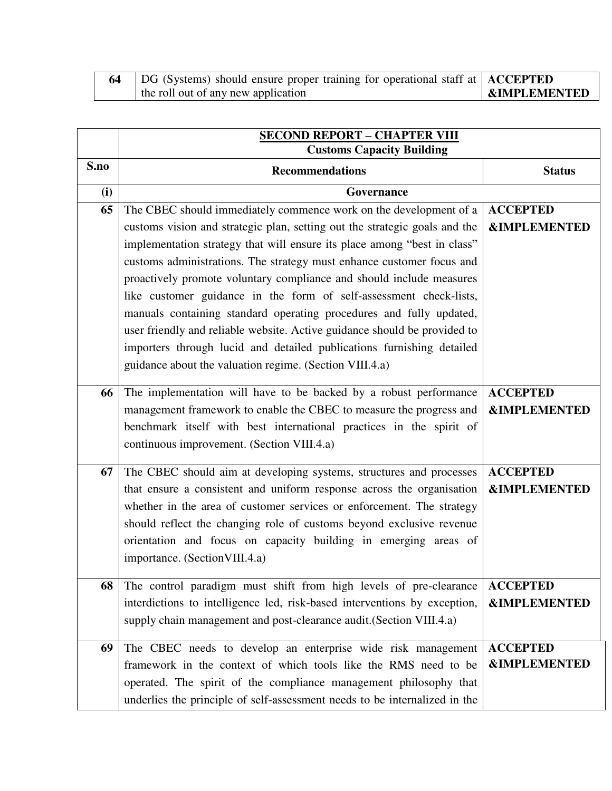| DG (Systems) should ensure proper training for operational staff at   ACCEPTED |                           |
|--------------------------------------------------------------------------------|---------------------------|
| the roll out of any new application                                            | <b>  &amp;IMPLEMENTED</b> |

|      | <b>SECOND REPORT - CHAPTER VIII</b><br><b>Customs Capacity Building</b>    |                         |
|------|----------------------------------------------------------------------------|-------------------------|
| S.no | <b>Recommendations</b>                                                     | <b>Status</b>           |
| (i)  | Governance                                                                 |                         |
| 65   | The CBEC should immediately commence work on the development of a          | <b>ACCEPTED</b>         |
|      | customs vision and strategic plan, setting out the strategic goals and the | <b>&amp;IMPLEMENTED</b> |
|      | implementation strategy that will ensure its place among "best in class"   |                         |
|      | customs administrations. The strategy must enhance customer focus and      |                         |
|      | proactively promote voluntary compliance and should include measures       |                         |
|      | like customer guidance in the form of self-assessment check-lists,         |                         |
|      | manuals containing standard operating procedures and fully updated,        |                         |
|      | user friendly and reliable website. Active guidance should be provided to  |                         |
|      | importers through lucid and detailed publications furnishing detailed      |                         |
|      | guidance about the valuation regime. (Section VIII.4.a)                    |                         |
| 66   | The implementation will have to be backed by a robust performance          | <b>ACCEPTED</b>         |
|      | management framework to enable the CBEC to measure the progress and        | <b>&amp;IMPLEMENTED</b> |
|      | benchmark itself with best international practices in the spirit of        |                         |
|      | continuous improvement. (Section VIII.4.a)                                 |                         |
| 67   | The CBEC should aim at developing systems, structures and processes        | <b>ACCEPTED</b>         |
|      | that ensure a consistent and uniform response across the organisation      | <b>&amp;IMPLEMENTED</b> |
|      | whether in the area of customer services or enforcement. The strategy      |                         |
|      | should reflect the changing role of customs beyond exclusive revenue       |                         |
|      | orientation and focus on capacity building in emerging areas of            |                         |
|      | importance. (Section VIII.4.a)                                             |                         |
| 68   | The control paradigm must shift from high levels of pre-clearance          | <b>ACCEPTED</b>         |
|      | interdictions to intelligence led, risk-based interventions by exception,  | <b>&amp;IMPLEMENTED</b> |
|      | supply chain management and post-clearance audit.(Section VIII.4.a)        |                         |
|      |                                                                            |                         |
| 69   | The CBEC needs to develop an enterprise wide risk management               | <b>ACCEPTED</b>         |
|      | framework in the context of which tools like the RMS need to be            | <b>&amp;IMPLEMENTED</b> |
|      | operated. The spirit of the compliance management philosophy that          |                         |
|      | underlies the principle of self-assessment needs to be internalized in the |                         |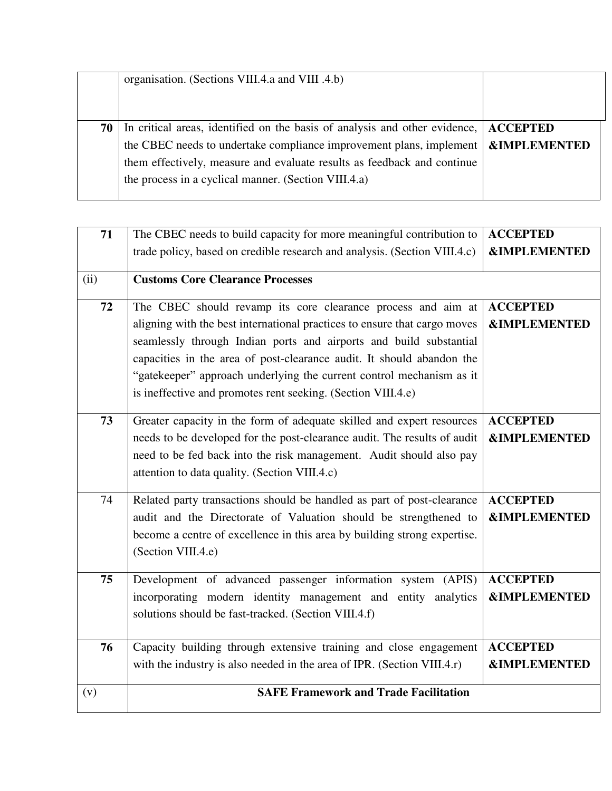|    | organisation. (Sections VIII.4.a and VIII.4.b)                                                                                                                                                                                                                                                                                 |  |
|----|--------------------------------------------------------------------------------------------------------------------------------------------------------------------------------------------------------------------------------------------------------------------------------------------------------------------------------|--|
| 70 | In critical areas, identified on the basis of analysis and other evidence, ACCEPTED<br>the CBEC needs to undertake compliance improvement plans, implement $\mathbf{R}$ <b>SIMPLEMENTED</b><br>them effectively, measure and evaluate results as feedback and continue<br>the process in a cyclical manner. (Section VIII.4.a) |  |

| 71   | The CBEC needs to build capacity for more meaningful contribution to                                                                      | <b>ACCEPTED</b>                            |
|------|-------------------------------------------------------------------------------------------------------------------------------------------|--------------------------------------------|
|      | trade policy, based on credible research and analysis. (Section VIII.4.c)                                                                 | <b>&amp;IMPLEMENTED</b>                    |
| (ii) | <b>Customs Core Clearance Processes</b>                                                                                                   |                                            |
| 72   | The CBEC should revamp its core clearance process and aim at<br>aligning with the best international practices to ensure that cargo moves | <b>ACCEPTED</b><br><b>&amp;IMPLEMENTED</b> |
|      | seamlessly through Indian ports and airports and build substantial                                                                        |                                            |
|      | capacities in the area of post-clearance audit. It should abandon the                                                                     |                                            |
|      | "gatekeeper" approach underlying the current control mechanism as it                                                                      |                                            |
|      | is ineffective and promotes rent seeking. (Section VIII.4.e)                                                                              |                                            |
| 73   | Greater capacity in the form of adequate skilled and expert resources                                                                     | <b>ACCEPTED</b>                            |
|      | needs to be developed for the post-clearance audit. The results of audit                                                                  | <b>&amp;IMPLEMENTED</b>                    |
|      | need to be fed back into the risk management. Audit should also pay                                                                       |                                            |
|      | attention to data quality. (Section VIII.4.c)                                                                                             |                                            |
| 74   | Related party transactions should be handled as part of post-clearance                                                                    | <b>ACCEPTED</b>                            |
|      | audit and the Directorate of Valuation should be strengthened to                                                                          | <b>&amp;IMPLEMENTED</b>                    |
|      | become a centre of excellence in this area by building strong expertise.                                                                  |                                            |
|      | (Section VIII.4.e)                                                                                                                        |                                            |
| 75   | Development of advanced passenger information system (APIS)                                                                               | <b>ACCEPTED</b>                            |
|      | incorporating modern identity management and entity analytics                                                                             | <b>&amp;IMPLEMENTED</b>                    |
|      | solutions should be fast-tracked. (Section VIII.4.f)                                                                                      |                                            |
| 76   | Capacity building through extensive training and close engagement                                                                         | <b>ACCEPTED</b>                            |
|      | with the industry is also needed in the area of IPR. (Section VIII.4.r)                                                                   | <b>&amp;IMPLEMENTED</b>                    |
|      |                                                                                                                                           |                                            |
| (v)  | <b>SAFE Framework and Trade Facilitation</b>                                                                                              |                                            |
|      |                                                                                                                                           |                                            |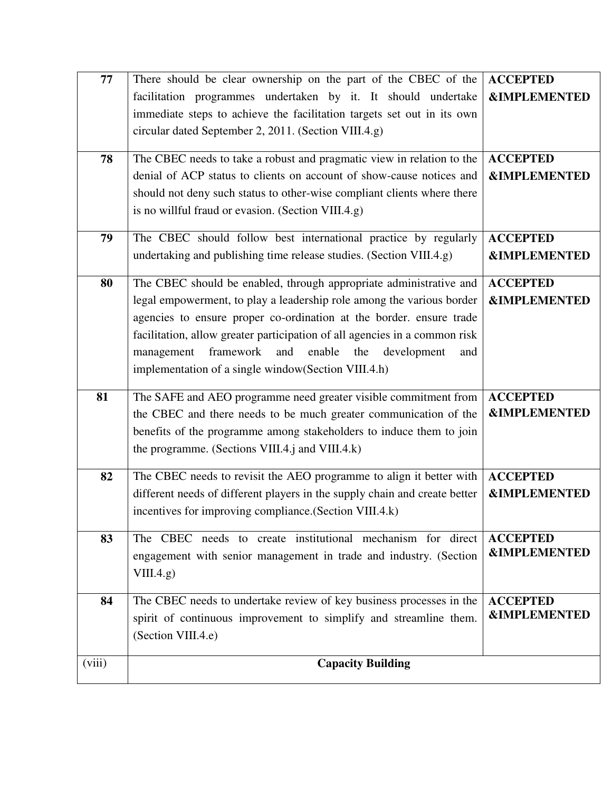| 77     | There should be clear ownership on the part of the CBEC of the             | <b>ACCEPTED</b>         |
|--------|----------------------------------------------------------------------------|-------------------------|
|        | facilitation programmes undertaken by it. It should undertake              | <b>&amp;IMPLEMENTED</b> |
|        | immediate steps to achieve the facilitation targets set out in its own     |                         |
|        | circular dated September 2, 2011. (Section VIII.4.g)                       |                         |
|        |                                                                            |                         |
| 78     | The CBEC needs to take a robust and pragmatic view in relation to the      | <b>ACCEPTED</b>         |
|        | denial of ACP status to clients on account of show-cause notices and       | <b>&amp;IMPLEMENTED</b> |
|        | should not deny such status to other-wise compliant clients where there    |                         |
|        | is no willful fraud or evasion. (Section VIII.4.g)                         |                         |
| 79     | The CBEC should follow best international practice by regularly            | <b>ACCEPTED</b>         |
|        | undertaking and publishing time release studies. (Section VIII.4.g)        | <b>&amp;IMPLEMENTED</b> |
|        |                                                                            |                         |
| 80     | The CBEC should be enabled, through appropriate administrative and         | <b>ACCEPTED</b>         |
|        | legal empowerment, to play a leadership role among the various border      | <b>&amp;IMPLEMENTED</b> |
|        | agencies to ensure proper co-ordination at the border. ensure trade        |                         |
|        | facilitation, allow greater participation of all agencies in a common risk |                         |
|        | management<br>framework<br>and<br>enable<br>the<br>development<br>and      |                         |
|        | implementation of a single window(Section VIII.4.h)                        |                         |
| 81     | The SAFE and AEO programme need greater visible commitment from            | <b>ACCEPTED</b>         |
|        | the CBEC and there needs to be much greater communication of the           | <b>&amp;IMPLEMENTED</b> |
|        | benefits of the programme among stakeholders to induce them to join        |                         |
|        | the programme. (Sections VIII.4.j and VIII.4.k)                            |                         |
|        |                                                                            |                         |
| 82     | The CBEC needs to revisit the AEO programme to align it better with        | <b>ACCEPTED</b>         |
|        | different needs of different players in the supply chain and create better | <b>&amp;IMPLEMENTED</b> |
|        | incentives for improving compliance.(Section VIII.4.k)                     |                         |
| 83     | The CBEC needs to create institutional mechanism for direct                | <b>ACCEPTED</b>         |
|        | engagement with senior management in trade and industry. (Section          | <b>&amp;IMPLEMENTED</b> |
|        | VIII.4.g)                                                                  |                         |
|        |                                                                            |                         |
| 84     | The CBEC needs to undertake review of key business processes in the        | <b>ACCEPTED</b>         |
|        | spirit of continuous improvement to simplify and streamline them.          | <b>&amp;IMPLEMENTED</b> |
|        | (Section VIII.4.e)                                                         |                         |
| (viii) | <b>Capacity Building</b>                                                   |                         |
|        |                                                                            |                         |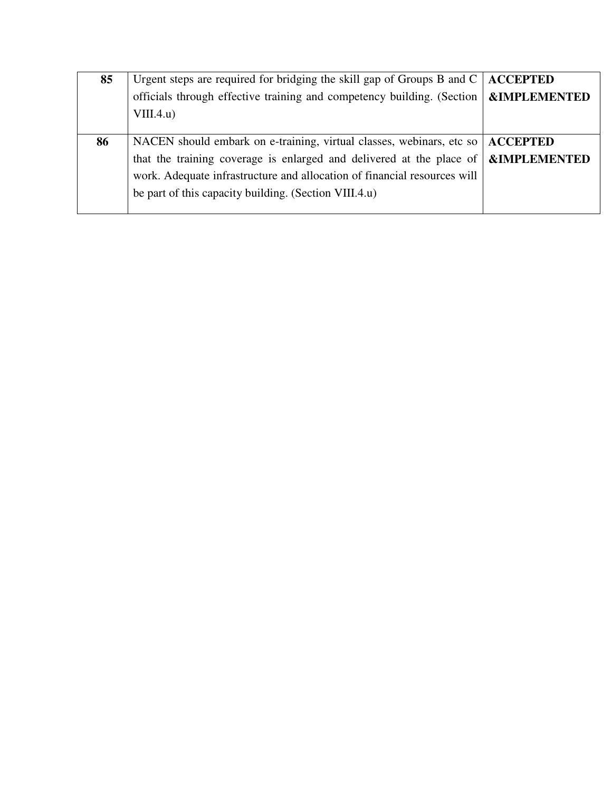| 85 | Urgent steps are required for bridging the skill gap of Groups B and $C \mid$ <b>ACCEPTED</b>            |                         |
|----|----------------------------------------------------------------------------------------------------------|-------------------------|
|    | officials through effective training and competency building. (Section $\mathbf{\&}\mathbf{IMPLEMENTED}$ |                         |
|    | VIII.4.u)                                                                                                |                         |
|    |                                                                                                          |                         |
| 86 | NACEN should embark on e-training, virtual classes, webinars, etc so   ACCEPTED                          |                         |
|    | that the training coverage is enlarged and delivered at the place of                                     | <b>&amp;IMPLEMENTED</b> |
|    | work. Adequate infrastructure and allocation of financial resources will                                 |                         |
|    | be part of this capacity building. (Section VIII.4.u)                                                    |                         |
|    |                                                                                                          |                         |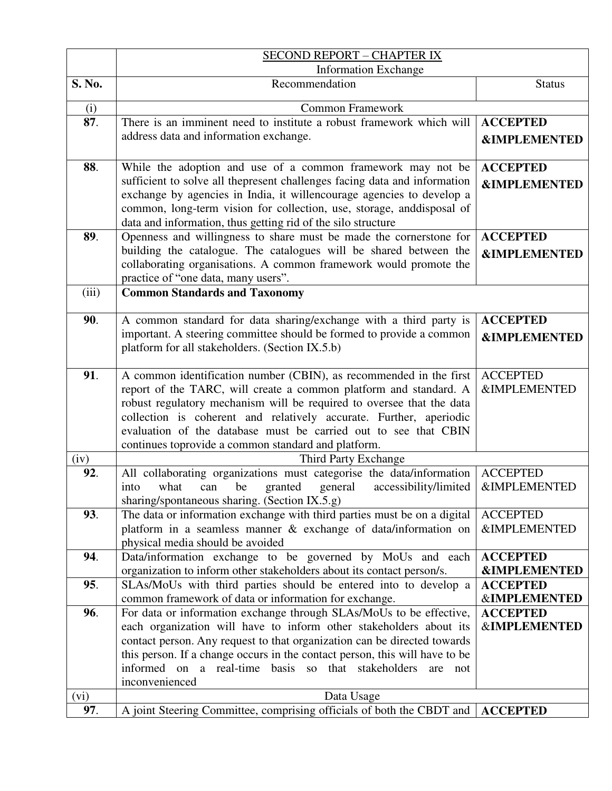|        | <b>SECOND REPORT - CHAPTER IX</b>                                                                                                     |                                            |
|--------|---------------------------------------------------------------------------------------------------------------------------------------|--------------------------------------------|
|        | <b>Information Exchange</b>                                                                                                           |                                            |
| S. No. | Recommendation                                                                                                                        | <b>Status</b>                              |
| (i)    | <b>Common Framework</b>                                                                                                               |                                            |
| 87.    | There is an imminent need to institute a robust framework which will                                                                  | <b>ACCEPTED</b>                            |
|        | address data and information exchange.                                                                                                | <b>&amp;IMPLEMENTED</b>                    |
|        |                                                                                                                                       |                                            |
| 88.    | While the adoption and use of a common framework may not be                                                                           | <b>ACCEPTED</b>                            |
|        | sufficient to solve all thepresent challenges facing data and information                                                             | <b>&amp;IMPLEMENTED</b>                    |
|        | exchange by agencies in India, it willencourage agencies to develop a                                                                 |                                            |
|        | common, long-term vision for collection, use, storage, anddisposal of                                                                 |                                            |
|        | data and information, thus getting rid of the silo structure                                                                          |                                            |
| 89.    | Openness and willingness to share must be made the cornerstone for                                                                    | <b>ACCEPTED</b>                            |
|        | building the catalogue. The catalogues will be shared between the                                                                     | <b>&amp;IMPLEMENTED</b>                    |
|        | collaborating organisations. A common framework would promote the<br>practice of "one data, many users".                              |                                            |
| (iii)  | <b>Common Standards and Taxonomy</b>                                                                                                  |                                            |
|        |                                                                                                                                       |                                            |
| 90.    | A common standard for data sharing/exchange with a third party is                                                                     | <b>ACCEPTED</b>                            |
|        | important. A steering committee should be formed to provide a common                                                                  | <b>&amp;IMPLEMENTED</b>                    |
|        | platform for all stakeholders. (Section IX.5.b)                                                                                       |                                            |
|        |                                                                                                                                       |                                            |
| 91.    | A common identification number (CBIN), as recommended in the first                                                                    | <b>ACCEPTED</b>                            |
|        | report of the TARC, will create a common platform and standard. A                                                                     | <b>&amp;IMPLEMENTED</b>                    |
|        | robust regulatory mechanism will be required to oversee that the data                                                                 |                                            |
|        | collection is coherent and relatively accurate. Further, aperiodic<br>evaluation of the database must be carried out to see that CBIN |                                            |
|        | continues toprovide a common standard and platform.                                                                                   |                                            |
| (iv)   | Third Party Exchange                                                                                                                  |                                            |
| 92.    | All collaborating organizations must categorise the data/information                                                                  | <b>ACCEPTED</b>                            |
|        | general<br>granted<br>accessibility/limited<br>what<br>can<br>be<br>into                                                              | <b>&amp;IMPLEMENTED</b>                    |
|        | sharing/spontaneous sharing. (Section IX.5.g)                                                                                         |                                            |
| 93.    | The data or information exchange with third parties must be on a digital                                                              | <b>ACCEPTED</b>                            |
|        | platform in a seamless manner & exchange of data/information on                                                                       | <b>&amp;IMPLEMENTED</b>                    |
|        | physical media should be avoided                                                                                                      |                                            |
| 94.    | Data/information exchange to be governed by MoUs and each                                                                             | <b>ACCEPTED</b>                            |
|        | organization to inform other stakeholders about its contact person/s.                                                                 | <b>&amp;IMPLEMENTED</b>                    |
| 95.    | SLAs/MoUs with third parties should be entered into to develop a<br>common framework of data or information for exchange.             | <b>ACCEPTED</b><br><b>&amp;IMPLEMENTED</b> |
| 96.    | For data or information exchange through SLAs/MoUs to be effective,                                                                   | <b>ACCEPTED</b>                            |
|        | each organization will have to inform other stakeholders about its                                                                    | <b>&amp;IMPLEMENTED</b>                    |
|        | contact person. Any request to that organization can be directed towards                                                              |                                            |
|        | this person. If a change occurs in the contact person, this will have to be                                                           |                                            |
|        | informed on a real-time basis so that stakeholders<br>are<br>not                                                                      |                                            |
|        | inconvenienced                                                                                                                        |                                            |
| (vi)   | Data Usage                                                                                                                            |                                            |
| 97.    | A joint Steering Committee, comprising officials of both the CBDT and ACCEPTED                                                        |                                            |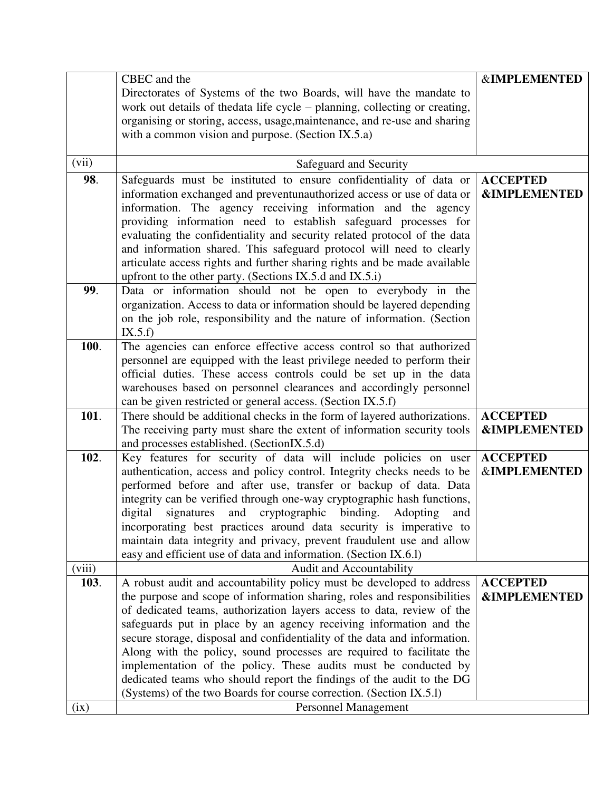|        | CBEC and the                                                                | <b>&amp;IMPLEMENTED</b> |
|--------|-----------------------------------------------------------------------------|-------------------------|
|        |                                                                             |                         |
|        | Directorates of Systems of the two Boards, will have the mandate to         |                         |
|        | work out details of the data life cycle – planning, collecting or creating, |                         |
|        | organising or storing, access, usage, maintenance, and re-use and sharing   |                         |
|        | with a common vision and purpose. (Section IX.5.a)                          |                         |
|        |                                                                             |                         |
| (vii)  | Safeguard and Security                                                      |                         |
| 98.    | Safeguards must be instituted to ensure confidentiality of data or          | <b>ACCEPTED</b>         |
|        | information exchanged and preventunauthorized access or use of data or      | <b>&amp;IMPLEMENTED</b> |
|        | information. The agency receiving information and the agency                |                         |
|        | providing information need to establish safeguard processes for             |                         |
|        | evaluating the confidentiality and security related protocol of the data    |                         |
|        | and information shared. This safeguard protocol will need to clearly        |                         |
|        | articulate access rights and further sharing rights and be made available   |                         |
|        | upfront to the other party. (Sections IX.5.d and IX.5.i)                    |                         |
| 99.    | Data or information should not be open to everybody in the                  |                         |
|        | organization. Access to data or information should be layered depending     |                         |
|        | on the job role, responsibility and the nature of information. (Section     |                         |
|        | IX.5.f                                                                      |                         |
| 100.   | The agencies can enforce effective access control so that authorized        |                         |
|        | personnel are equipped with the least privilege needed to perform their     |                         |
|        | official duties. These access controls could be set up in the data          |                         |
|        | warehouses based on personnel clearances and accordingly personnel          |                         |
|        | can be given restricted or general access. (Section IX.5.f)                 |                         |
| 101.   | There should be additional checks in the form of layered authorizations.    | <b>ACCEPTED</b>         |
|        | The receiving party must share the extent of information security tools     | <b>&amp;IMPLEMENTED</b> |
|        | and processes established. (SectionIX.5.d)                                  |                         |
| 102.   | Key features for security of data will include policies on user             | <b>ACCEPTED</b>         |
|        | authentication, access and policy control. Integrity checks needs to be     | <b>&amp;IMPLEMENTED</b> |
|        | performed before and after use, transfer or backup of data. Data            |                         |
|        | integrity can be verified through one-way cryptographic hash functions,     |                         |
|        | digital signatures and cryptographic binding. Adopting<br>and               |                         |
|        | incorporating best practices around data security is imperative to          |                         |
|        | maintain data integrity and privacy, prevent fraudulent use and allow       |                         |
|        | easy and efficient use of data and information. (Section IX.6.1)            |                         |
| (viii) | Audit and Accountability                                                    |                         |
| 103.   | A robust audit and accountability policy must be developed to address       | <b>ACCEPTED</b>         |
|        | the purpose and scope of information sharing, roles and responsibilities    | <b>&amp;IMPLEMENTED</b> |
|        | of dedicated teams, authorization layers access to data, review of the      |                         |
|        | safeguards put in place by an agency receiving information and the          |                         |
|        | secure storage, disposal and confidentiality of the data and information.   |                         |
|        | Along with the policy, sound processes are required to facilitate the       |                         |
|        | implementation of the policy. These audits must be conducted by             |                         |
|        | dedicated teams who should report the findings of the audit to the DG       |                         |
|        | (Systems) of the two Boards for course correction. (Section IX.5.1)         |                         |
| (ix)   | <b>Personnel Management</b>                                                 |                         |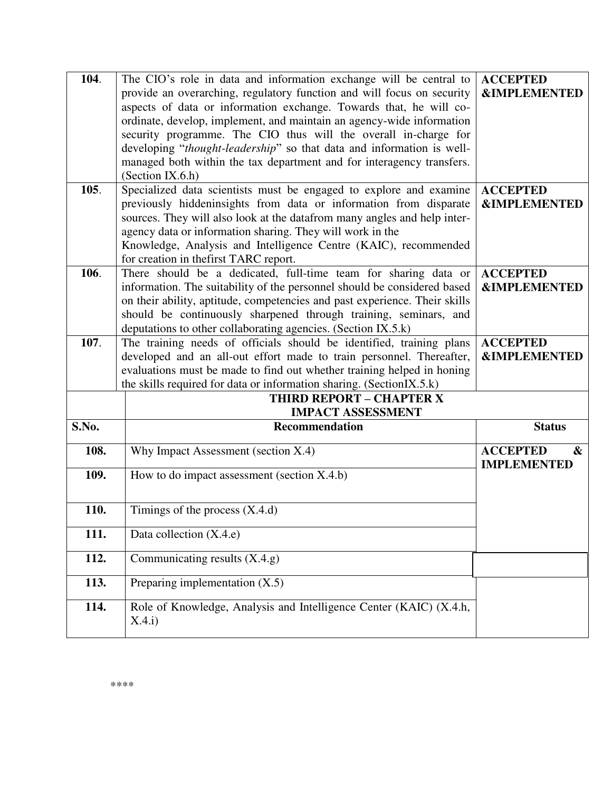| 104.  | The CIO's role in data and information exchange will be central to           | <b>ACCEPTED</b>                                                |
|-------|------------------------------------------------------------------------------|----------------------------------------------------------------|
|       | provide an overarching, regulatory function and will focus on security       | <b>&amp;IMPLEMENTED</b>                                        |
|       | aspects of data or information exchange. Towards that, he will co-           |                                                                |
|       | ordinate, develop, implement, and maintain an agency-wide information        |                                                                |
|       | security programme. The CIO thus will the overall in-charge for              |                                                                |
|       | developing "thought-leadership" so that data and information is well-        |                                                                |
|       | managed both within the tax department and for interagency transfers.        |                                                                |
|       | (Section IX.6.h)                                                             |                                                                |
| 105.  | Specialized data scientists must be engaged to explore and examine           | <b>ACCEPTED</b>                                                |
|       | previously hiddeninsights from data or information from disparate            | <b>&amp;IMPLEMENTED</b>                                        |
|       | sources. They will also look at the datafrom many angles and help inter-     |                                                                |
|       | agency data or information sharing. They will work in the                    |                                                                |
|       | Knowledge, Analysis and Intelligence Centre (KAIC), recommended              |                                                                |
|       | for creation in thefirst TARC report.                                        |                                                                |
| 106.  | There should be a dedicated, full-time team for sharing data or              | <b>ACCEPTED</b>                                                |
|       | information. The suitability of the personnel should be considered based     | <b>&amp;IMPLEMENTED</b>                                        |
|       | on their ability, aptitude, competencies and past experience. Their skills   |                                                                |
|       | should be continuously sharpened through training, seminars, and             |                                                                |
|       | deputations to other collaborating agencies. (Section IX.5.k)                |                                                                |
| 107.  | The training needs of officials should be identified, training plans         | <b>ACCEPTED</b>                                                |
|       | developed and an all-out effort made to train personnel. Thereafter,         | <b>&amp;IMPLEMENTED</b>                                        |
|       | evaluations must be made to find out whether training helped in honing       |                                                                |
|       | the skills required for data or information sharing. (SectionIX.5.k)         |                                                                |
|       | <b>THIRD REPORT - CHAPTER X</b>                                              |                                                                |
|       | <b>IMPACT ASSESSMENT</b>                                                     |                                                                |
| S.No. | <b>Recommendation</b>                                                        | <b>Status</b>                                                  |
| 108.  | Why Impact Assessment (section X.4)                                          | <b>ACCEPTED</b><br>$\boldsymbol{\alpha}$<br><b>IMPLEMENTED</b> |
| 109.  | How to do impact assessment (section X.4.b)                                  |                                                                |
|       |                                                                              |                                                                |
|       |                                                                              |                                                                |
| 110.  | Timings of the process $(X.4.d)$                                             |                                                                |
|       |                                                                              |                                                                |
| 111.  | Data collection (X.4.e)                                                      |                                                                |
| 112.  | Communicating results $(X.4.9)$                                              |                                                                |
| 113.  | Preparing implementation $(X.5)$                                             |                                                                |
|       |                                                                              |                                                                |
| 114.  | Role of Knowledge, Analysis and Intelligence Center (KAIC) (X.4.h,<br>X.4.i) |                                                                |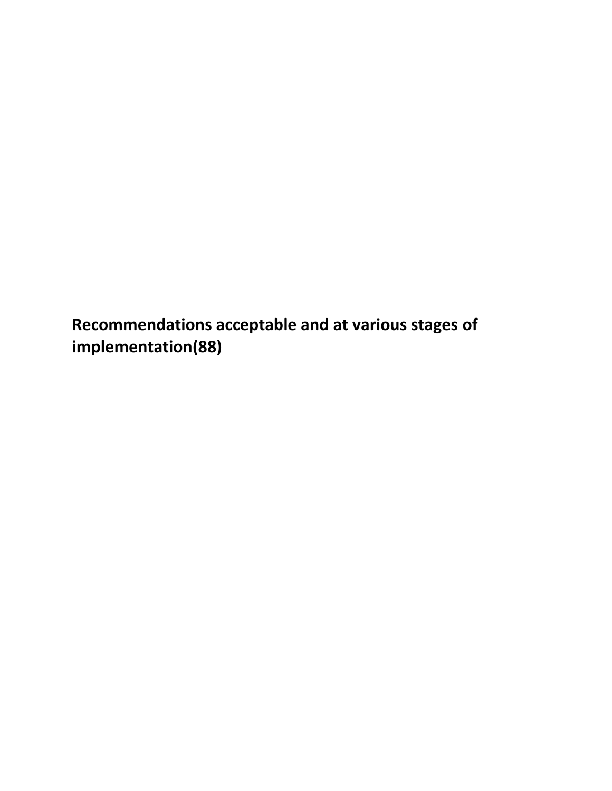**Recommendations acceptable and at various stages of implementation(88)**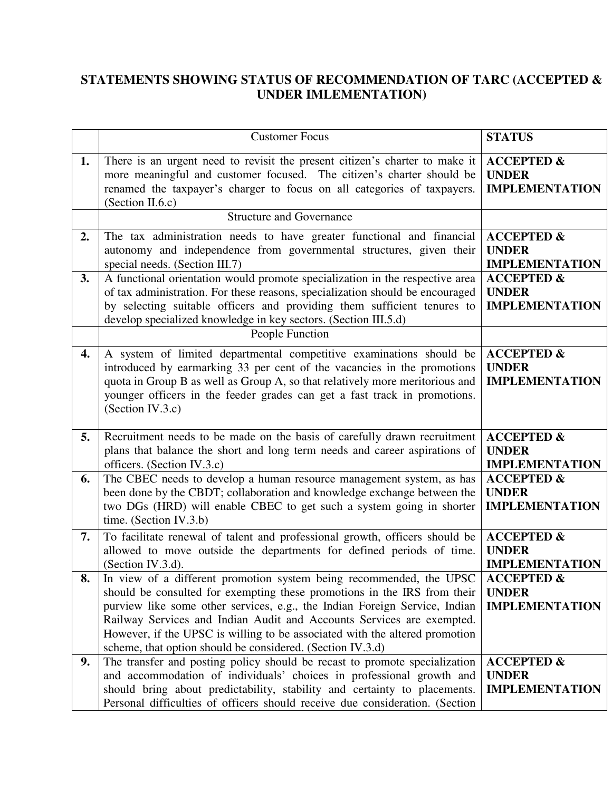## **STATEMENTS SHOWING STATUS OF RECOMMENDATION OF TARC (ACCEPTED & UNDER IMLEMENTATION)**

|    | <b>Customer Focus</b>                                                                                                                                                                                                                                                                                                                                                                                                                               | <b>STATUS</b>                                                  |
|----|-----------------------------------------------------------------------------------------------------------------------------------------------------------------------------------------------------------------------------------------------------------------------------------------------------------------------------------------------------------------------------------------------------------------------------------------------------|----------------------------------------------------------------|
| 1. | There is an urgent need to revisit the present citizen's charter to make it<br>more meaningful and customer focused. The citizen's charter should be<br>renamed the taxpayer's charger to focus on all categories of taxpayers.<br>(Section II.6.c)                                                                                                                                                                                                 | <b>ACCEPTED &amp;</b><br><b>UNDER</b><br><b>IMPLEMENTATION</b> |
|    | <b>Structure and Governance</b>                                                                                                                                                                                                                                                                                                                                                                                                                     |                                                                |
| 2. | The tax administration needs to have greater functional and financial<br>autonomy and independence from governmental structures, given their<br>special needs. (Section III.7)                                                                                                                                                                                                                                                                      | <b>ACCEPTED &amp;</b><br><b>UNDER</b><br><b>IMPLEMENTATION</b> |
| 3. | A functional orientation would promote specialization in the respective area<br>of tax administration. For these reasons, specialization should be encouraged<br>by selecting suitable officers and providing them sufficient tenures to<br>develop specialized knowledge in key sectors. (Section III.5.d)                                                                                                                                         | <b>ACCEPTED &amp;</b><br><b>UNDER</b><br><b>IMPLEMENTATION</b> |
|    | People Function                                                                                                                                                                                                                                                                                                                                                                                                                                     |                                                                |
| 4. | A system of limited departmental competitive examinations should be<br>introduced by earmarking 33 per cent of the vacancies in the promotions<br>quota in Group B as well as Group A, so that relatively more meritorious and<br>younger officers in the feeder grades can get a fast track in promotions.<br>(Section IV.3.c)                                                                                                                     | <b>ACCEPTED &amp;</b><br><b>UNDER</b><br><b>IMPLEMENTATION</b> |
| 5. | Recruitment needs to be made on the basis of carefully drawn recruitment<br>plans that balance the short and long term needs and career aspirations of<br>officers. (Section IV.3.c)                                                                                                                                                                                                                                                                | <b>ACCEPTED &amp;</b><br><b>UNDER</b><br><b>IMPLEMENTATION</b> |
| 6. | The CBEC needs to develop a human resource management system, as has<br>been done by the CBDT; collaboration and knowledge exchange between the<br>two DGs (HRD) will enable CBEC to get such a system going in shorter<br>time. (Section IV.3.b)                                                                                                                                                                                                   | <b>ACCEPTED &amp;</b><br><b>UNDER</b><br><b>IMPLEMENTATION</b> |
| 7. | To facilitate renewal of talent and professional growth, officers should be<br>allowed to move outside the departments for defined periods of time.<br>(Section IV.3.d).                                                                                                                                                                                                                                                                            | <b>ACCEPTED &amp;</b><br><b>UNDER</b><br><b>IMPLEMENTATION</b> |
| 8. | In view of a different promotion system being recommended, the UPSC<br>should be consulted for exempting these promotions in the IRS from their<br>purview like some other services, e.g., the Indian Foreign Service, Indian<br>Railway Services and Indian Audit and Accounts Services are exempted.<br>However, if the UPSC is willing to be associated with the altered promotion<br>scheme, that option should be considered. (Section IV.3.d) | <b>ACCEPTED &amp;</b><br><b>UNDER</b><br><b>IMPLEMENTATION</b> |
| 9. | The transfer and posting policy should be recast to promote specialization<br>and accommodation of individuals' choices in professional growth and<br>should bring about predictability, stability and certainty to placements.<br>Personal difficulties of officers should receive due consideration. (Section                                                                                                                                     | <b>ACCEPTED &amp;</b><br><b>UNDER</b><br><b>IMPLEMENTATION</b> |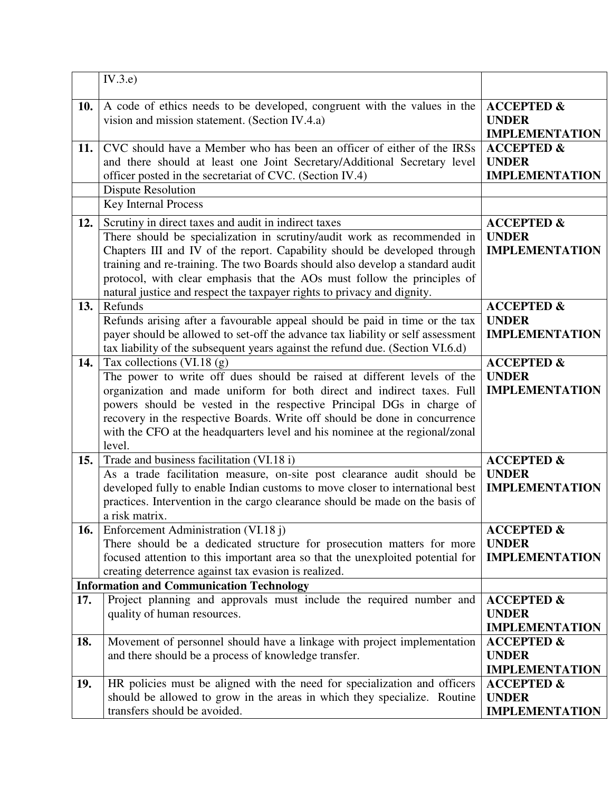|     | IV.3.e)                                                                                                                                                                                                                                                                                                                                                                                                                                              |                                                                |
|-----|------------------------------------------------------------------------------------------------------------------------------------------------------------------------------------------------------------------------------------------------------------------------------------------------------------------------------------------------------------------------------------------------------------------------------------------------------|----------------------------------------------------------------|
| 10. | A code of ethics needs to be developed, congruent with the values in the<br>vision and mission statement. (Section IV.4.a)                                                                                                                                                                                                                                                                                                                           | <b>ACCEPTED &amp;</b><br><b>UNDER</b><br><b>IMPLEMENTATION</b> |
| 11. | CVC should have a Member who has been an officer of either of the IRSs<br>and there should at least one Joint Secretary/Additional Secretary level<br>officer posted in the secretariat of CVC. (Section IV.4)<br><b>Dispute Resolution</b>                                                                                                                                                                                                          | <b>ACCEPTED &amp;</b><br><b>UNDER</b><br><b>IMPLEMENTATION</b> |
|     | <b>Key Internal Process</b>                                                                                                                                                                                                                                                                                                                                                                                                                          |                                                                |
| 12. | Scrutiny in direct taxes and audit in indirect taxes<br>There should be specialization in scrutiny/audit work as recommended in<br>Chapters III and IV of the report. Capability should be developed through<br>training and re-training. The two Boards should also develop a standard audit<br>protocol, with clear emphasis that the AOs must follow the principles of<br>natural justice and respect the taxpayer rights to privacy and dignity. | <b>ACCEPTED &amp;</b><br><b>UNDER</b><br><b>IMPLEMENTATION</b> |
| 13. | Refunds<br>Refunds arising after a favourable appeal should be paid in time or the tax<br>payer should be allowed to set-off the advance tax liability or self assessment<br>tax liability of the subsequent years against the refund due. (Section VI.6.d)                                                                                                                                                                                          | <b>ACCEPTED &amp;</b><br><b>UNDER</b><br><b>IMPLEMENTATION</b> |
| 14. | Tax collections (VI.18 $(g)$ )<br>The power to write off dues should be raised at different levels of the<br>organization and made uniform for both direct and indirect taxes. Full<br>powers should be vested in the respective Principal DGs in charge of<br>recovery in the respective Boards. Write off should be done in concurrence<br>with the CFO at the headquarters level and his nominee at the regional/zonal<br>level.                  | <b>ACCEPTED &amp;</b><br><b>UNDER</b><br><b>IMPLEMENTATION</b> |
| 15. | Trade and business facilitation (VI.18 i)<br>As a trade facilitation measure, on-site post clearance audit should be<br>developed fully to enable Indian customs to move closer to international best<br>practices. Intervention in the cargo clearance should be made on the basis of<br>a risk matrix.                                                                                                                                             | <b>ACCEPTED &amp;</b><br><b>UNDER</b><br><b>IMPLEMENTATION</b> |
| 16. | Enforcement Administration (VI.18 j)<br>There should be a dedicated structure for prosecution matters for more<br>focused attention to this important area so that the unexploited potential for<br>creating deterrence against tax evasion is realized.                                                                                                                                                                                             | <b>ACCEPTED &amp;</b><br><b>UNDER</b><br><b>IMPLEMENTATION</b> |
|     | <b>Information and Communication Technology</b>                                                                                                                                                                                                                                                                                                                                                                                                      |                                                                |
| 17. | Project planning and approvals must include the required number and<br>quality of human resources.                                                                                                                                                                                                                                                                                                                                                   | <b>ACCEPTED &amp;</b><br><b>UNDER</b><br><b>IMPLEMENTATION</b> |
| 18. | Movement of personnel should have a linkage with project implementation<br>and there should be a process of knowledge transfer.                                                                                                                                                                                                                                                                                                                      | <b>ACCEPTED &amp;</b><br><b>UNDER</b><br><b>IMPLEMENTATION</b> |
| 19. | HR policies must be aligned with the need for specialization and officers<br>should be allowed to grow in the areas in which they specialize. Routine<br>transfers should be avoided.                                                                                                                                                                                                                                                                | <b>ACCEPTED &amp;</b><br><b>UNDER</b><br><b>IMPLEMENTATION</b> |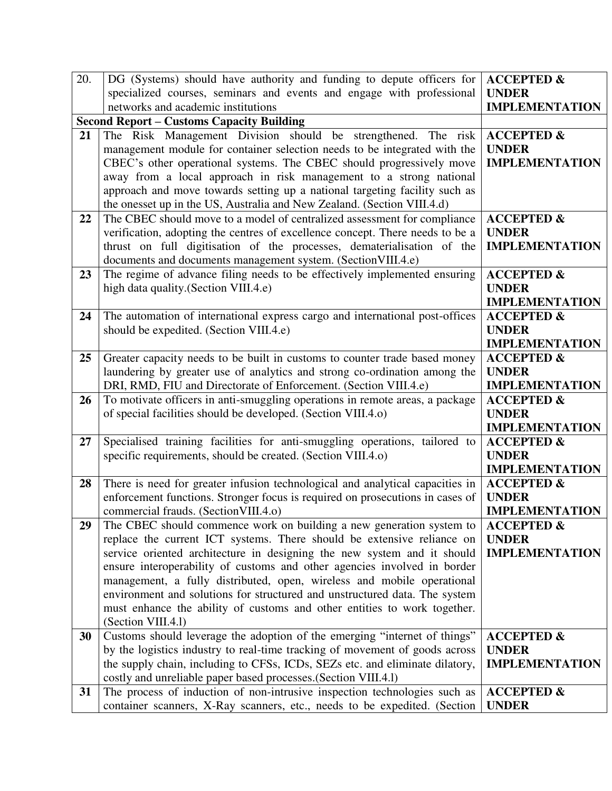| 20. | DG (Systems) should have authority and funding to depute officers for                                                                          | <b>ACCEPTED &amp;</b>                          |
|-----|------------------------------------------------------------------------------------------------------------------------------------------------|------------------------------------------------|
|     | specialized courses, seminars and events and engage with professional                                                                          | <b>UNDER</b>                                   |
|     | networks and academic institutions                                                                                                             | <b>IMPLEMENTATION</b>                          |
|     | <b>Second Report – Customs Capacity Building</b>                                                                                               |                                                |
| 21  | The Risk Management Division should be strengthened. The risk                                                                                  | <b>ACCEPTED &amp;</b>                          |
|     | management module for container selection needs to be integrated with the                                                                      | <b>UNDER</b>                                   |
|     | CBEC's other operational systems. The CBEC should progressively move                                                                           | <b>IMPLEMENTATION</b>                          |
|     | away from a local approach in risk management to a strong national                                                                             |                                                |
|     | approach and move towards setting up a national targeting facility such as                                                                     |                                                |
|     | the onesset up in the US, Australia and New Zealand. (Section VIII.4.d)                                                                        |                                                |
| 22  | The CBEC should move to a model of centralized assessment for compliance                                                                       | <b>ACCEPTED &amp;</b>                          |
|     | verification, adopting the centres of excellence concept. There needs to be a                                                                  | <b>UNDER</b>                                   |
|     | thrust on full digitisation of the processes, dematerialisation of the                                                                         | <b>IMPLEMENTATION</b>                          |
| 23  | documents and documents management system. (Section VIII.4.e)<br>The regime of advance filing needs to be effectively implemented ensuring     | <b>ACCEPTED &amp;</b>                          |
|     | high data quality. (Section VIII.4.e)                                                                                                          | <b>UNDER</b>                                   |
|     |                                                                                                                                                | <b>IMPLEMENTATION</b>                          |
| 24  | The automation of international express cargo and international post-offices                                                                   | <b>ACCEPTED &amp;</b>                          |
|     | should be expedited. (Section VIII.4.e)                                                                                                        | <b>UNDER</b>                                   |
|     |                                                                                                                                                | <b>IMPLEMENTATION</b>                          |
| 25  | Greater capacity needs to be built in customs to counter trade based money                                                                     | <b>ACCEPTED &amp;</b>                          |
|     | laundering by greater use of analytics and strong co-ordination among the                                                                      | <b>UNDER</b>                                   |
|     | DRI, RMD, FIU and Directorate of Enforcement. (Section VIII.4.e)                                                                               | <b>IMPLEMENTATION</b>                          |
| 26  | To motivate officers in anti-smuggling operations in remote areas, a package                                                                   | <b>ACCEPTED &amp;</b>                          |
|     | of special facilities should be developed. (Section VIII.4.0)                                                                                  | <b>UNDER</b>                                   |
|     |                                                                                                                                                | <b>IMPLEMENTATION</b>                          |
| 27  | Specialised training facilities for anti-smuggling operations, tailored to                                                                     | <b>ACCEPTED &amp;</b>                          |
|     | specific requirements, should be created. (Section VIII.4.0)                                                                                   | <b>UNDER</b>                                   |
|     |                                                                                                                                                | <b>IMPLEMENTATION</b>                          |
| 28  | There is need for greater infusion technological and analytical capacities in                                                                  | <b>ACCEPTED &amp;</b>                          |
|     | enforcement functions. Stronger focus is required on prosecutions in cases of                                                                  | <b>UNDER</b>                                   |
| 29  | commercial frauds. (Section VIII.4.0)                                                                                                          | <b>IMPLEMENTATION</b><br><b>ACCEPTED &amp;</b> |
|     | The CBEC should commence work on building a new generation system to<br>replace the current ICT systems. There should be extensive reliance on | <b>UNDER</b>                                   |
|     | service oriented architecture in designing the new system and it should                                                                        | <b>IMPLEMENTATION</b>                          |
|     | ensure interoperability of customs and other agencies involved in border                                                                       |                                                |
|     | management, a fully distributed, open, wireless and mobile operational                                                                         |                                                |
|     | environment and solutions for structured and unstructured data. The system                                                                     |                                                |
|     | must enhance the ability of customs and other entities to work together.                                                                       |                                                |
|     | (Section VIII.4.1)                                                                                                                             |                                                |
| 30  | Customs should leverage the adoption of the emerging "internet of things"                                                                      | <b>ACCEPTED &amp;</b>                          |
|     | by the logistics industry to real-time tracking of movement of goods across                                                                    | <b>UNDER</b>                                   |
|     | the supply chain, including to CFSs, ICDs, SEZs etc. and eliminate dilatory,                                                                   | <b>IMPLEMENTATION</b>                          |
|     | costly and unreliable paper based processes. (Section VIII.4.1)                                                                                |                                                |
| 31  | The process of induction of non-intrusive inspection technologies such as                                                                      | <b>ACCEPTED &amp;</b>                          |
|     | container scanners, X-Ray scanners, etc., needs to be expedited. (Section                                                                      | <b>UNDER</b>                                   |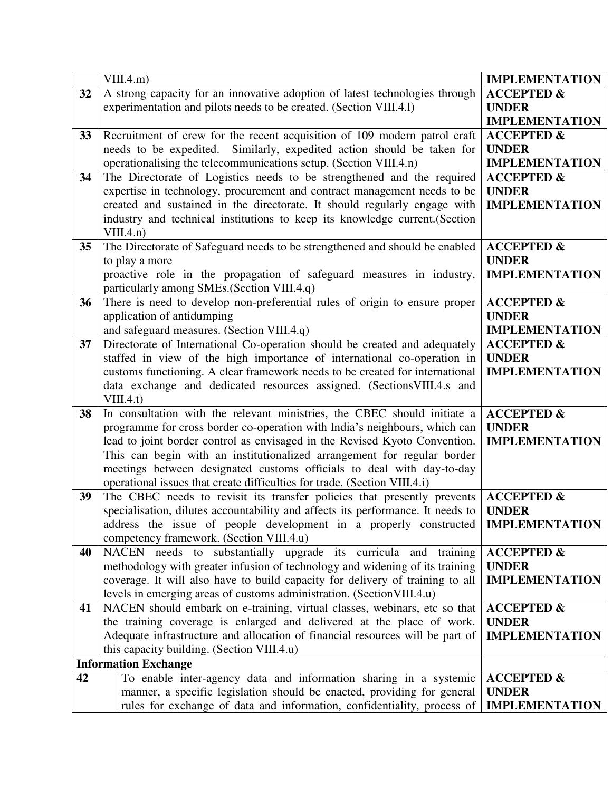|    | VIII.4.m)                                                                                                           | <b>IMPLEMENTATION</b>                 |
|----|---------------------------------------------------------------------------------------------------------------------|---------------------------------------|
| 32 | A strong capacity for an innovative adoption of latest technologies through                                         | <b>ACCEPTED &amp;</b>                 |
|    | experimentation and pilots needs to be created. (Section VIII.4.1)                                                  | <b>UNDER</b>                          |
|    |                                                                                                                     | <b>IMPLEMENTATION</b>                 |
| 33 | Recruitment of crew for the recent acquisition of 109 modern patrol craft                                           | <b>ACCEPTED &amp;</b>                 |
|    | needs to be expedited. Similarly, expedited action should be taken for                                              | <b>UNDER</b>                          |
|    | operationalising the telecommunications setup. (Section VIII.4.n)                                                   | <b>IMPLEMENTATION</b>                 |
| 34 | The Directorate of Logistics needs to be strengthened and the required                                              | <b>ACCEPTED &amp;</b>                 |
|    | expertise in technology, procurement and contract management needs to be                                            | <b>UNDER</b>                          |
|    | created and sustained in the directorate. It should regularly engage with                                           | <b>IMPLEMENTATION</b>                 |
|    | industry and technical institutions to keep its knowledge current. (Section                                         |                                       |
|    | VIII.4.n)                                                                                                           |                                       |
| 35 | The Directorate of Safeguard needs to be strengthened and should be enabled                                         | <b>ACCEPTED &amp;</b>                 |
|    | to play a more                                                                                                      | <b>UNDER</b><br><b>IMPLEMENTATION</b> |
|    | proactive role in the propagation of safeguard measures in industry,<br>particularly among SMEs. (Section VIII.4.q) |                                       |
| 36 | There is need to develop non-preferential rules of origin to ensure proper                                          | <b>ACCEPTED &amp;</b>                 |
|    | application of antidumping                                                                                          | <b>UNDER</b>                          |
|    | and safeguard measures. (Section VIII.4.q)                                                                          | <b>IMPLEMENTATION</b>                 |
| 37 | Directorate of International Co-operation should be created and adequately                                          | <b>ACCEPTED &amp;</b>                 |
|    | staffed in view of the high importance of international co-operation in                                             | <b>UNDER</b>                          |
|    | customs functioning. A clear framework needs to be created for international                                        | <b>IMPLEMENTATION</b>                 |
|    | data exchange and dedicated resources assigned. (Sections VIII.4.s and                                              |                                       |
|    | VIII.4.t)                                                                                                           |                                       |
| 38 | In consultation with the relevant ministries, the CBEC should initiate a                                            | <b>ACCEPTED &amp;</b>                 |
|    | programme for cross border co-operation with India's neighbours, which can                                          | <b>UNDER</b>                          |
|    | lead to joint border control as envisaged in the Revised Kyoto Convention.                                          | <b>IMPLEMENTATION</b>                 |
|    | This can begin with an institutionalized arrangement for regular border                                             |                                       |
|    | meetings between designated customs officials to deal with day-to-day                                               |                                       |
|    | operational issues that create difficulties for trade. (Section VIII.4.i)                                           |                                       |
| 39 | The CBEC needs to revisit its transfer policies that presently prevents                                             | <b>ACCEPTED &amp;</b>                 |
|    | specialisation, dilutes accountability and affects its performance. It needs to                                     | <b>UNDER</b>                          |
|    | address the issue of people development in a properly constructed                                                   | <b>IMPLEMENTATION</b>                 |
| 40 | competency framework. (Section VIII.4.u)<br>NACEN needs to substantially upgrade its curricula and training         | <b>ACCEPTED &amp;</b>                 |
|    | methodology with greater infusion of technology and widening of its training                                        | <b>UNDER</b>                          |
|    | coverage. It will also have to build capacity for delivery of training to all                                       | <b>IMPLEMENTATION</b>                 |
|    | levels in emerging areas of customs administration. (Section VIII.4.u)                                              |                                       |
| 41 | NACEN should embark on e-training, virtual classes, webinars, etc so that                                           | <b>ACCEPTED &amp;</b>                 |
|    | the training coverage is enlarged and delivered at the place of work.                                               | <b>UNDER</b>                          |
|    | Adequate infrastructure and allocation of financial resources will be part of                                       | <b>IMPLEMENTATION</b>                 |
|    | this capacity building. (Section VIII.4.u)                                                                          |                                       |
|    | <b>Information Exchange</b>                                                                                         |                                       |
| 42 | To enable inter-agency data and information sharing in a systemic                                                   | <b>ACCEPTED &amp;</b>                 |
|    | manner, a specific legislation should be enacted, providing for general                                             | <b>UNDER</b>                          |
|    | rules for exchange of data and information, confidentiality, process of                                             | <b>IMPLEMENTATION</b>                 |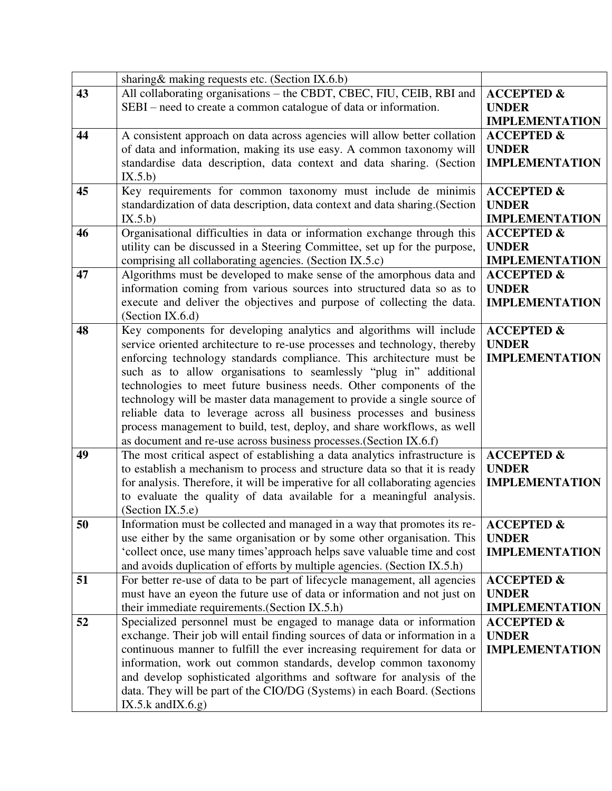|    | sharing & making requests etc. (Section IX.6.b)                                                                                           |                                       |
|----|-------------------------------------------------------------------------------------------------------------------------------------------|---------------------------------------|
| 43 | All collaborating organisations – the CBDT, CBEC, FIU, CEIB, RBI and                                                                      | <b>ACCEPTED &amp;</b>                 |
|    | SEBI – need to create a common catalogue of data or information.                                                                          | <b>UNDER</b>                          |
|    |                                                                                                                                           | <b>IMPLEMENTATION</b>                 |
| 44 | A consistent approach on data across agencies will allow better collation                                                                 | <b>ACCEPTED &amp;</b>                 |
|    | of data and information, making its use easy. A common taxonomy will                                                                      | <b>UNDER</b>                          |
|    | standardise data description, data context and data sharing. (Section                                                                     | <b>IMPLEMENTATION</b>                 |
|    | IX.5.b)                                                                                                                                   |                                       |
| 45 | Key requirements for common taxonomy must include de minimis                                                                              | <b>ACCEPTED &amp;</b>                 |
|    | standardization of data description, data context and data sharing. (Section                                                              | <b>UNDER</b>                          |
|    | IX.5.b)                                                                                                                                   | <b>IMPLEMENTATION</b>                 |
| 46 | Organisational difficulties in data or information exchange through this                                                                  | <b>ACCEPTED &amp;</b>                 |
|    | utility can be discussed in a Steering Committee, set up for the purpose,                                                                 | <b>UNDER</b>                          |
|    | comprising all collaborating agencies. (Section IX.5.c)                                                                                   | <b>IMPLEMENTATION</b>                 |
| 47 | Algorithms must be developed to make sense of the amorphous data and                                                                      | <b>ACCEPTED &amp;</b>                 |
|    | information coming from various sources into structured data so as to                                                                     | <b>UNDER</b>                          |
|    | execute and deliver the objectives and purpose of collecting the data.                                                                    | <b>IMPLEMENTATION</b>                 |
|    | (Section IX.6.d)                                                                                                                          |                                       |
| 48 | Key components for developing analytics and algorithms will include                                                                       | <b>ACCEPTED &amp;</b>                 |
|    | service oriented architecture to re-use processes and technology, thereby                                                                 | <b>UNDER</b><br><b>IMPLEMENTATION</b> |
|    | enforcing technology standards compliance. This architecture must be<br>such as to allow organisations to seamlessly "plug in" additional |                                       |
|    | technologies to meet future business needs. Other components of the                                                                       |                                       |
|    | technology will be master data management to provide a single source of                                                                   |                                       |
|    | reliable data to leverage across all business processes and business                                                                      |                                       |
|    | process management to build, test, deploy, and share workflows, as well                                                                   |                                       |
|    | as document and re-use across business processes. (Section IX.6.f)                                                                        |                                       |
| 49 | The most critical aspect of establishing a data analytics infrastructure is                                                               | <b>ACCEPTED &amp;</b>                 |
|    | to establish a mechanism to process and structure data so that it is ready                                                                | <b>UNDER</b>                          |
|    | for analysis. Therefore, it will be imperative for all collaborating agencies                                                             | <b>IMPLEMENTATION</b>                 |
|    | to evaluate the quality of data available for a meaningful analysis.                                                                      |                                       |
|    | (Section IX.5.e)                                                                                                                          |                                       |
| 50 | Information must be collected and managed in a way that promotes its re-                                                                  | <b>ACCEPTED &amp;</b>                 |
|    | use either by the same organisation or by some other organisation. This                                                                   | <b>UNDER</b>                          |
|    | 'collect once, use many times' approach helps save valuable time and cost                                                                 | <b>IMPLEMENTATION</b>                 |
|    | and avoids duplication of efforts by multiple agencies. (Section IX.5.h)                                                                  |                                       |
| 51 | For better re-use of data to be part of lifecycle management, all agencies                                                                | <b>ACCEPTED &amp;</b>                 |
|    | must have an eyeon the future use of data or information and not just on                                                                  | <b>UNDER</b>                          |
|    | their immediate requirements. (Section IX.5.h)                                                                                            | <b>IMPLEMENTATION</b>                 |
| 52 | Specialized personnel must be engaged to manage data or information                                                                       | <b>ACCEPTED &amp;</b>                 |
|    | exchange. Their job will entail finding sources of data or information in a                                                               | <b>UNDER</b>                          |
|    | continuous manner to fulfill the ever increasing requirement for data or                                                                  | <b>IMPLEMENTATION</b>                 |
|    | information, work out common standards, develop common taxonomy                                                                           |                                       |
|    | and develop sophisticated algorithms and software for analysis of the                                                                     |                                       |
|    | data. They will be part of the CIO/DG (Systems) in each Board. (Sections                                                                  |                                       |
|    | IX.5. $k$ and $(X.6.9)$                                                                                                                   |                                       |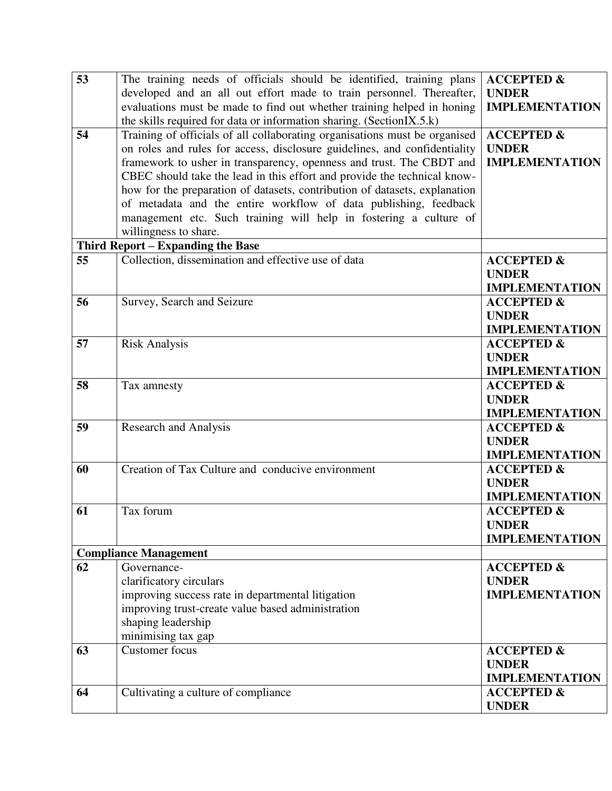| 53 | The training needs of officials should be identified, training plans       | <b>ACCEPTED &amp;</b> |
|----|----------------------------------------------------------------------------|-----------------------|
|    | developed and an all out effort made to train personnel. Thereafter,       | <b>UNDER</b>          |
|    | evaluations must be made to find out whether training helped in honing     | <b>IMPLEMENTATION</b> |
|    | the skills required for data or information sharing. (SectionIX.5.k)       |                       |
| 54 | Training of officials of all collaborating organisations must be organised | $ACCEPTED$ &          |
|    | on roles and rules for access, disclosure guidelines, and confidentiality  | <b>UNDER</b>          |
|    | framework to usher in transparency, openness and trust. The CBDT and       | <b>IMPLEMENTATION</b> |
|    | CBEC should take the lead in this effort and provide the technical know-   |                       |
|    | how for the preparation of datasets, contribution of datasets, explanation |                       |
|    | of metadata and the entire workflow of data publishing, feedback           |                       |
|    | management etc. Such training will help in fostering a culture of          |                       |
|    | willingness to share.                                                      |                       |
|    | Third Report - Expanding the Base                                          |                       |
| 55 | Collection, dissemination and effective use of data                        | <b>ACCEPTED &amp;</b> |
|    |                                                                            | <b>UNDER</b>          |
|    |                                                                            | <b>IMPLEMENTATION</b> |
| 56 | Survey, Search and Seizure                                                 | <b>ACCEPTED &amp;</b> |
|    |                                                                            | <b>UNDER</b>          |
|    |                                                                            | <b>IMPLEMENTATION</b> |
| 57 | <b>Risk Analysis</b>                                                       | <b>ACCEPTED &amp;</b> |
|    |                                                                            | <b>UNDER</b>          |
|    |                                                                            | <b>IMPLEMENTATION</b> |
| 58 | Tax amnesty                                                                | <b>ACCEPTED &amp;</b> |
|    |                                                                            | <b>UNDER</b>          |
|    |                                                                            | <b>IMPLEMENTATION</b> |
| 59 | <b>Research and Analysis</b>                                               | <b>ACCEPTED &amp;</b> |
|    |                                                                            | <b>UNDER</b>          |
|    |                                                                            | <b>IMPLEMENTATION</b> |
| 60 | Creation of Tax Culture and conducive environment                          | <b>ACCEPTED &amp;</b> |
|    |                                                                            | <b>UNDER</b>          |
|    |                                                                            | <b>IMPLEMENTATION</b> |
| 61 | Tax forum                                                                  | <b>ACCEPTED &amp;</b> |
|    |                                                                            | <b>UNDER</b>          |
|    |                                                                            | <b>IMPLEMENTATION</b> |
|    | <b>Compliance Management</b>                                               |                       |
| 62 | Governance-                                                                | <b>ACCEPTED &amp;</b> |
|    | clarificatory circulars                                                    | <b>UNDER</b>          |
|    | improving success rate in departmental litigation                          | <b>IMPLEMENTATION</b> |
|    | improving trust-create value based administration                          |                       |
|    | shaping leadership                                                         |                       |
|    | minimising tax gap                                                         |                       |
| 63 | Customer focus                                                             | <b>ACCEPTED &amp;</b> |
|    |                                                                            | <b>UNDER</b>          |
|    |                                                                            | <b>IMPLEMENTATION</b> |
| 64 | Cultivating a culture of compliance                                        | <b>ACCEPTED &amp;</b> |
|    |                                                                            | <b>UNDER</b>          |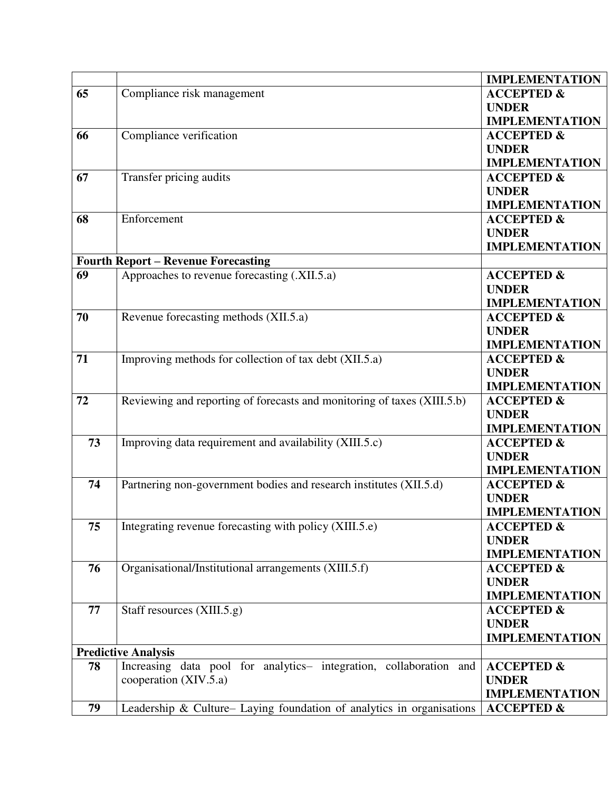|    |                                                                         | <b>IMPLEMENTATION</b> |
|----|-------------------------------------------------------------------------|-----------------------|
| 65 | Compliance risk management                                              | <b>ACCEPTED &amp;</b> |
|    |                                                                         | <b>UNDER</b>          |
|    |                                                                         | <b>IMPLEMENTATION</b> |
| 66 | Compliance verification                                                 | <b>ACCEPTED &amp;</b> |
|    |                                                                         | <b>UNDER</b>          |
|    |                                                                         | <b>IMPLEMENTATION</b> |
| 67 | Transfer pricing audits                                                 | <b>ACCEPTED &amp;</b> |
|    |                                                                         | <b>UNDER</b>          |
|    |                                                                         | <b>IMPLEMENTATION</b> |
| 68 | Enforcement                                                             | <b>ACCEPTED &amp;</b> |
|    |                                                                         | <b>UNDER</b>          |
|    |                                                                         | <b>IMPLEMENTATION</b> |
|    | <b>Fourth Report - Revenue Forecasting</b>                              |                       |
| 69 | Approaches to revenue forecasting (.XII.5.a)                            | <b>ACCEPTED &amp;</b> |
|    |                                                                         | <b>UNDER</b>          |
|    |                                                                         | <b>IMPLEMENTATION</b> |
| 70 | Revenue forecasting methods (XII.5.a)                                   | <b>ACCEPTED &amp;</b> |
|    |                                                                         | <b>UNDER</b>          |
|    |                                                                         | <b>IMPLEMENTATION</b> |
| 71 | Improving methods for collection of tax debt (XII.5.a)                  | <b>ACCEPTED &amp;</b> |
|    |                                                                         | <b>UNDER</b>          |
|    |                                                                         | <b>IMPLEMENTATION</b> |
| 72 | Reviewing and reporting of forecasts and monitoring of taxes (XIII.5.b) | <b>ACCEPTED &amp;</b> |
|    |                                                                         | <b>UNDER</b>          |
|    |                                                                         | <b>IMPLEMENTATION</b> |
| 73 | Improving data requirement and availability (XIII.5.c)                  | <b>ACCEPTED &amp;</b> |
|    |                                                                         | <b>UNDER</b>          |
|    |                                                                         | <b>IMPLEMENTATION</b> |
| 74 | Partnering non-government bodies and research institutes (XII.5.d)      | <b>ACCEPTED &amp;</b> |
|    |                                                                         | <b>UNDER</b>          |
|    |                                                                         | <b>IMPLEMENTATION</b> |
| 75 | Integrating revenue forecasting with policy (XIII.5.e)                  | <b>ACCEPTED &amp;</b> |
|    |                                                                         | <b>UNDER</b>          |
|    |                                                                         | <b>IMPLEMENTATION</b> |
| 76 | Organisational/Institutional arrangements (XIII.5.f)                    | <b>ACCEPTED &amp;</b> |
|    |                                                                         | <b>UNDER</b>          |
|    |                                                                         | <b>IMPLEMENTATION</b> |
| 77 | Staff resources (XIII.5.g)                                              | <b>ACCEPTED &amp;</b> |
|    |                                                                         | <b>UNDER</b>          |
|    |                                                                         | <b>IMPLEMENTATION</b> |
|    | <b>Predictive Analysis</b>                                              |                       |
| 78 | Increasing data pool for analytics- integration, collaboration and      | <b>ACCEPTED &amp;</b> |
|    | cooperation (XIV.5.a)                                                   | <b>UNDER</b>          |
|    |                                                                         | <b>IMPLEMENTATION</b> |
| 79 | Leadership & Culture- Laying foundation of analytics in organisations   | <b>ACCEPTED &amp;</b> |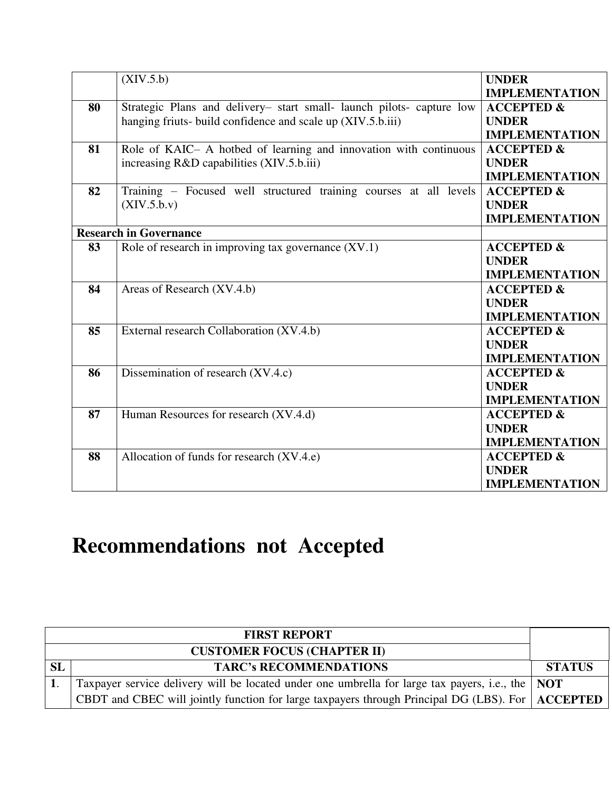|    | (XIV.5.b)                                                             | <b>UNDER</b>          |
|----|-----------------------------------------------------------------------|-----------------------|
|    |                                                                       | <b>IMPLEMENTATION</b> |
| 80 | Strategic Plans and delivery- start small- launch pilots- capture low | <b>ACCEPTED &amp;</b> |
|    | hanging friuts- build confidence and scale up (XIV.5.b.iii)           | <b>UNDER</b>          |
|    |                                                                       | <b>IMPLEMENTATION</b> |
| 81 | Role of KAIC- A hotbed of learning and innovation with continuous     | <b>ACCEPTED &amp;</b> |
|    | increasing R&D capabilities (XIV.5.b.iii)                             | <b>UNDER</b>          |
|    |                                                                       | <b>IMPLEMENTATION</b> |
| 82 | Training - Focused well structured training courses at all levels     | <b>ACCEPTED &amp;</b> |
|    | (XIV.5.b.v)                                                           | <b>UNDER</b>          |
|    |                                                                       | <b>IMPLEMENTATION</b> |
|    | <b>Research in Governance</b>                                         |                       |
| 83 | Role of research in improving tax governance (XV.1)                   | <b>ACCEPTED &amp;</b> |
|    |                                                                       | <b>UNDER</b>          |
|    |                                                                       | <b>IMPLEMENTATION</b> |
| 84 | Areas of Research (XV.4.b)                                            | <b>ACCEPTED &amp;</b> |
|    |                                                                       | <b>UNDER</b>          |
|    |                                                                       | <b>IMPLEMENTATION</b> |
| 85 | External research Collaboration (XV.4.b)                              | <b>ACCEPTED &amp;</b> |
|    |                                                                       | <b>UNDER</b>          |
|    |                                                                       | <b>IMPLEMENTATION</b> |
| 86 | Dissemination of research (XV.4.c)                                    | <b>ACCEPTED &amp;</b> |
|    |                                                                       | <b>UNDER</b>          |
|    |                                                                       | <b>IMPLEMENTATION</b> |
| 87 | Human Resources for research (XV.4.d)                                 | <b>ACCEPTED &amp;</b> |
|    |                                                                       | <b>UNDER</b>          |
|    |                                                                       | <b>IMPLEMENTATION</b> |
| 88 | Allocation of funds for research (XV.4.e)                             | <b>ACCEPTED &amp;</b> |
|    |                                                                       | <b>UNDER</b>          |
|    |                                                                       | <b>IMPLEMENTATION</b> |

## **Recommendations not Accepted**

|           | <b>FIRST REPORT</b>                                                                                |               |
|-----------|----------------------------------------------------------------------------------------------------|---------------|
|           | <b>CUSTOMER FOCUS (CHAPTER II)</b>                                                                 |               |
| <b>SL</b> | <b>TARC's RECOMMENDATIONS</b>                                                                      | <b>STATUS</b> |
|           | Taxpayer service delivery will be located under one umbrella for large tax payers, i.e., the   NOT |               |
|           | CBDT and CBEC will jointly function for large taxpayers through Principal DG (LBS). For   ACCEPTED |               |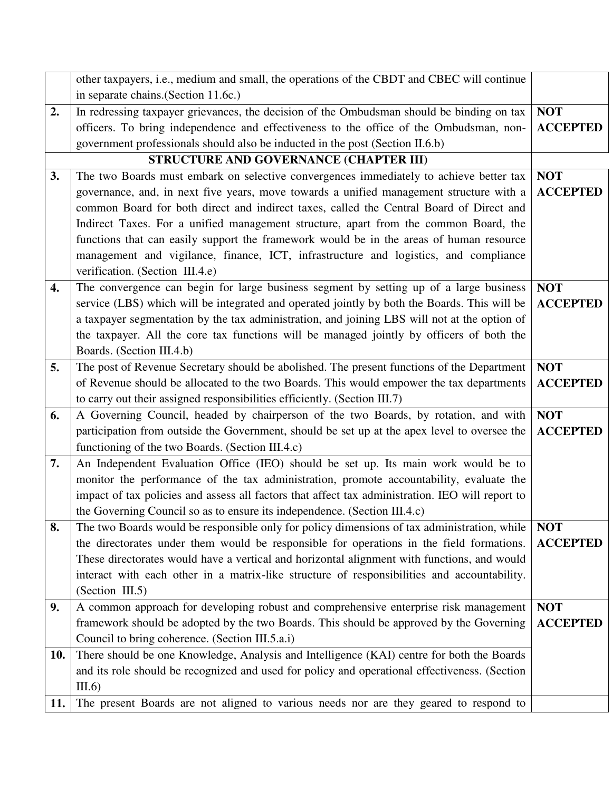|                    | other taxpayers, i.e., medium and small, the operations of the CBDT and CBEC will continue                                                 |                 |
|--------------------|--------------------------------------------------------------------------------------------------------------------------------------------|-----------------|
|                    | in separate chains. (Section 11.6c.)                                                                                                       |                 |
| 2.                 | In redressing taxpayer grievances, the decision of the Ombudsman should be binding on tax                                                  | <b>NOT</b>      |
|                    | officers. To bring independence and effectiveness to the office of the Ombudsman, non-                                                     | <b>ACCEPTED</b> |
|                    | government professionals should also be inducted in the post (Section II.6.b)                                                              |                 |
|                    | STRUCTURE AND GOVERNANCE (CHAPTER III)                                                                                                     |                 |
| 3.                 | The two Boards must embark on selective convergences immediately to achieve better tax                                                     | <b>NOT</b>      |
|                    | governance, and, in next five years, move towards a unified management structure with a                                                    | <b>ACCEPTED</b> |
|                    | common Board for both direct and indirect taxes, called the Central Board of Direct and                                                    |                 |
|                    | Indirect Taxes. For a unified management structure, apart from the common Board, the                                                       |                 |
|                    | functions that can easily support the framework would be in the areas of human resource                                                    |                 |
|                    | management and vigilance, finance, ICT, infrastructure and logistics, and compliance                                                       |                 |
|                    | verification. (Section III.4.e)                                                                                                            |                 |
| $\boldsymbol{4}$ . | The convergence can begin for large business segment by setting up of a large business                                                     | <b>NOT</b>      |
|                    | service (LBS) which will be integrated and operated jointly by both the Boards. This will be                                               | <b>ACCEPTED</b> |
|                    | a taxpayer segmentation by the tax administration, and joining LBS will not at the option of                                               |                 |
|                    | the taxpayer. All the core tax functions will be managed jointly by officers of both the                                                   |                 |
|                    | Boards. (Section III.4.b)                                                                                                                  |                 |
| 5.                 | The post of Revenue Secretary should be abolished. The present functions of the Department                                                 | <b>NOT</b>      |
|                    | of Revenue should be allocated to the two Boards. This would empower the tax departments                                                   | <b>ACCEPTED</b> |
|                    | to carry out their assigned responsibilities efficiently. (Section III.7)                                                                  |                 |
| 6.                 | A Governing Council, headed by chairperson of the two Boards, by rotation, and with                                                        | <b>NOT</b>      |
|                    | participation from outside the Government, should be set up at the apex level to oversee the                                               | <b>ACCEPTED</b> |
|                    | functioning of the two Boards. (Section III.4.c)                                                                                           |                 |
| 7.                 | An Independent Evaluation Office (IEO) should be set up. Its main work would be to                                                         |                 |
|                    | monitor the performance of the tax administration, promote accountability, evaluate the                                                    |                 |
|                    | impact of tax policies and assess all factors that affect tax administration. IEO will report to                                           |                 |
|                    | the Governing Council so as to ensure its independence. (Section III.4.c)                                                                  |                 |
| 8.                 | The two Boards would be responsible only for policy dimensions of tax administration, while                                                | <b>NOT</b>      |
|                    | the directorates under them would be responsible for operations in the field formations.                                                   | <b>ACCEPTED</b> |
|                    | These directorates would have a vertical and horizontal alignment with functions, and would                                                |                 |
|                    | interact with each other in a matrix-like structure of responsibilities and accountability.                                                |                 |
|                    | (Section III.5)                                                                                                                            |                 |
| 9.                 | A common approach for developing robust and comprehensive enterprise risk management                                                       | <b>NOT</b>      |
|                    | framework should be adopted by the two Boards. This should be approved by the Governing<br>Council to bring coherence. (Section III.5.a.i) | <b>ACCEPTED</b> |
|                    | There should be one Knowledge, Analysis and Intelligence (KAI) centre for both the Boards                                                  |                 |
| 10.                | and its role should be recognized and used for policy and operational effectiveness. (Section                                              |                 |
|                    | III.6)                                                                                                                                     |                 |
|                    |                                                                                                                                            |                 |
| 11.                | The present Boards are not aligned to various needs nor are they geared to respond to                                                      |                 |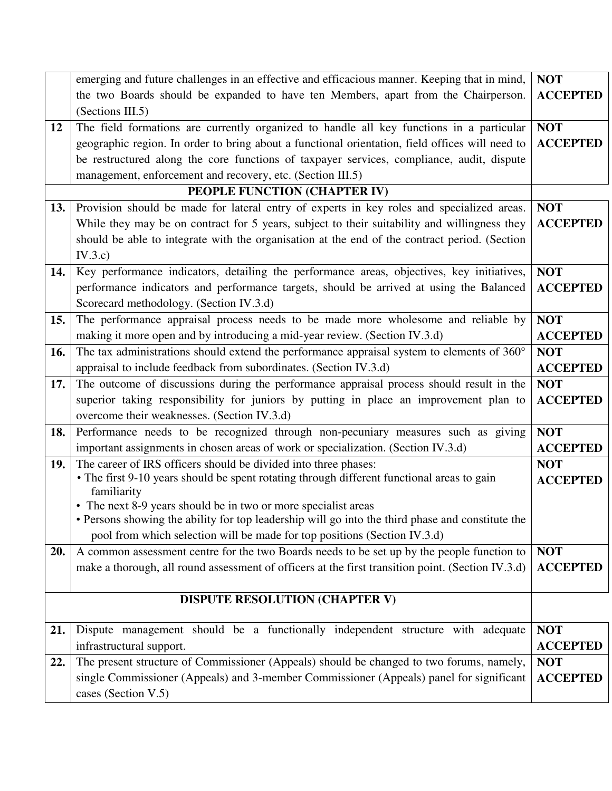|     | emerging and future challenges in an effective and efficacious manner. Keeping that in mind,        | <b>NOT</b>      |
|-----|-----------------------------------------------------------------------------------------------------|-----------------|
|     | the two Boards should be expanded to have ten Members, apart from the Chairperson.                  | <b>ACCEPTED</b> |
|     | (Sections III.5)                                                                                    |                 |
| 12  | The field formations are currently organized to handle all key functions in a particular            | <b>NOT</b>      |
|     | geographic region. In order to bring about a functional orientation, field offices will need to     | <b>ACCEPTED</b> |
|     | be restructured along the core functions of taxpayer services, compliance, audit, dispute           |                 |
|     | management, enforcement and recovery, etc. (Section III.5)                                          |                 |
|     | PEOPLE FUNCTION (CHAPTER IV)                                                                        |                 |
| 13. | Provision should be made for lateral entry of experts in key roles and specialized areas.           | <b>NOT</b>      |
|     | While they may be on contract for 5 years, subject to their suitability and willingness they        | <b>ACCEPTED</b> |
|     | should be able to integrate with the organisation at the end of the contract period. (Section       |                 |
|     | IV.3.c)                                                                                             |                 |
| 14. | Key performance indicators, detailing the performance areas, objectives, key initiatives,           | <b>NOT</b>      |
|     | performance indicators and performance targets, should be arrived at using the Balanced             | <b>ACCEPTED</b> |
|     | Scorecard methodology. (Section IV.3.d)                                                             |                 |
| 15. | The performance appraisal process needs to be made more wholesome and reliable by                   | <b>NOT</b>      |
|     | making it more open and by introducing a mid-year review. (Section IV.3.d)                          | <b>ACCEPTED</b> |
| 16. | The tax administrations should extend the performance appraisal system to elements of $360^{\circ}$ | <b>NOT</b>      |
|     | appraisal to include feedback from subordinates. (Section IV.3.d)                                   | <b>ACCEPTED</b> |
| 17. | The outcome of discussions during the performance appraisal process should result in the            | <b>NOT</b>      |
|     | superior taking responsibility for juniors by putting in place an improvement plan to               | <b>ACCEPTED</b> |
|     | overcome their weaknesses. (Section IV.3.d)                                                         |                 |
| 18. | Performance needs to be recognized through non-pecuniary measures such as giving                    | <b>NOT</b>      |
|     | important assignments in chosen areas of work or specialization. (Section IV.3.d)                   | <b>ACCEPTED</b> |
| 19. | The career of IRS officers should be divided into three phases:                                     | <b>NOT</b>      |
|     | • The first 9-10 years should be spent rotating through different functional areas to gain          | <b>ACCEPTED</b> |
|     | familiarity<br>• The next 8-9 years should be in two or more specialist areas                       |                 |
|     | • Persons showing the ability for top leadership will go into the third phase and constitute the    |                 |
|     | pool from which selection will be made for top positions (Section IV.3.d)                           |                 |
| 20. | A common assessment centre for the two Boards needs to be set up by the people function to          | <b>NOT</b>      |
|     | make a thorough, all round assessment of officers at the first transition point. (Section IV.3.d)   | <b>ACCEPTED</b> |
|     |                                                                                                     |                 |
|     | <b>DISPUTE RESOLUTION (CHAPTER V)</b>                                                               |                 |
|     |                                                                                                     |                 |
| 21. | Dispute management should be a functionally independent structure with adequate                     | <b>NOT</b>      |
|     | infrastructural support.                                                                            | <b>ACCEPTED</b> |
| 22. | The present structure of Commissioner (Appeals) should be changed to two forums, namely,            | <b>NOT</b>      |
|     | single Commissioner (Appeals) and 3-member Commissioner (Appeals) panel for significant             | <b>ACCEPTED</b> |
|     | cases (Section V.5)                                                                                 |                 |
|     |                                                                                                     |                 |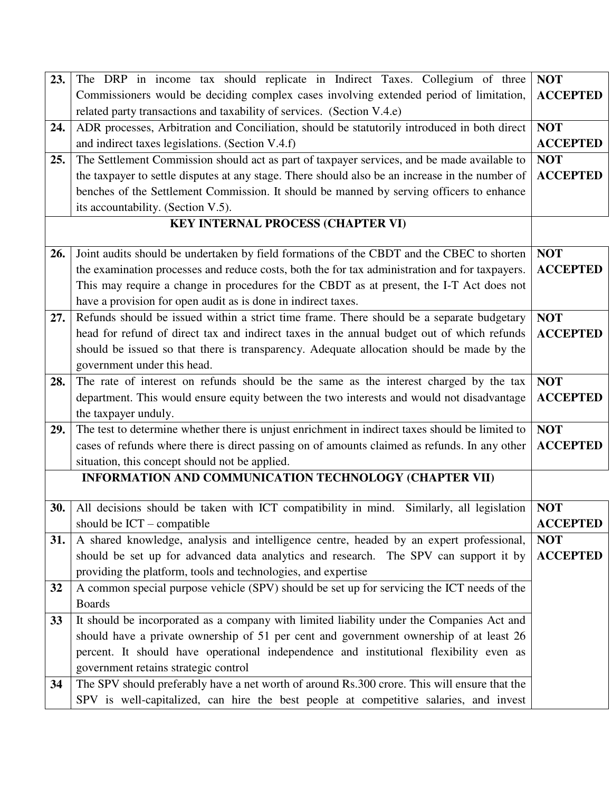| 23. | The DRP in income tax should replicate in Indirect Taxes. Collegium of three                    | <b>NOT</b>      |
|-----|-------------------------------------------------------------------------------------------------|-----------------|
|     | Commissioners would be deciding complex cases involving extended period of limitation,          | <b>ACCEPTED</b> |
|     | related party transactions and taxability of services. (Section V.4.e)                          |                 |
| 24. | ADR processes, Arbitration and Conciliation, should be statutorily introduced in both direct    | <b>NOT</b>      |
|     | and indirect taxes legislations. (Section V.4.f)                                                | <b>ACCEPTED</b> |
| 25. | The Settlement Commission should act as part of taxpayer services, and be made available to     | <b>NOT</b>      |
|     | the taxpayer to settle disputes at any stage. There should also be an increase in the number of | <b>ACCEPTED</b> |
|     | benches of the Settlement Commission. It should be manned by serving officers to enhance        |                 |
|     | its accountability. (Section V.5).                                                              |                 |
|     | KEY INTERNAL PROCESS (CHAPTER VI)                                                               |                 |
|     |                                                                                                 |                 |
| 26. | Joint audits should be undertaken by field formations of the CBDT and the CBEC to shorten       | <b>NOT</b>      |
|     | the examination processes and reduce costs, both the for tax administration and for taxpayers.  | <b>ACCEPTED</b> |
|     | This may require a change in procedures for the CBDT as at present, the I-T Act does not        |                 |
|     | have a provision for open audit as is done in indirect taxes.                                   |                 |
| 27. | Refunds should be issued within a strict time frame. There should be a separate budgetary       | <b>NOT</b>      |
|     | head for refund of direct tax and indirect taxes in the annual budget out of which refunds      | <b>ACCEPTED</b> |
|     | should be issued so that there is transparency. Adequate allocation should be made by the       |                 |
|     | government under this head.                                                                     |                 |
| 28. | The rate of interest on refunds should be the same as the interest charged by the tax           | <b>NOT</b>      |
|     | department. This would ensure equity between the two interests and would not disadvantage       | <b>ACCEPTED</b> |
|     | the taxpayer unduly.                                                                            |                 |
| 29. | The test to determine whether there is unjust enrichment in indirect taxes should be limited to | <b>NOT</b>      |
|     | cases of refunds where there is direct passing on of amounts claimed as refunds. In any other   | <b>ACCEPTED</b> |
|     | situation, this concept should not be applied.                                                  |                 |
|     | INFORMATION AND COMMUNICATION TECHNOLOGY (CHAPTER VII)                                          |                 |
| 30. | All decisions should be taken with ICT compatibility in mind. Similarly, all legislation        | <b>NOT</b>      |
|     | should be $ICT$ – compatible                                                                    | <b>ACCEPTED</b> |
| 31. | A shared knowledge, analysis and intelligence centre, headed by an expert professional,         | <b>NOT</b>      |
|     | should be set up for advanced data analytics and research. The SPV can support it by            | <b>ACCEPTED</b> |
|     | providing the platform, tools and technologies, and expertise                                   |                 |
| 32  | A common special purpose vehicle (SPV) should be set up for servicing the ICT needs of the      |                 |
|     | <b>Boards</b>                                                                                   |                 |
| 33  | It should be incorporated as a company with limited liability under the Companies Act and       |                 |
|     | should have a private ownership of 51 per cent and government ownership of at least 26          |                 |
|     | percent. It should have operational independence and institutional flexibility even as          |                 |
|     | government retains strategic control                                                            |                 |
| 34  | The SPV should preferably have a net worth of around Rs.300 crore. This will ensure that the    |                 |
|     | SPV is well-capitalized, can hire the best people at competitive salaries, and invest           |                 |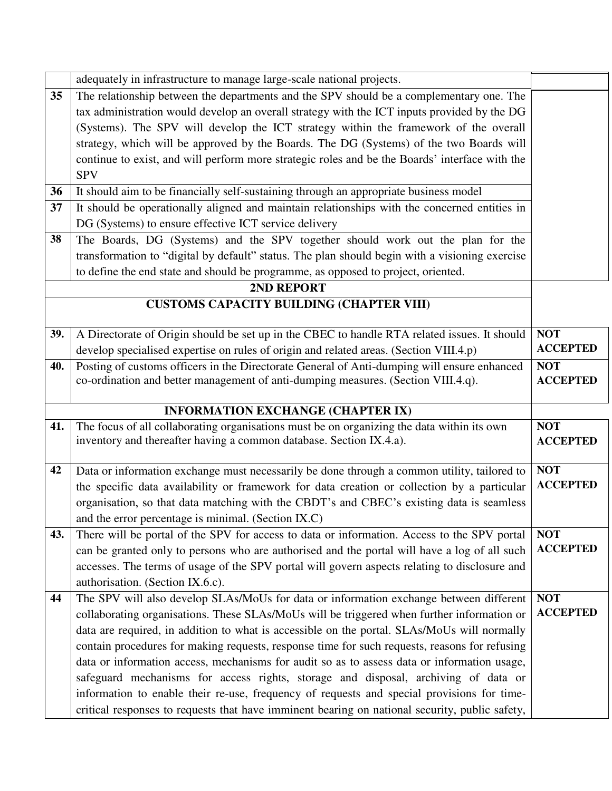|     | adequately in infrastructure to manage large-scale national projects.                          |                 |
|-----|------------------------------------------------------------------------------------------------|-----------------|
| 35  | The relationship between the departments and the SPV should be a complementary one. The        |                 |
|     | tax administration would develop an overall strategy with the ICT inputs provided by the DG    |                 |
|     | (Systems). The SPV will develop the ICT strategy within the framework of the overall           |                 |
|     | strategy, which will be approved by the Boards. The DG (Systems) of the two Boards will        |                 |
|     | continue to exist, and will perform more strategic roles and be the Boards' interface with the |                 |
|     | <b>SPV</b>                                                                                     |                 |
| 36  | It should aim to be financially self-sustaining through an appropriate business model          |                 |
| 37  | It should be operationally aligned and maintain relationships with the concerned entities in   |                 |
|     | DG (Systems) to ensure effective ICT service delivery                                          |                 |
| 38  | The Boards, DG (Systems) and the SPV together should work out the plan for the                 |                 |
|     | transformation to "digital by default" status. The plan should begin with a visioning exercise |                 |
|     | to define the end state and should be programme, as opposed to project, oriented.              |                 |
|     | 2ND REPORT                                                                                     |                 |
|     | <b>CUSTOMS CAPACITY BUILDING (CHAPTER VIII)</b>                                                |                 |
|     |                                                                                                |                 |
| 39. | A Directorate of Origin should be set up in the CBEC to handle RTA related issues. It should   | <b>NOT</b>      |
|     | develop specialised expertise on rules of origin and related areas. (Section VIII.4.p)         | <b>ACCEPTED</b> |
| 40. | Posting of customs officers in the Directorate General of Anti-dumping will ensure enhanced    | <b>NOT</b>      |
|     | co-ordination and better management of anti-dumping measures. (Section VIII.4.q).              | <b>ACCEPTED</b> |
|     |                                                                                                |                 |
|     | <b>INFORMATION EXCHANGE (CHAPTER IX)</b>                                                       |                 |
| 41. | The focus of all collaborating organisations must be on organizing the data within its own     | <b>NOT</b>      |
|     | inventory and thereafter having a common database. Section IX.4.a).                            | <b>ACCEPTED</b> |
| 42  | Data or information exchange must necessarily be done through a common utility, tailored to    | <b>NOT</b>      |
|     | the specific data availability or framework for data creation or collection by a particular    | <b>ACCEPTED</b> |
|     | organisation, so that data matching with the CBDT's and CBEC's existing data is seamless       |                 |
|     | and the error percentage is minimal. (Section IX.C)                                            |                 |
| 43. | There will be portal of the SPV for access to data or information. Access to the SPV portal    | <b>NOT</b>      |
|     | can be granted only to persons who are authorised and the portal will have a log of all such   | <b>ACCEPTED</b> |
|     | accesses. The terms of usage of the SPV portal will govern aspects relating to disclosure and  |                 |
|     | authorisation. (Section IX.6.c).                                                               |                 |
| 44  | The SPV will also develop SLAs/MoUs for data or information exchange between different         | NOT             |
|     | collaborating organisations. These SLAs/MoUs will be triggered when further information or     | <b>ACCEPTED</b> |
|     | data are required, in addition to what is accessible on the portal. SLAs/MoUs will normally    |                 |
|     | contain procedures for making requests, response time for such requests, reasons for refusing  |                 |
|     | data or information access, mechanisms for audit so as to assess data or information usage,    |                 |
|     | safeguard mechanisms for access rights, storage and disposal, archiving of data or             |                 |
|     | information to enable their re-use, frequency of requests and special provisions for time-     |                 |
|     | critical responses to requests that have imminent bearing on national security, public safety, |                 |
|     |                                                                                                |                 |